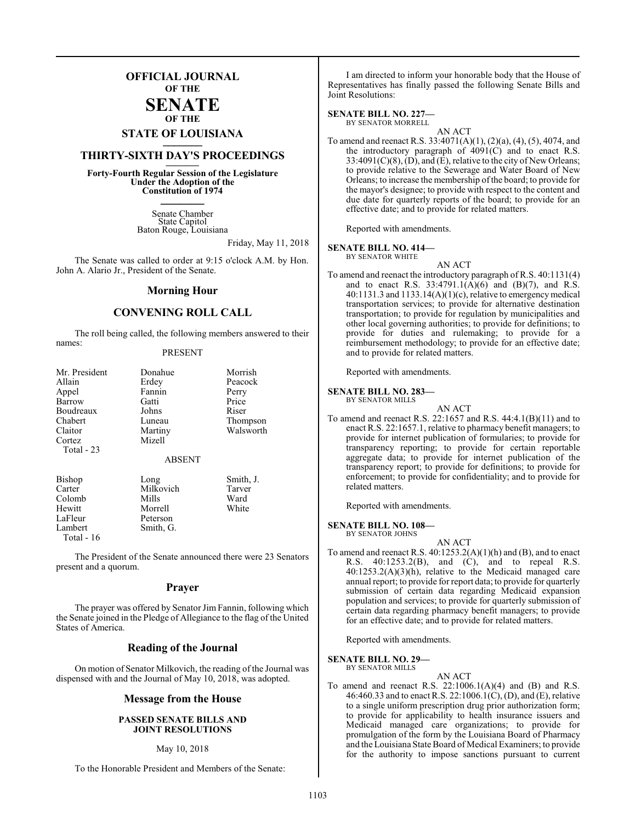## **OFFICIAL JOURNAL OF THE**

#### **SENATE OF THE**

# **STATE OF LOUISIANA \_\_\_\_\_\_\_**

## **THIRTY-SIXTH DAY'S PROCEEDINGS \_\_\_\_\_\_\_**

**Forty-Fourth Regular Session of the Legislature Under the Adoption of the Constitution of 1974 \_\_\_\_\_\_\_**

> Senate Chamber State Capitol Baton Rouge, Louisiana

> > Friday, May 11, 2018

The Senate was called to order at 9:15 o'clock A.M. by Hon. John A. Alario Jr., President of the Senate.

#### **Morning Hour**

#### **CONVENING ROLL CALL**

The roll being called, the following members answered to their names:

| Mr. President<br>Allain<br>Appel<br><b>Barrow</b><br>Boudreaux<br>Chabert | Donahue<br>Erdey<br>Fannin<br>Gatti<br>Johns<br>Luneau         | Morrish<br>Peacock<br>Perry<br>Price<br>Riser<br>Thompson |
|---------------------------------------------------------------------------|----------------------------------------------------------------|-----------------------------------------------------------|
| Claitor<br>Cortez<br>Total $-23$                                          | Martiny<br>Mizell<br><b>ABSENT</b>                             | Walsworth                                                 |
| <b>Bishop</b><br>Carter<br>Colomb<br>Hewitt<br>LaFleur<br>Lambert         | Long<br>Milkovich<br>Mills<br>Morrell<br>Peterson<br>Smith, G. | Smith, J.<br>Tarver<br>Ward<br>White                      |

The President of the Senate announced there were 23 Senators present and a quorum.

Total - 16

#### **Prayer**

The prayer was offered by Senator Jim Fannin, following which the Senate joined in the Pledge of Allegiance to the flag of the United States of America.

#### **Reading of the Journal**

On motion of Senator Milkovich, the reading of the Journal was dispensed with and the Journal of May 10, 2018, was adopted.

#### **Message from the House**

#### **PASSED SENATE BILLS AND JOINT RESOLUTIONS**

#### May 10, 2018

To the Honorable President and Members of the Senate:

I am directed to inform your honorable body that the House of Representatives has finally passed the following Senate Bills and Joint Resolutions:

#### **SENATE BILL NO. 227—**

BY SENATOR MORRELL AN ACT

To amend and reenact R.S. 33:4071(A)(1), (2)(a), (4), (5), 4074, and the introductory paragraph of  $4091(C)$  and to enact R.S.  $33:4091(C)(8)$ ,  $(D)$ , and  $(\overline{E})$ , relative to the city of New Orleans; to provide relative to the Sewerage and Water Board of New Orleans; to increase the membership of the board; to provide for the mayor's designee; to provide with respect to the content and due date for quarterly reports of the board; to provide for an effective date; and to provide for related matters.

Reported with amendments.

#### **SENATE BILL NO. 414—**

BY SENATOR WHITE

- AN ACT
- To amend and reenact the introductory paragraph of R.S. 40:1131(4) and to enact R.S. 33:4791.1(A)(6) and (B)(7), and R.S.  $40:1131.3$  and  $1133.14(A)(1)(c)$ , relative to emergency medical transportation services; to provide for alternative destination transportation; to provide for regulation by municipalities and other local governing authorities; to provide for definitions; to provide for duties and rulemaking; to provide for a reimbursement methodology; to provide for an effective date; and to provide for related matters.

Reported with amendments.

#### **SENATE BILL NO. 283—**

BY SENATOR MILLS

To amend and reenact R.S. 22:1657 and R.S. 44:4.1(B)(11) and to enact R.S. 22:1657.1, relative to pharmacy benefit managers; to provide for internet publication of formularies; to provide for transparency reporting; to provide for certain reportable aggregate data; to provide for internet publication of the transparency report; to provide for definitions; to provide for enforcement; to provide for confidentiality; and to provide for related matters.

AN ACT

Reported with amendments.

#### **SENATE BILL NO. 108—**

BY SENATOR JOHNS

AN ACT To amend and reenact R.S. 40:1253.2(A)(1)(h) and (B), and to enact R.S. 40:1253.2(B), and (C), and to repeal R.S. 40:1253.2(A)(3)(h), relative to the Medicaid managed care annual report; to provide for report data; to provide for quarterly submission of certain data regarding Medicaid expansion population and services; to provide for quarterly submission of certain data regarding pharmacy benefit managers; to provide for an effective date; and to provide for related matters.

Reported with amendments.

#### **SENATE BILL NO. 29—** BY SENATOR MILLS

- 
- AN ACT To amend and reenact R.S.  $22:1006.1(A)(4)$  and (B) and R.S. 46:460.33 and to enact R.S. 22:1006.1(C), (D), and (E), relative to a single uniform prescription drug prior authorization form; to provide for applicability to health insurance issuers and Medicaid managed care organizations; to provide for promulgation of the form by the Louisiana Board of Pharmacy and the Louisiana State Board of Medical Examiners; to provide for the authority to impose sanctions pursuant to current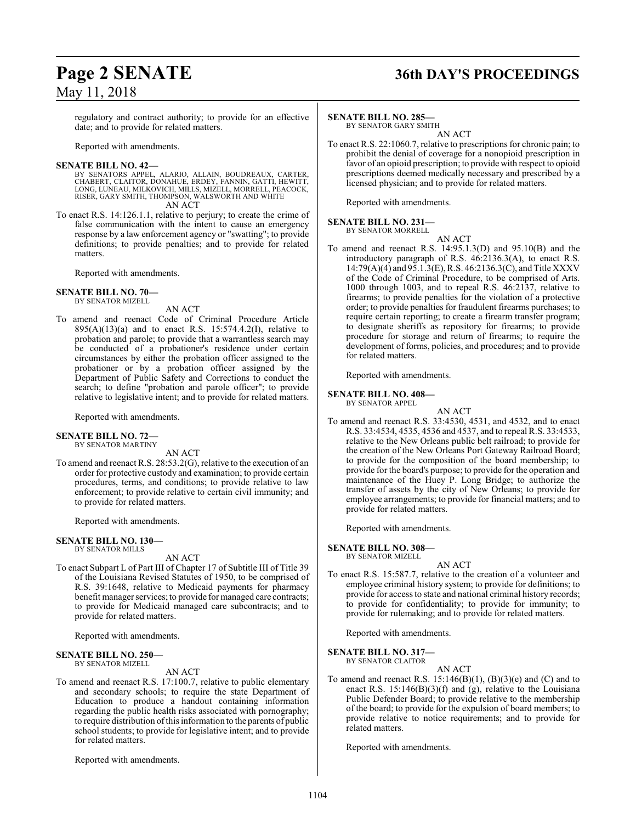## **Page 2 SENATE 36th DAY'S PROCEEDINGS**

regulatory and contract authority; to provide for an effective date; and to provide for related matters.

Reported with amendments.

**SENATE BILL NO. 42—**<br>BY SENATORS APPEL, ALARIO, ALLAIN, BOUDREAUX, CARTER, CHABERT, CLAITOR, DONAHUE, ERDEY, FANNIN, GATTI, HEWITT,<br>LONG, LUNEAU, MILKOVICH, MILLS, MIZELL, MORRELL, PEACOCK,<br>RISER, GARY SMITH, THOMPSON, WA AN ACT

To enact R.S. 14:126.1.1, relative to perjury; to create the crime of false communication with the intent to cause an emergency response by a law enforcement agency or "swatting"; to provide definitions; to provide penalties; and to provide for related matters.

Reported with amendments.

**SENATE BILL NO. 70—** BY SENATOR MIZELL

#### AN ACT

To amend and reenact Code of Criminal Procedure Article 895(A)(13)(a) and to enact R.S. 15:574.4.2(I), relative to probation and parole; to provide that a warrantless search may be conducted of a probationer's residence under certain circumstances by either the probation officer assigned to the probationer or by a probation officer assigned by the Department of Public Safety and Corrections to conduct the search; to define "probation and parole officer"; to provide relative to legislative intent; and to provide for related matters.

Reported with amendments.

#### **SENATE BILL NO. 72—** BY SENATOR MARTINY

AN ACT

To amend and reenact R.S. 28:53.2(G), relative to the execution of an order for protective custody and examination; to provide certain procedures, terms, and conditions; to provide relative to law enforcement; to provide relative to certain civil immunity; and to provide for related matters.

Reported with amendments.

#### **SENATE BILL NO. 130—** BY SENATOR MILLS

AN ACT

To enact Subpart L of Part III of Chapter 17 of Subtitle III of Title 39 of the Louisiana Revised Statutes of 1950, to be comprised of R.S. 39:1648, relative to Medicaid payments for pharmacy benefit manager services; to provide for managed care contracts; to provide for Medicaid managed care subcontracts; and to provide for related matters.

Reported with amendments.

#### **SENATE BILL NO. 250—** BY SENATOR MIZELL

AN ACT

To amend and reenact R.S. 17:100.7, relative to public elementary and secondary schools; to require the state Department of Education to produce a handout containing information regarding the public health risks associated with pornography; to require distribution ofthis information to the parents of public school students; to provide for legislative intent; and to provide for related matters.

Reported with amendments.

#### **SENATE BILL NO. 285—**

BY SENATOR GARY SMITH

AN ACT To enact R.S. 22:1060.7, relative to prescriptions for chronic pain; to prohibit the denial of coverage for a nonopioid prescription in favor of an opioid prescription; to provide with respect to opioid prescriptions deemed medically necessary and prescribed by a licensed physician; and to provide for related matters.

Reported with amendments.

### **SENATE BILL NO. 231—**

#### BY SENATOR MORRELL

AN ACT

To amend and reenact R.S. 14:95.1.3(D) and 95.10(B) and the introductory paragraph of R.S. 46:2136.3(A), to enact R.S. 14:79(A)(4) and 95.1.3(E), R.S. 46:2136.3(C), and Title XXXV of the Code of Criminal Procedure, to be comprised of Arts. 1000 through 1003, and to repeal R.S. 46:2137, relative to firearms; to provide penalties for the violation of a protective order; to provide penalties for fraudulent firearms purchases; to require certain reporting; to create a firearm transfer program; to designate sheriffs as repository for firearms; to provide procedure for storage and return of firearms; to require the development of forms, policies, and procedures; and to provide for related matters.

Reported with amendments.

#### **SENATE BILL NO. 408—**

BY SENATOR APPEL

AN ACT

To amend and reenact R.S. 33:4530, 4531, and 4532, and to enact R.S. 33:4534, 4535, 4536 and 4537, and to repeal R.S. 33:4533, relative to the New Orleans public belt railroad; to provide for the creation of the New Orleans Port Gateway Railroad Board; to provide for the composition of the board membership; to provide for the board's purpose; to provide for the operation and maintenance of the Huey P. Long Bridge; to authorize the transfer of assets by the city of New Orleans; to provide for employee arrangements; to provide for financial matters; and to provide for related matters.

Reported with amendments.

#### **SENATE BILL NO. 308—** BY SENATOR MIZELL

AN ACT

To enact R.S. 15:587.7, relative to the creation of a volunteer and employee criminal history system; to provide for definitions; to provide for access to state and national criminal history records; to provide for confidentiality; to provide for immunity; to provide for rulemaking; and to provide for related matters.

Reported with amendments.

**SENATE BILL NO. 317—**

BY SENATOR CLAITOR

AN ACT

To amend and reenact R.S.  $15:146(B)(1)$ ,  $(B)(3)(e)$  and  $(C)$  and to enact R.S. 15:146(B)(3)(f) and (g), relative to the Louisiana Public Defender Board; to provide relative to the membership of the board; to provide for the expulsion of board members; to provide relative to notice requirements; and to provide for related matters.

Reported with amendments.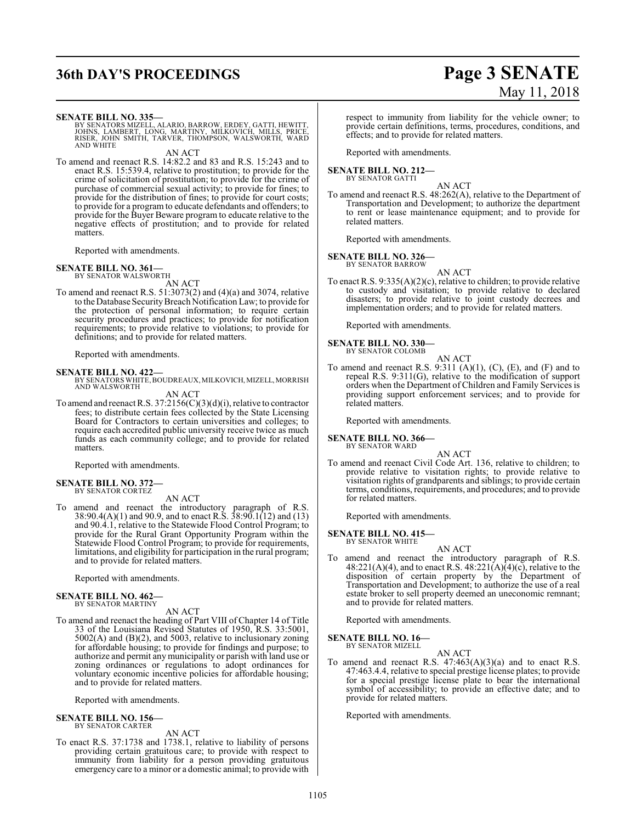## **36th DAY'S PROCEEDINGS Page 3 SENATE**

# May 11, 2018

#### **SENATE BILL NO. 335—**

BY SENATORS MIZELL, ALARIO, BARROW, ERDEY, GATTI, HEWITT,<br>JOHNS, LAMBERT, LONG, MARTINY, MILKOVICH, MILLS, PRICE,<br>RISER, JOHN SMITH, TARVER, THOMPSON, WALSWORTH, WARD AND WHITE

AN ACT

To amend and reenact R.S. 14:82.2 and 83 and R.S. 15:243 and to enact R.S. 15:539.4, relative to prostitution; to provide for the crime of solicitation of prostitution; to provide for the crime of purchase of commercial sexual activity; to provide for fines; to provide for the distribution of fines; to provide for court costs; to provide for a program to educate defendants and offenders; to provide for the Buyer Beware program to educate relative to the negative effects of prostitution; and to provide for related matters.

Reported with amendments.

#### **SENATE BILL NO. 361—**

BY SENATOR WALSWORTH

AN ACT To amend and reenact R.S. 51:3073(2) and (4)(a) and 3074, relative

to the Database Security Breach Notification Law; to provide for the protection of personal information; to require certain security procedures and practices; to provide for notification requirements; to provide relative to violations; to provide for definitions; and to provide for related matters.

Reported with amendments.

#### **SENATE BILL NO. 422—**

BY SENATORS WHITE, BOUDREAUX, MILKOVICH, MIZELL, MORRISH<br>AND WALSWORTH

AN ACT

To amend and reenact R.S. 37:2156(C)(3)(d)(i), relative to contractor fees; to distribute certain fees collected by the State Licensing Board for Contractors to certain universities and colleges; to require each accredited public university receive twice as much funds as each community college; and to provide for related matters.

Reported with amendments.

#### **SENATE BILL NO. 372—** BY SENATOR CORTEZ

AN ACT

To amend and reenact the introductory paragraph of R.S. 38:90.4(A)(1) and 90.9, and to enact R.S. 38:90.1(12) and (13) and 90.4.1, relative to the Statewide Flood Control Program; to provide for the Rural Grant Opportunity Program within the Statewide Flood Control Program; to provide for requirements, limitations, and eligibility for participation in the rural program; and to provide for related matters.

Reported with amendments.

#### **SENATE BILL NO. 462—** BY SENATOR MARTINY

AN ACT

To amend and reenact the heading of Part VIII of Chapter 14 of Title 33 of the Louisiana Revised Statutes of 1950, R.S. 33:5001, 5002(A) and (B)(2), and 5003, relative to inclusionary zoning for affordable housing; to provide for findings and purpose; to authorize and permit any municipality or parish with land use or zoning ordinances or regulations to adopt ordinances for voluntary economic incentive policies for affordable housing; and to provide for related matters.

Reported with amendments.

#### **SENATE BILL NO. 156—** BY SENATOR CARTER

AN ACT

To enact R.S. 37:1738 and 1738.1, relative to liability of persons providing certain gratuitous care; to provide with respect to immunity from liability for a person providing gratuitous emergency care to a minor or a domestic animal; to provide with respect to immunity from liability for the vehicle owner; to provide certain definitions, terms, procedures, conditions, and effects; and to provide for related matters.

Reported with amendments.

## **SENATE BILL NO. 212—** BY SENATOR GATTI

AN ACT

To amend and reenact R.S. 48:262(A), relative to the Department of Transportation and Development; to authorize the department to rent or lease maintenance equipment; and to provide for related matters.

Reported with amendments.

#### **SENATE BILL NO. 326—**

BY SENATOR BARROW AN ACT

To enact R.S. 9:335(A)(2)(c), relative to children; to provide relative to custody and visitation; to provide relative to declared disasters; to provide relative to joint custody decrees and implementation orders; and to provide for related matters.

Reported with amendments.

**SENATE BILL NO. 330—**

BY SENATOR COLOMB AN ACT

To amend and reenact R.S. 9:311  $(A)(1)$ ,  $(C)$ ,  $(E)$ , and  $(F)$  and to repeal R.S. 9:311(G), relative to the modification of support orders when the Department of Children and Family Services is providing support enforcement services; and to provide for related matters.

Reported with amendments.

#### **SENATE BILL NO. 366—** BY SENATOR WARD

AN ACT

To amend and reenact Civil Code Art. 136, relative to children; to provide relative to visitation rights; to provide relative to visitation rights of grandparents and siblings; to provide certain terms, conditions, requirements, and procedures; and to provide for related matters.

Reported with amendments.

#### **SENATE BILL NO. 415—** BY SENATOR WHITE

AN ACT

To amend and reenact the introductory paragraph of R.S.  $48:221(A)(4)$ , and to enact R.S.  $48:221(A)(4)(c)$ , relative to the disposition of certain property by the Department of Transportation and Development; to authorize the use of a real estate broker to sell property deemed an uneconomic remnant; and to provide for related matters.

Reported with amendments.

**SENATE BILL NO. 16—**

BY SENATOR MIZELL

AN ACT

To amend and reenact R.S. 47:463(A)(3)(a) and to enact R.S. 47:463.4.4, relative to special prestige license plates; to provide for a special prestige license plate to bear the international symbol of accessibility; to provide an effective date; and to provide for related matters.

Reported with amendments.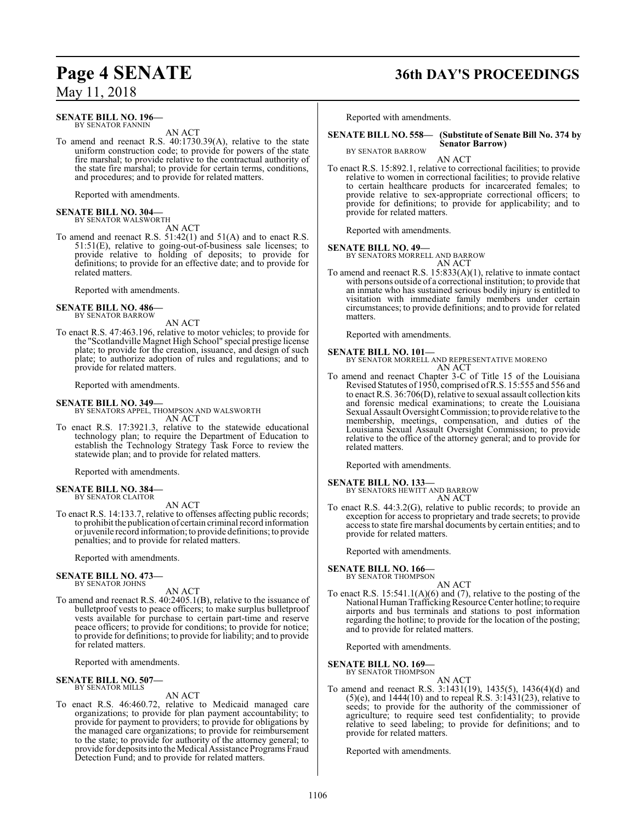#### **SENATE BILL NO. 196—** BY SENATOR FANNIN

AN ACT

To amend and reenact R.S. 40:1730.39(A), relative to the state uniform construction code; to provide for powers of the state fire marshal; to provide relative to the contractual authority of the state fire marshal; to provide for certain terms, conditions, and procedures; and to provide for related matters.

Reported with amendments.

#### **SENATE BILL NO. 304—** BY SENATOR WALSWORTH

AN ACT

To amend and reenact R.S. 51:42(1) and 51(A) and to enact R.S. 51:51(E), relative to going-out-of-business sale licenses; to provide relative to holding of deposits; to provide for definitions; to provide for an effective date; and to provide for related matters.

Reported with amendments.

#### **SENATE BILL NO. 486—** BY SENATOR BARROW

AN ACT

To enact R.S. 47:463.196, relative to motor vehicles; to provide for the "Scotlandville Magnet High School" special prestige license plate; to provide for the creation, issuance, and design of such plate; to authorize adoption of rules and regulations; and to provide for related matters.

Reported with amendments.

#### **SENATE BILL NO. 349—**

BY SENATORS APPEL, THOMPSON AND WALSWORTH

AN ACT To enact R.S. 17:3921.3, relative to the statewide educational technology plan; to require the Department of Education to establish the Technology Strategy Task Force to review the statewide plan; and to provide for related matters.

Reported with amendments.

#### **SENATE BILL NO. 384—** BY SENATOR CLAITOR

AN ACT

To enact R.S. 14:133.7, relative to offenses affecting public records; to prohibit the publication of certain criminal record information orjuvenile record information; to provide definitions; to provide penalties; and to provide for related matters.

Reported with amendments.

#### **SENATE BILL NO. 473—** BY SENATOR JOHNS

AN ACT

To amend and reenact R.S. 40:2405.1(B), relative to the issuance of bulletproof vests to peace officers; to make surplus bulletproof vests available for purchase to certain part-time and reserve peace officers; to provide for conditions; to provide for notice; to provide for definitions; to provide for liability; and to provide for related matters.

Reported with amendments.

#### **SENATE BILL NO. 507—** BY SENATOR MILLS

AN ACT

To enact R.S. 46:460.72, relative to Medicaid managed care organizations; to provide for plan payment accountability; to provide for payment to providers; to provide for obligations by the managed care organizations; to provide for reimbursement to the state; to provide for authority of the attorney general; to provide for depositsinto the Medical Assistance Programs Fraud Detection Fund; and to provide for related matters.

## **Page 4 SENATE 36th DAY'S PROCEEDINGS**

Reported with amendments.

#### **SENATE BILL NO. 558— (Substitute of Senate Bill No. 374 by Senator Barrow)** BY SENATOR BARROW

AN ACT

To enact R.S. 15:892.1, relative to correctional facilities; to provide relative to women in correctional facilities; to provide relative to certain healthcare products for incarcerated females; to provide relative to sex-appropriate correctional officers; to provide for definitions; to provide for applicability; and to provide for related matters.

Reported with amendments.

**SENATE BILL NO. 49—** BY SENATORS MORRELL AND BARROW

AN ACT To amend and reenact R.S. 15:833(A)(1), relative to inmate contact with persons outside of a correctional institution; to provide that an inmate who has sustained serious bodily injury is entitled to visitation with immediate family members under certain circumstances; to provide definitions; and to provide for related matters.

Reported with amendments.

**SENATE BILL NO. 101—** BY SENATOR MORRELL AND REPRESENTATIVE MORENO AN ACT

To amend and reenact Chapter 3-C of Title 15 of the Louisiana Revised Statutes of 1950, comprised ofR.S. 15:555 and 556 and to enact R.S. 36:706(D), relative to sexual assault collection kits and forensic medical examinations; to create the Louisiana Sexual Assault Oversight Commission; to provide relative to the membership, meetings, compensation, and duties of the Louisiana Sexual Assault Oversight Commission; to provide relative to the office of the attorney general; and to provide for related matters.

Reported with amendments.

### **SENATE BILL NO. 133—**

BY SENATORS HEWITT AND BARROW AN ACT

To enact R.S. 44:3.2(G), relative to public records; to provide an exception for access to proprietary and trade secrets; to provide access to state fire marshal documents by certain entities; and to provide for related matters.

Reported with amendments.

**SENATE BILL NO. 166—**<br>BY SENATOR THOMPSON

AN ACT

To enact R.S. 15:541.1(A)(6) and (7), relative to the posting of the National Human Trafficking Resource Center hotline; to require airports and bus terminals and stations to post information regarding the hotline; to provide for the location of the posting; and to provide for related matters.

Reported with amendments.

#### **SENATE BILL NO. 169—**

BY SENATOR THOMPSON AN ACT

To amend and reenact R.S. 3:1431(19), 1435(5), 1436(4)(d) and (5)(e), and  $1444(10)$  and to repeal R.S. 3:1431(23), relative to seeds; to provide for the authority of the commissioner of agriculture; to require seed test confidentiality; to provide relative to seed labeling; to provide for definitions; and to provide for related matters.

Reported with amendments.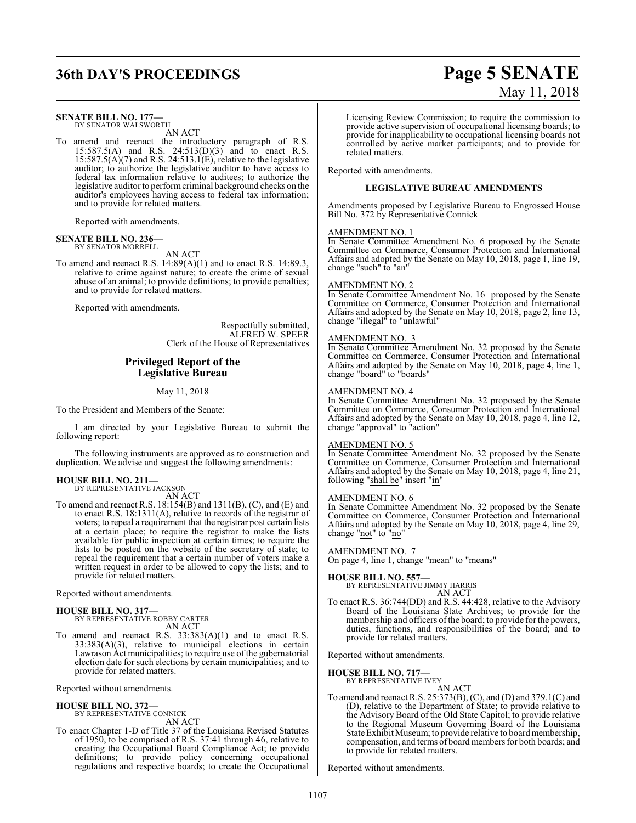## **36th DAY'S PROCEEDINGS Page 5 SENATE**

#### **SENATE BILL NO. 177—**

BY SENATOR WALSWORTH AN ACT

To amend and reenact the introductory paragraph of R.S. 15:587.5(A) and R.S. 24:513(D)(3) and to enact R.S.  $15:587.5(A)(7)$  and R.S. 24:513.1(E), relative to the legislative auditor; to authorize the legislative auditor to have access to federal tax information relative to auditees; to authorize the legislative auditor to performcriminal background checks on the auditor's employees having access to federal tax information; and to provide for related matters.

Reported with amendments.

#### **SENATE BILL NO. 236—** BY SENATOR MORRELL

AN ACT

To amend and reenact R.S.  $14:89(A)(1)$  and to enact R.S.  $14:89.3$ , relative to crime against nature; to create the crime of sexual abuse of an animal; to provide definitions; to provide penalties; and to provide for related matters.

Reported with amendments.

Respectfully submitted, ALFRED W. SPEER Clerk of the House of Representatives

### **Privileged Report of the Legislative Bureau**

May 11, 2018

To the President and Members of the Senate:

I am directed by your Legislative Bureau to submit the following report:

The following instruments are approved as to construction and duplication. We advise and suggest the following amendments:

#### **HOUSE BILL NO. 211—** BY REPRESENTATIVE JACKSON

AN ACT

To amend and reenact R.S. 18:154(B) and 1311(B), (C), and (E) and to enact R.S. 18:1311(A), relative to records of the registrar of voters; to repeal a requirement that the registrar post certain lists at a certain place; to require the registrar to make the lists available for public inspection at certain times; to require the lists to be posted on the website of the secretary of state; to repeal the requirement that a certain number of voters make a written request in order to be allowed to copy the lists; and to provide for related matters.

Reported without amendments.

## **HOUSE BILL NO. 317—**

BY REPRESENTATIVE ROBBY CARTER AN ACT

To amend and reenact R.S. 33:383(A)(1) and to enact R.S.  $33:383(A)(3)$ , relative to municipal elections in certain Lawrason Act municipalities; to require use of the gubernatorial election date for such elections by certain municipalities; and to provide for related matters.

Reported without amendments.

**HOUSE BILL NO. 372—** BY REPRESENTATIVE CONNICK AN ACT

To enact Chapter 1-D of Title 37 of the Louisiana Revised Statutes of 1950, to be comprised of R.S. 37:41 through 46, relative to creating the Occupational Board Compliance Act; to provide definitions; to provide policy concerning occupational regulations and respective boards; to create the Occupational

# May 11, 2018

Licensing Review Commission; to require the commission to provide active supervision of occupational licensing boards; to provide for inapplicability to occupational licensing boards not controlled by active market participants; and to provide for related matters.

Reported with amendments.

#### **LEGISLATIVE BUREAU AMENDMENTS**

Amendments proposed by Legislative Bureau to Engrossed House Bill No. 372 by Representative Connick

#### AMENDMENT NO. 1

In Senate Committee Amendment No. 6 proposed by the Senate Committee on Commerce, Consumer Protection and International Affairs and adopted by the Senate on May 10, 2018, page 1, line 19, change "such" to "an'

#### AMENDMENT NO. 2

In Senate Committee Amendment No. 16 proposed by the Senate Committee on Commerce, Consumer Protection and International Affairs and adopted by the Senate on May 10, 2018, page 2, line 13, change "illegal" to "unlawful"

#### AMENDMENT NO. 3

In Senate Committee Amendment No. 32 proposed by the Senate Committee on Commerce, Consumer Protection and International Affairs and adopted by the Senate on May 10, 2018, page 4, line 1, change "board" to "boards"

#### AMENDMENT NO. 4

In Senate Committee Amendment No. 32 proposed by the Senate Committee on Commerce, Consumer Protection and International Affairs and adopted by the Senate on May 10, 2018, page 4, line 12, change "approval" to "action"

#### AMENDMENT NO. 5

In Senate Committee Amendment No. 32 proposed by the Senate Committee on Commerce, Consumer Protection and International Affairs and adopted by the Senate on May 10, 2018, page 4, line 21, following "shall be" insert "in"

#### AMENDMENT NO. 6

In Senate Committee Amendment No. 32 proposed by the Senate Committee on Commerce, Consumer Protection and International Affairs and adopted by the Senate on May 10, 2018, page 4, line 29, change "not" to "no"

#### AMENDMENT NO. 7

On page 4, line 1, change "mean" to "means"

#### **HOUSE BILL NO. 557—**

BY REPRESENTATIVE JIMMY HARRIS AN ACT

To enact R.S. 36:744(DD) and R.S. 44:428, relative to the Advisory Board of the Louisiana State Archives; to provide for the membership and officers of the board; to provide for the powers, duties, functions, and responsibilities of the board; and to provide for related matters.

Reported without amendments.

#### **HOUSE BILL NO. 717—** BY REPRESENTATIVE IVEY

AN ACT

To amend and reenact R.S. 25:373(B), (C), and (D) and 379.1(C) and (D), relative to the Department of State; to provide relative to the Advisory Board of the Old State Capitol; to provide relative to the Regional Museum Governing Board of the Louisiana State Exhibit Museum; to provide relative to board membership, compensation, and terms of board members for both boards; and to provide for related matters.

Reported without amendments.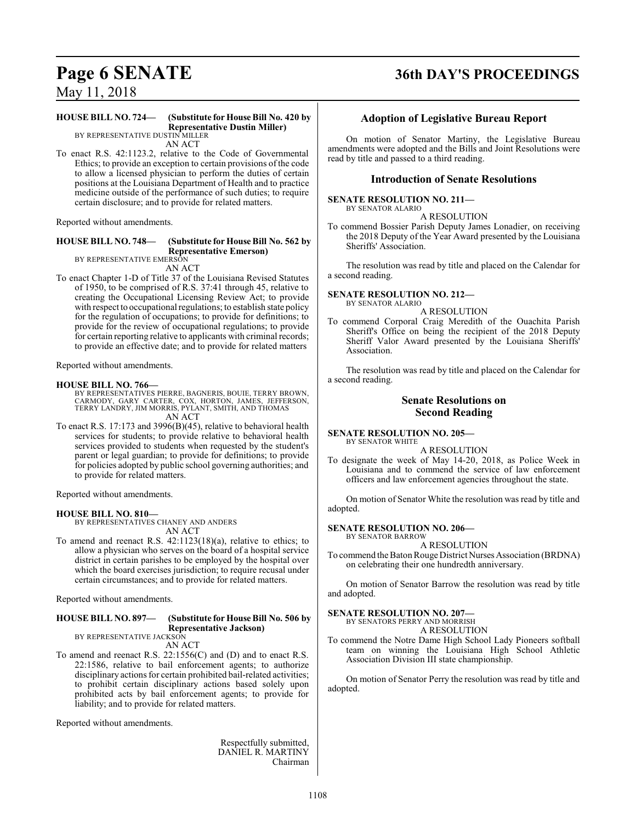## **Page 6 SENATE 36th DAY'S PROCEEDINGS**

May 11, 2018

#### **HOUSE BILL NO. 724— (Substitute for House Bill No. 420 by Representative Dustin Miller)**

BY REPRESENTATIVE DUSTIN MILLER AN ACT

To enact R.S. 42:1123.2, relative to the Code of Governmental Ethics; to provide an exception to certain provisions of the code to allow a licensed physician to perform the duties of certain positions at the Louisiana Department of Health and to practice medicine outside of the performance of such duties; to require certain disclosure; and to provide for related matters.

Reported without amendments.

#### **HOUSE BILL NO. 748— (Substitute for House Bill No. 562 by Representative Emerson)** BY REPRESENTATIVE EMERSON

AN ACT

To enact Chapter 1-D of Title 37 of the Louisiana Revised Statutes of 1950, to be comprised of R.S. 37:41 through 45, relative to creating the Occupational Licensing Review Act; to provide with respect to occupational regulations; to establish state policy for the regulation of occupations; to provide for definitions; to provide for the review of occupational regulations; to provide for certain reporting relative to applicants with criminal records; to provide an effective date; and to provide for related matters

Reported without amendments.

#### **HOUSE BILL NO. 766—**

BY REPRESENTATIVES PIERRE, BAGNERIS, BOUIE, TERRY BROWN,<br>CARMODY, GARY CARTER, COX, HORTON, JAMES, JEFFERSON,<br>TERRY LANDRY, JIM MORRIS, PYLANT, SMITH, AND THOMAS AN ACT

To enact R.S. 17:173 and 3996(B)(45), relative to behavioral health services for students; to provide relative to behavioral health services provided to students when requested by the student's parent or legal guardian; to provide for definitions; to provide for policies adopted by public school governing authorities; and to provide for related matters.

Reported without amendments.

#### **HOUSE BILL NO. 810—**

BY REPRESENTATIVES CHANEY AND ANDERS AN ACT

To amend and reenact R.S. 42:1123(18)(a), relative to ethics; to allow a physician who serves on the board of a hospital service district in certain parishes to be employed by the hospital over which the board exercises jurisdiction; to require recusal under certain circumstances; and to provide for related matters.

Reported without amendments.

#### **HOUSE BILL NO. 897— (Substitute for House Bill No. 506 by Representative Jackson)** BY REPRESENTATIVE JACKSON

AN ACT

To amend and reenact R.S. 22:1556(C) and (D) and to enact R.S. 22:1586, relative to bail enforcement agents; to authorize disciplinary actions for certain prohibited bail-related activities; to prohibit certain disciplinary actions based solely upon prohibited acts by bail enforcement agents; to provide for liability; and to provide for related matters.

Reported without amendments.

Respectfully submitted, DANIEL R. MARTINY Chairman

### **Adoption of Legislative Bureau Report**

On motion of Senator Martiny, the Legislative Bureau amendments were adopted and the Bills and Joint Resolutions were read by title and passed to a third reading.

#### **Introduction of Senate Resolutions**

#### **SENATE RESOLUTION NO. 211—**

BY SENATOR ALARIO A RESOLUTION

To commend Bossier Parish Deputy James Lonadier, on receiving the 2018 Deputy of the Year Award presented by the Louisiana Sheriffs' Association.

The resolution was read by title and placed on the Calendar for a second reading.

#### **SENATE RESOLUTION NO. 212—** BY SENATOR ALARIO

A RESOLUTION

To commend Corporal Craig Meredith of the Ouachita Parish Sheriff's Office on being the recipient of the 2018 Deputy Sheriff Valor Award presented by the Louisiana Sheriffs' Association.

The resolution was read by title and placed on the Calendar for a second reading.

#### **Senate Resolutions on Second Reading**

**SENATE RESOLUTION NO. 205—** BY SENATOR WHITE

A RESOLUTION

To designate the week of May 14-20, 2018, as Police Week in Louisiana and to commend the service of law enforcement officers and law enforcement agencies throughout the state.

On motion of Senator White the resolution was read by title and adopted.

#### **SENATE RESOLUTION NO. 206—**

BY SENATOR BARROW

A RESOLUTION To commend the Baton Rouge District Nurses Association (BRDNA) on celebrating their one hundredth anniversary.

On motion of Senator Barrow the resolution was read by title and adopted.

#### **SENATE RESOLUTION NO. 207—**

BY SENATORS PERRY AND MORRISH A RESOLUTION

To commend the Notre Dame High School Lady Pioneers softball team on winning the Louisiana High School Athletic Association Division III state championship.

On motion of Senator Perry the resolution was read by title and adopted.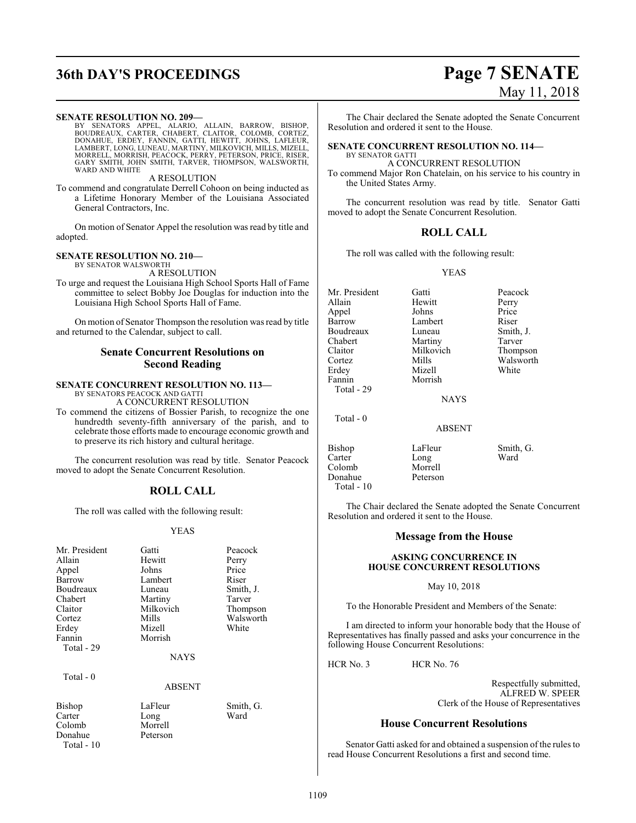# **36th DAY'S PROCEEDINGS Page 7 SENATE**

#### **SENATE RESOLUTION NO. 209—**

BY SENATORS APPEL, ALARIO, ALLAIN, BARROW, BISHOP,<br>BOUDREAUX, CARTER, CHABERT, CLAITOR, COLOMB, CORTEZ,<br>DONAHUE, ERDEY, FANNIN, GATTI, HEWITT, JOHNS, LAFLEUR,<br>LAMBERT, LONG,LUNEAU, MARTINY,MILKOVICH,MILLS,MIZELL,<br>MORRELL,M WARD AND WHITE

A RESOLUTION

To commend and congratulate Derrell Cohoon on being inducted as a Lifetime Honorary Member of the Louisiana Associated General Contractors, Inc.

On motion of Senator Appel the resolution was read by title and adopted.

#### **SENATE RESOLUTION NO. 210—**

BY SENATOR WALSWORTH

A RESOLUTION

To urge and request the Louisiana High School Sports Hall of Fame committee to select Bobby Joe Douglas for induction into the Louisiana High School Sports Hall of Fame.

On motion of Senator Thompson the resolution was read by title and returned to the Calendar, subject to call.

#### **Senate Concurrent Resolutions on Second Reading**

#### **SENATE CONCURRENT RESOLUTION NO. 113—** BY SENATORS PEACOCK AND GATTI

A CONCURRENT RESOLUTION

To commend the citizens of Bossier Parish, to recognize the one hundredth seventy-fifth anniversary of the parish, and to celebrate those efforts made to encourage economic growth and to preserve its rich history and cultural heritage.

The concurrent resolution was read by title. Senator Peacock moved to adopt the Senate Concurrent Resolution.

### **ROLL CALL**

The roll was called with the following result:

#### YEAS

| Mr. President<br>Allain<br>Appel<br>Barrow<br>Boudreaux<br>Chabert | Gatti<br>Hewitt<br>Johns<br>Lambert<br>Luneau<br>Martiny | Peacock<br>Perry<br>Price<br>Riser<br>Smith, J.<br>Tarver |
|--------------------------------------------------------------------|----------------------------------------------------------|-----------------------------------------------------------|
| Claitor                                                            | Milkovich                                                | Thompson                                                  |
| Cortez                                                             | Mills                                                    | Walsworth                                                 |
| Erdey                                                              | Mizell                                                   | White                                                     |
| Fannin                                                             | Morrish                                                  |                                                           |
| Total - 29                                                         |                                                          |                                                           |
|                                                                    | <b>NAYS</b>                                              |                                                           |
|                                                                    |                                                          |                                                           |
| Total $-0$                                                         |                                                          |                                                           |
|                                                                    | <b>ABSENT</b>                                            |                                                           |
| Bishop<br>Carter                                                   | LaFleur<br>Long                                          | Smith, G.<br>Ward                                         |

Colomb Morrell<br>Donahue Peterson

Donahue Total - 10 May 11, 2018

The Chair declared the Senate adopted the Senate Concurrent Resolution and ordered it sent to the House.

#### **SENATE CONCURRENT RESOLUTION NO. 114—** BY SENATOR GATTI

A CONCURRENT RESOLUTION

To commend Major Ron Chatelain, on his service to his country in the United States Army.

The concurrent resolution was read by title. Senator Gatti moved to adopt the Senate Concurrent Resolution.

#### **ROLL CALL**

The roll was called with the following result:

YEAS

Mr. President Gatti Beacock<br>Allain Hewitt Perry Appel Johns Price Boudreaux Luneau Smith,<br>
Chabert Martiny Tarver Chabert Martiny<br>Claitor Milkovich Claitor Milkovich Thompson<br>Cortez Mills Walsworth Erdey Fannin Morrish Total - 29

Hewitt Lambert Riser<br>
Luneau Smith, J.

Morrell<br>Peterson

Mills Walsworth<br>
Mizell White

NAYS

ABSENT

Total - 0

Bishop LaFleur Smith, G.<br>Carter Long Ward Carter<br>Colomb Donahue Total - 10

The Chair declared the Senate adopted the Senate Concurrent Resolution and ordered it sent to the House.

#### **Message from the House**

#### **ASKING CONCURRENCE IN HOUSE CONCURRENT RESOLUTIONS**

May 10, 2018

To the Honorable President and Members of the Senate:

I am directed to inform your honorable body that the House of Representatives has finally passed and asks your concurrence in the following House Concurrent Resolutions:

HCR No. 3 HCR No. 76

Respectfully submitted, ALFRED W. SPEER Clerk of the House of Representatives

### **House Concurrent Resolutions**

Senator Gatti asked for and obtained a suspension of the rules to read House Concurrent Resolutions a first and second time.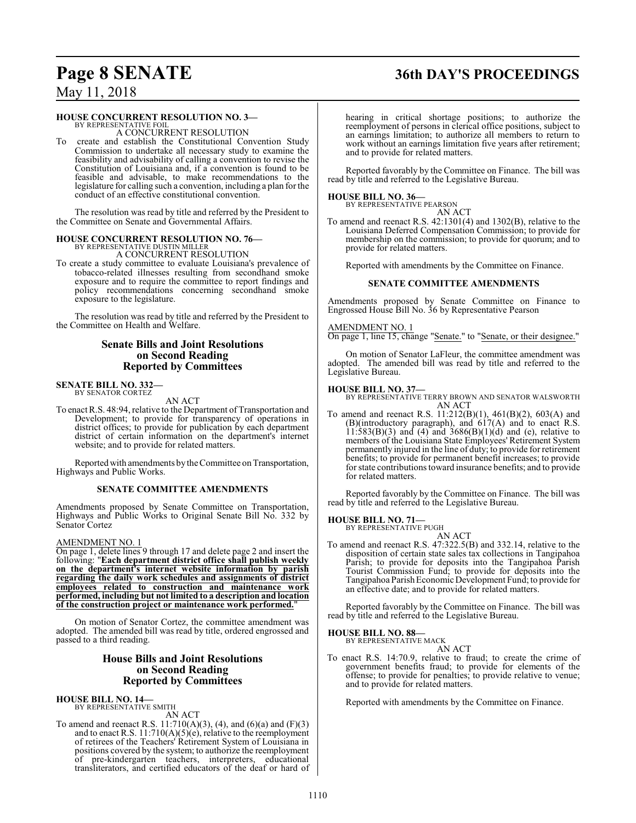## **Page 8 SENATE 36th DAY'S PROCEEDINGS**

## May 11, 2018

#### **HOUSE CONCURRENT RESOLUTION NO. 3—**

BY REPRESENTATIVE FOIL A CONCURRENT RESOLUTION

create and establish the Constitutional Convention Study Commission to undertake all necessary study to examine the feasibility and advisability of calling a convention to revise the Constitution of Louisiana and, if a convention is found to be feasible and advisable, to make recommendations to the legislature for calling such a convention, including a plan for the conduct of an effective constitutional convention.

The resolution was read by title and referred by the President to the Committee on Senate and Governmental Affairs.

#### **HOUSE CONCURRENT RESOLUTION NO. 76—** BY REPRESENTATIVE DUSTIN MILLER

A CONCURRENT RESOLUTION

To create a study committee to evaluate Louisiana's prevalence of tobacco-related illnesses resulting from secondhand smoke exposure and to require the committee to report findings and policy recommendations concerning secondhand smoke exposure to the legislature.

The resolution was read by title and referred by the President to the Committee on Health and Welfare.

### **Senate Bills and Joint Resolutions on Second Reading Reported by Committees**

## **SENATE BILL NO. 332—** BY SENATOR CORTEZ

AN ACT

To enact R.S. 48:94, relative to the Department of Transportation and Development; to provide for transparency of operations in district offices; to provide for publication by each department district of certain information on the department's internet website; and to provide for related matters.

Reported with amendments by the Committee on Transportation, Highways and Public Works.

#### **SENATE COMMITTEE AMENDMENTS**

Amendments proposed by Senate Committee on Transportation, Highways and Public Works to Original Senate Bill No. 332 by Senator Cortez

#### AMENDMENT NO. 1

On page 1, delete lines 9 through 17 and delete page 2 and insert the following: "**Each department district office shall publish weekly on the department's internet website information by parish regarding the daily work schedules and assignments of district employees related to construction and maintenance work performed, including but not limited to a description and location of the construction project or maintenance work performed.**"

On motion of Senator Cortez, the committee amendment was adopted. The amended bill was read by title, ordered engrossed and passed to a third reading.

#### **House Bills and Joint Resolutions on Second Reading Reported by Committees**

**HOUSE BILL NO. 14—** BY REPRESENTATIVE SMITH

AN ACT

To amend and reenact R.S.  $11:710(A)(3)$ , (4), and (6)(a) and (F)(3) and to enact R.S. 11:710(A)(5)(e), relative to the reemployment of retirees of the Teachers' Retirement System of Louisiana in positions covered by the system; to authorize the reemployment of pre-kindergarten teachers, interpreters, educational transliterators, and certified educators of the deaf or hard of hearing in critical shortage positions; to authorize the reemployment of persons in clerical office positions, subject to an earnings limitation; to authorize all members to return to work without an earnings limitation five years after retirement; and to provide for related matters.

Reported favorably by the Committee on Finance. The bill was read by title and referred to the Legislative Bureau.

## **HOUSE BILL NO. 36—** BY REPRESENTATIVE PEARSON

AN ACT

To amend and reenact R.S. 42:1301(4) and 1302(B), relative to the Louisiana Deferred Compensation Commission; to provide for membership on the commission; to provide for quorum; and to provide for related matters.

Reported with amendments by the Committee on Finance.

#### **SENATE COMMITTEE AMENDMENTS**

Amendments proposed by Senate Committee on Finance to Engrossed House Bill No. 36 by Representative Pearson

#### AMENDMENT NO. 1

On page 1, line 15, change "Senate." to "Senate, or their designee."

On motion of Senator LaFleur, the committee amendment was adopted. The amended bill was read by title and referred to the Legislative Bureau.

#### **HOUSE BILL NO. 37—**

BY REPRESENTATIVE TERRY BROWN AND SENATOR WALSWORTH AN ACT

To amend and reenact R.S. 11:212(B)(1), 461(B)(2), 603(A) and (B)(introductory paragraph), and 617(A) and to enact R.S.  $11:583(B)(3)$  and  $(4)$  and  $3686(B)(1)(d)$  and  $(e)$ , relative to members of the Louisiana State Employees' Retirement System permanently injured in the line of duty; to provide for retirement benefits; to provide for permanent benefit increases; to provide for state contributions toward insurance benefits; and to provide for related matters.

Reported favorably by the Committee on Finance. The bill was read by title and referred to the Legislative Bureau.

## **HOUSE BILL NO. 71—** BY REPRESENTATIVE PUGH

AN ACT To amend and reenact R.S. 47:322.5(B) and 332.14, relative to the disposition of certain state sales tax collections in Tangipahoa Parish; to provide for deposits into the Tangipahoa Parish Tourist Commission Fund; to provide for deposits into the Tangipahoa Parish Economic Development Fund; to provide for an effective date; and to provide for related matters.

Reported favorably by the Committee on Finance. The bill was read by title and referred to the Legislative Bureau.

#### **HOUSE BILL NO. 88—**

BY REPRESENTATIVE MACK AN ACT

To enact R.S. 14:70.9, relative to fraud; to create the crime of government benefits fraud; to provide for elements of the offense; to provide for penalties; to provide relative to venue; and to provide for related matters.

Reported with amendments by the Committee on Finance.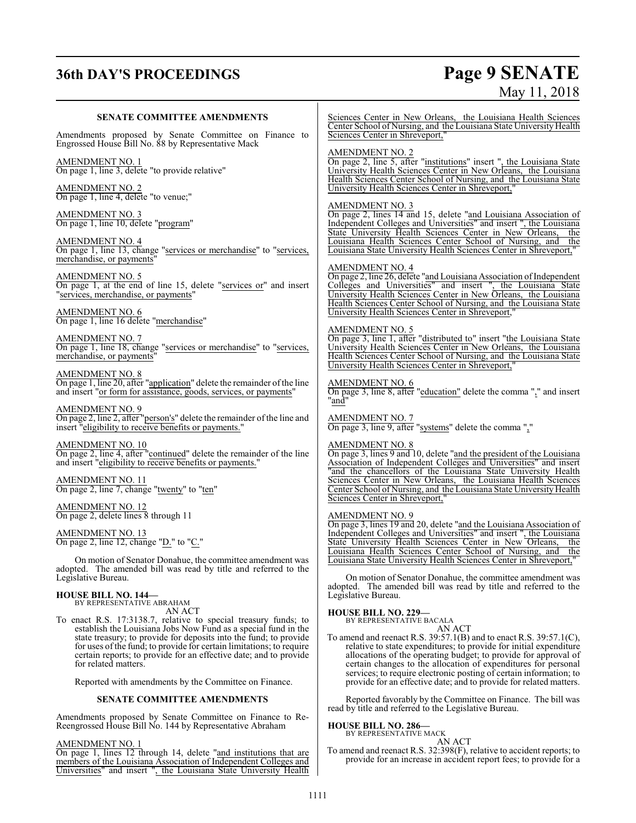# **36th DAY'S PROCEEDINGS Page 9 SENATE**

# May 11, 2018

| <b>SENATE COMMITTEE AMENDMENTS</b>                                                                                                                                                                                                                                                                                                                                                    | Sciences Center in New Orleans, the Louisiana Health Sciences<br>Center School of Nursing, and the Louisiana State University Health                                                                                                                                                                                                                                                                                         |
|---------------------------------------------------------------------------------------------------------------------------------------------------------------------------------------------------------------------------------------------------------------------------------------------------------------------------------------------------------------------------------------|------------------------------------------------------------------------------------------------------------------------------------------------------------------------------------------------------------------------------------------------------------------------------------------------------------------------------------------------------------------------------------------------------------------------------|
| Amendments proposed by Senate Committee on Finance to<br>Engrossed House Bill No. 88 by Representative Mack                                                                                                                                                                                                                                                                           | Sciences Center in Shreveport,"                                                                                                                                                                                                                                                                                                                                                                                              |
| AMENDMENT NO. 1<br>On page 1, line 3, delete "to provide relative"                                                                                                                                                                                                                                                                                                                    | <b>AMENDMENT NO. 2</b><br>On page 2, line 5, after "institutions" insert ", the Louisiana State<br>University Health Sciences Center in New Orleans, the Louisiana                                                                                                                                                                                                                                                           |
| <b>AMENDMENT NO. 2</b><br>On page 1, line 4, delete "to venue;"                                                                                                                                                                                                                                                                                                                       | Health Sciences Center School of Nursing, and the Louisiana State<br>University Health Sciences Center in Shreveport,"                                                                                                                                                                                                                                                                                                       |
| AMENDMENT NO. 3<br>On page 1, line 10, delete "program"                                                                                                                                                                                                                                                                                                                               | <b>AMENDMENT NO. 3</b><br>On page 2, lines 14 and 15, delete "and Louisiana Association of<br>Independent Colleges and Universities" and insert", the Louisiana<br>State University Health Sciences Center in New Orleans,<br>the                                                                                                                                                                                            |
| <u>AMENDMENT NO. 4</u><br>On page 1, line 13, change "services or merchandise" to "services,<br>merchandise, or payments'                                                                                                                                                                                                                                                             | Louisiana Health Sciences Center School of Nursing, and the<br>Louisiana State University Health Sciences Center in Shreveport,"                                                                                                                                                                                                                                                                                             |
| <u>AMENDMENT NO. 5</u><br>On page 1, at the end of line 15, delete "services or" and insert<br>"services, merchandise, or payments"                                                                                                                                                                                                                                                   | <b>AMENDMENT NO. 4</b><br>On page 2, line 26, delete "and Louisiana Association of Independent<br>Colleges and Universities" and insert ", the Louisiana State<br>University Health Sciences Center in New Orleans, the Louisiana<br>Health Sciences Center School of Nursing, and the Louisiana State                                                                                                                       |
| <b>AMENDMENT NO. 6</b><br>On page 1, line 16 delete "merchandise"                                                                                                                                                                                                                                                                                                                     | University Health Sciences Center in Shreveport,"                                                                                                                                                                                                                                                                                                                                                                            |
| <b>AMENDMENT NO. 7</b><br>On page 1, line 18, change "services or merchandise" to "services,<br>merchandise, or payments'                                                                                                                                                                                                                                                             | <b>AMENDMENT NO. 5</b><br>On page 3, line 1, after "distributed to" insert "the Louisiana State<br>University Health Sciences Center in New Orleans, the Louisiana<br>Health Sciences Center School of Nursing, and the Louisiana State<br>University Health Sciences Center in Shreveport,"                                                                                                                                 |
| AMENDMENT NO. 8<br>On page 1, line 20, after "application" delete the remainder of the line<br>and insert "or form for assistance, goods, services, or payments"                                                                                                                                                                                                                      | <b>AMENDMENT NO. 6</b><br>On page 3, line 8, after "education" delete the comma "," and insert<br>"and"                                                                                                                                                                                                                                                                                                                      |
| AMENDMENT NO. 9<br>On page 2, line 2, after "person's" delete the remainder of the line and<br>insert "eligibility to receive benefits or payments."                                                                                                                                                                                                                                  | <b>AMENDMENT NO. 7</b><br>On page 3, line 9, after "systems" delete the comma ","                                                                                                                                                                                                                                                                                                                                            |
| AMENDMENT NO. 10<br>On page 2, line 4, after "continued" delete the remainder of the line<br>and insert "eligibility to receive benefits or payments."                                                                                                                                                                                                                                | <b>AMENDMENT NO. 8</b><br>On page 3, lines 9 and 10, delete "and the president of the Louisiana<br>Association of Independent Colleges and Universities" and insert<br>"and the chancellors of the Louisiana State University Health                                                                                                                                                                                         |
| <u>AMENDMENT NO. 11</u><br>On page 2, line 7, change "twenty" to "ten"                                                                                                                                                                                                                                                                                                                | Sciences Center in New Orleans, the Louisiana Health Sciences<br>Center School of Nursing, and the Louisiana State University Health<br>Sciences Center in Shreveport,"                                                                                                                                                                                                                                                      |
| AMENDMENT NO. 12<br>On page 2, delete lines 8 through 11                                                                                                                                                                                                                                                                                                                              | <b>AMENDMENT NO. 9</b><br>On page 3, lines 19 and 20, delete "and the Louisiana Association of                                                                                                                                                                                                                                                                                                                               |
| AMENDMENT NO. 13<br>On page 2, line 12, change "D." to "C."                                                                                                                                                                                                                                                                                                                           | Independent Colleges and Universities" and insert ", the Louisiana<br>State University Health Sciences Center in New Orleans,<br>the<br>Louisiana Health Sciences Center School of Nursing, and<br>the                                                                                                                                                                                                                       |
| On motion of Senator Donahue, the committee amendment was<br>adopted. The amended bill was read by title and referred to the<br>Legislative Bureau.                                                                                                                                                                                                                                   | Louisiana State University Health Sciences Center in Shreveport,"<br>On motion of Senator Donahue, the committee amendment was                                                                                                                                                                                                                                                                                               |
| <b>HOUSE BILL NO. 144—</b><br>BY REPRESENTATIVE ABRAHAM                                                                                                                                                                                                                                                                                                                               | adopted. The amended bill was read by title and referred to the<br>Legislative Bureau.                                                                                                                                                                                                                                                                                                                                       |
| AN ACT<br>To enact R.S. 17:3138.7, relative to special treasury funds; to<br>establish the Louisiana Jobs Now Fund as a special fund in the<br>state treasury; to provide for deposits into the fund; to provide<br>for uses of the fund; to provide for certain limitations; to require<br>certain reports; to provide for an effective date; and to provide<br>for related matters. | <b>HOUSE BILL NO. 229-</b><br>BY REPRESENTATIVE BACALA<br>AN ACT<br>To amend and reenact R.S. $39:57.1(B)$ and to enact R.S. $39:57.1(C)$ ,<br>relative to state expenditures; to provide for initial expenditure<br>allocations of the operating budget; to provide for approval of<br>certain changes to the allocation of expenditures for personal<br>services; to require electronic posting of certain information; to |
| Reported with amendments by the Committee on Finance.                                                                                                                                                                                                                                                                                                                                 | provide for an effective date; and to provide for related matters.                                                                                                                                                                                                                                                                                                                                                           |

Reported favorably by the Committee on Finance. The bill was read by title and referred to the Legislative Bureau.

# **HOUSE BILL NO. 286—** BY REPRESENTATIVE MACK AN ACT

To amend and reenact R.S. 32:398(F), relative to accident reports; to provide for an increase in accident report fees; to provide for a

**SENATE COMMITTEE AMENDMENTS** Amendments proposed by Senate Committee on Finance to Re-Reengrossed House Bill No. 144 by Representative Abraham

On page 1, lines 12 through 14, delete "and institutions that are members of the Louisiana Association of Independent Colleges and Universities" and insert ", the Louisiana State University Health

AMENDMENT NO. 1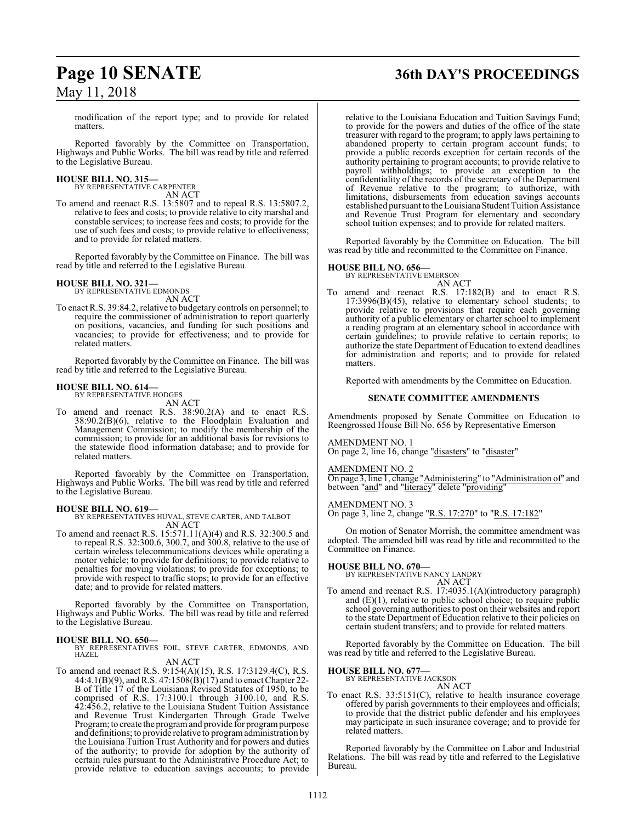## **Page 10 SENATE 36th DAY'S PROCEEDINGS**

modification of the report type; and to provide for related matters.

Reported favorably by the Committee on Transportation, Highways and Public Works. The bill was read by title and referred to the Legislative Bureau.

#### **HOUSE BILL NO. 315—**

BY REPRESENTATIVE CARPENTER AN ACT

To amend and reenact R.S. 13:5807 and to repeal R.S. 13:5807.2, relative to fees and costs; to provide relative to city marshal and constable services; to increase fees and costs; to provide for the use of such fees and costs; to provide relative to effectiveness; and to provide for related matters.

Reported favorably by the Committee on Finance. The bill was read by title and referred to the Legislative Bureau.

## **HOUSE BILL NO. 321—** BY REPRESENTATIVE EDMONDS

AN ACT

To enact R.S. 39:84.2, relative to budgetary controls on personnel; to require the commissioner of administration to report quarterly on positions, vacancies, and funding for such positions and vacancies; to provide for effectiveness; and to provide for related matters.

Reported favorably by the Committee on Finance. The bill was read by title and referred to the Legislative Bureau.

#### **HOUSE BILL NO. 614—** BY REPRESENTATIVE HODGES

AN ACT

To amend and reenact R.S. 38:90.2(A) and to enact R.S. 38:90.2(B)(6), relative to the Floodplain Evaluation and Management Commission; to modify the membership of the commission; to provide for an additional basis for revisions to the statewide flood information database; and to provide for related matters.

Reported favorably by the Committee on Transportation, Highways and Public Works. The bill was read by title and referred to the Legislative Bureau.

#### **HOUSE BILL NO. 619—**

BY REPRESENTATIVES HUVAL, STEVE CARTER, AND TALBOT AN ACT

To amend and reenact R.S. 15:571.11(A)(4) and R.S. 32:300.5 and to repeal R.S. 32:300.6, 300.7, and 300.8, relative to the use of certain wireless telecommunications devices while operating a motor vehicle; to provide for definitions; to provide relative to penalties for moving violations; to provide for exceptions; to provide with respect to traffic stops; to provide for an effective date; and to provide for related matters.

Reported favorably by the Committee on Transportation, Highways and Public Works. The bill was read by title and referred to the Legislative Bureau.

**HOUSE BILL NO. 650—** BY REPRESENTATIVES FOIL, STEVE CARTER, EDMONDS, AND HAZEL

AN ACT To amend and reenact R.S. 9:154(A)(15), R.S. 17:3129.4(C), R.S.

44:4.1(B)(9), and R.S. 47:1508(B)(17) and to enact Chapter 22- B of Title 17 of the Louisiana Revised Statutes of 1950, to be comprised of R.S. 17:3100.1 through 3100.10, and R.S. 42:456.2, relative to the Louisiana Student Tuition Assistance and Revenue Trust Kindergarten Through Grade Twelve Program; to create the program and provide for program purpose and definitions; to provide relative to programadministration by the Louisiana Tuition Trust Authority and for powers and duties of the authority; to provide for adoption by the authority of certain rules pursuant to the Administrative Procedure Act; to provide relative to education savings accounts; to provide relative to the Louisiana Education and Tuition Savings Fund; to provide for the powers and duties of the office of the state treasurer with regard to the program; to apply laws pertaining to abandoned property to certain program account funds; to provide a public records exception for certain records of the authority pertaining to program accounts; to provide relative to payroll withholdings; to provide an exception to the confidentiality of the records of the secretary of the Department of Revenue relative to the program; to authorize, with limitations, disbursements from education savings accounts established pursuant to the Louisiana Student Tuition Assistance and Revenue Trust Program for elementary and secondary school tuition expenses; and to provide for related matters.

Reported favorably by the Committee on Education. The bill was read by title and recommitted to the Committee on Finance.

## **HOUSE BILL NO. 656—** BY REPRESENTATIVE EMERSON

AN ACT To amend and reenact R.S. 17:182(B) and to enact R.S. 17:3996(B)(45), relative to elementary school students; to provide relative to provisions that require each governing authority of a public elementary or charter school to implement a reading program at an elementary school in accordance with certain guidelines; to provide relative to certain reports; to authorize the state Department ofEducation to extend deadlines for administration and reports; and to provide for related matters.

Reported with amendments by the Committee on Education.

#### **SENATE COMMITTEE AMENDMENTS**

Amendments proposed by Senate Committee on Education to Reengrossed House Bill No. 656 by Representative Emerson

AMENDMENT NO. 1 On page 2, line 16, change "disasters" to "disaster"

AMENDMENT NO. 2

On page 3, line 1, change "Administering" to "Administration of" and between "and" and "literacy" delete "providing"

#### AMENDMENT NO. 3

On page 3, line 2, change "R.S. 17:270" to "R.S. 17:182"

On motion of Senator Morrish, the committee amendment was adopted. The amended bill was read by title and recommitted to the Committee on Finance.

**HOUSE BILL NO. 670—** BY REPRESENTATIVE NANCY LANDRY AN ACT

To amend and reenact R.S. 17:4035.1(A)(introductory paragraph) and  $(E)(1)$ , relative to public school choice; to require public school governing authorities to post on their websites and report to the state Department of Education relative to their policies on certain student transfers; and to provide for related matters.

Reported favorably by the Committee on Education. The bill was read by title and referred to the Legislative Bureau.

#### **HOUSE BILL NO. 677—**

BY REPRESENTATIVE JACKSON

AN ACT

To enact R.S. 33:5151(C), relative to health insurance coverage offered by parish governments to their employees and officials; to provide that the district public defender and his employees may participate in such insurance coverage; and to provide for related matters.

Reported favorably by the Committee on Labor and Industrial Relations. The bill was read by title and referred to the Legislative Bureau.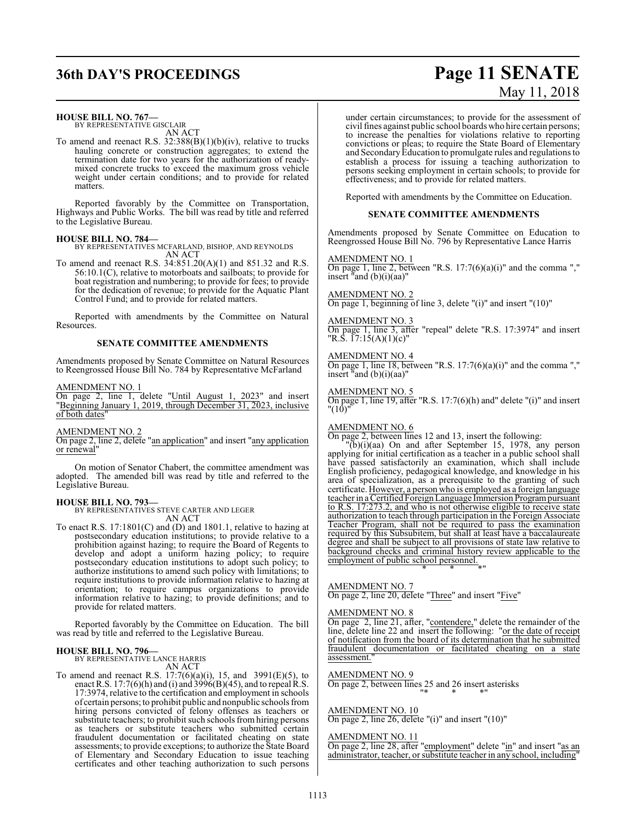## **36th DAY'S PROCEEDINGS Page 11 SENATE**

# May 11, 2018

#### **HOUSE BILL NO. 767—**

BY REPRESENTATIVE GISCLAIR AN ACT

To amend and reenact R.S. 32:388(B)(1)(b)(iv), relative to trucks hauling concrete or construction aggregates; to extend the termination date for two years for the authorization of readymixed concrete trucks to exceed the maximum gross vehicle weight under certain conditions; and to provide for related matters.

Reported favorably by the Committee on Transportation, Highways and Public Works. The bill was read by title and referred to the Legislative Bureau.

#### **HOUSE BILL NO. 784—**

BY REPRESENTATIVES MCFARLAND, BISHOP, AND REYNOLDS AN ACT

To amend and reenact R.S. 34:851.20(A)(1) and 851.32 and R.S. 56:10.1(C), relative to motorboats and sailboats; to provide for boat registration and numbering; to provide for fees; to provide for the dedication of revenue; to provide for the Aquatic Plant Control Fund; and to provide for related matters.

Reported with amendments by the Committee on Natural Resources.

#### **SENATE COMMITTEE AMENDMENTS**

Amendments proposed by Senate Committee on Natural Resources to Reengrossed House Bill No. 784 by Representative McFarland

AMENDMENT NO. 1

On page 2, line 1, delete "Until August 1, 2023" and insert "Beginning January 1, 2019, through December 31, 2023, inclusive of both dates"

AMENDMENT NO. 2

On page 2, line 2, delete "an application" and insert "any application or renewal"

On motion of Senator Chabert, the committee amendment was adopted. The amended bill was read by title and referred to the Legislative Bureau.

#### **HOUSE BILL NO. 793—**

BY REPRESENTATIVES STEVE CARTER AND LEGER AN ACT

To enact R.S. 17:1801(C) and (D) and 1801.1, relative to hazing at postsecondary education institutions; to provide relative to a prohibition against hazing; to require the Board of Regents to develop and adopt a uniform hazing policy; to require postsecondary education institutions to adopt such policy; to authorize institutions to amend such policy with limitations; to require institutions to provide information relative to hazing at orientation; to require campus organizations to provide information relative to hazing; to provide definitions; and to provide for related matters.

Reported favorably by the Committee on Education. The bill was read by title and referred to the Legislative Bureau.

## **HOUSE BILL NO. 796—**

BY REPRESENTATIVE LANCE HARRIS AN ACT

To amend and reenact R.S.  $17:7(6)(a)(i)$ , 15, and  $3991(E)(5)$ , to enact R.S.  $17:7(6)(h)$  and (i) and  $3996(B)(45)$ , and to repeal R.S. 17:3974, relative to the certification and employment in schools of certain persons;to prohibit public and nonpublic schools from hiring persons convicted of felony offenses as teachers or substitute teachers; to prohibit such schools fromhiring persons as teachers or substitute teachers who submitted certain fraudulent documentation or facilitated cheating on state assessments; to provide exceptions; to authorize the State Board of Elementary and Secondary Education to issue teaching certificates and other teaching authorization to such persons

under certain circumstances; to provide for the assessment of civil fines against public school boards who hire certain persons; to increase the penalties for violations relative to reporting convictions or pleas; to require the State Board of Elementary and SecondaryEducation to promulgate rules and regulations to establish a process for issuing a teaching authorization to persons seeking employment in certain schools; to provide for effectiveness; and to provide for related matters.

Reported with amendments by the Committee on Education.

#### **SENATE COMMITTEE AMENDMENTS**

Amendments proposed by Senate Committee on Education to Reengrossed House Bill No. 796 by Representative Lance Harris

AMENDMENT NO. 1

On page 1, line 2, between "R.S.  $17:7(6)(a)(i)$ " and the comma "," insert "and (b)(i)(aa)"

AMENDMENT NO. 2 On page 1, beginning of line 3, delete "(i)" and insert "(10)"

AMENDMENT NO. 3 On page 1, line 3, after "repeal" delete "R.S. 17:3974" and insert "R.S. 17:15(A)(1)(c)"

AMENDMENT NO. 4 On page 1, line 18, between "R.S.  $17:7(6)(a)(i)$ " and the comma "," insert "and (b)(i)(aa)"

AMENDMENT NO. 5

On page 1, line 19, after "R.S. 17:7(6)(h) and" delete "(i)" and insert "(10)"

#### AMENDMENT NO. 6

On page 2, between lines 12 and 13, insert the following:

 $\overline{(b)}$ (i)(aa) On and after September 15, 1978, any person applying for initial certification as a teacher in a public school shall have passed satisfactorily an examination, which shall include English proficiency, pedagogical knowledge, and knowledge in his area of specialization, as a prerequisite to the granting of such certificate. However, a person who is employed as a foreign language teacher in a Certified Foreign Language Immersion Programpursuant to R.S. 17:273.2, and who is not otherwise eligible to receive state authorization to teach through participation in the Foreign Associate Teacher Program, shall not be required to pass the examination required by this Subsubitem, but shall at least have a baccalaureate degree and shall be subject to all provisions of state law relative to background checks and criminal history review applicable to the employment of public school personnel. \* \* \*"

#### AMENDMENT NO. 7

On page 2, line 20, delete "Three" and insert "Five"

#### AMENDMENT NO. 8

On page 2, line 21, after, "contendere," delete the remainder of the line, delete line 22 and insert the following: "or the date of receipt of notification from the board of its determination that he submitted fraudulent documentation or facilitated cheating on a state assessment.

#### AMENDMENT NO. 9

On page 2, between lines 25 and 26 insert asterisks "\* \* \*"

#### AMENDMENT NO. 10

On page 2, line 26, delete "(i)" and insert "(10)"

AMENDMENT NO. 11

On page 2, line 28, after "employment" delete "in" and insert "as an administrator, teacher, or substitute teacher in any school, including"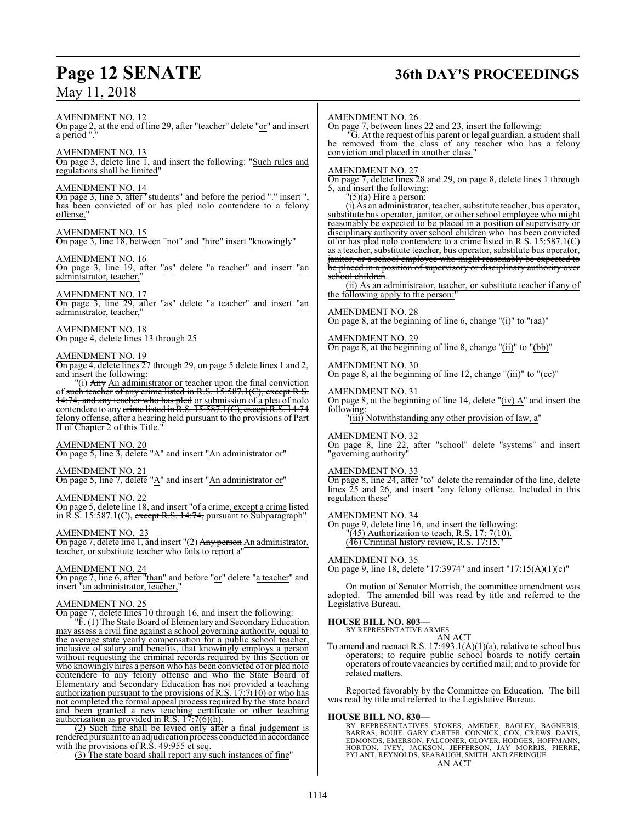## **Page 12 SENATE 36th DAY'S PROCEEDINGS**

AMENDMENT NO. 12 On page 2, at the end of line 29, after "teacher" delete "or" and insert a period "."

AMENDMENT NO. 13 On page 3, delete line 1, and insert the following: "Such rules and regulations shall be limited"

#### AMENDMENT NO. 14

On page 3, line 5, after "students" and before the period "." insert ", has been convicted of or has pled nolo contendere to a felony offense,"

#### AMENDMENT NO. 15

On page 3, line 18, between "not" and "hire" insert "knowingly"

#### AMENDMENT NO. 16

On page 3, line 19, after "as" delete "a teacher" and insert "an administrator, teacher,

#### AMENDMENT NO. 17

On page 3, line 29, after "as" delete "a teacher" and insert "an administrator, teacher,"

AMENDMENT NO. 18 On page 4, delete lines 13 through 25

### AMEND<u>MENT NO. 19</u>

On page 4, delete lines 27 through 29, on page 5 delete lines 1 and 2, and insert the following:

"(i) Any An administrator or teacher upon the final conviction of such teacher of any crime listed in R.S. 15:587.1(C), except R.S. 14:74, and any teacher who has pled or submission of a plea of nolo contendere to any <del>crime listed in R.S. 15:587.1(C), except R.S. 14:74</del> felony offense, after a hearing held pursuant to the provisions of Part  $\overline{II}$  of Chapter 2 of this Title.

#### AMENDMENT NO. 20

On page 5, line 3, delete "A" and insert "An administrator or"

#### AMENDMENT NO. 21

On page 5, line 7, delete "A" and insert "An administrator or"

#### AMENDMENT NO. 22

On page 5, delete line 18, and insert "of a crime, except a crime listed in R.S. 15:587.1(C), except R.S. 14:74, pursuant to Subparagraph"

#### AMENDMENT NO. 23

On page 7, delete line 1, and insert "(2) <del>Any person</del> An administrator, teacher, or substitute teacher who fails to report a"

#### AMENDMENT NO. 24

On page 7, line 6, after "than" and before "or" delete "a teacher" and insert "an administrator, teacher,"

#### AMENDMENT NO. 25

On page 7, delete lines 10 through 16, and insert the following:

"F. (1) The State Board of Elementary and SecondaryEducation may assess a civil fine against a school governing authority, equal to the average state yearly compensation for a public school teacher, inclusive of salary and benefits, that knowingly employs a person without requesting the criminal records required by this Section or who knowingly hires a person who has been convicted of or pled nolo contendere to any felony offense and who the State Board of Elementary and Secondary Education has not provided a teaching authorization pursuant to the provisions of R.S. 17:7(10) or who has not completed the formal appeal process required by the state board and been granted a new teaching certificate or other teaching authorization as provided in R.S.  $17:7(6)(h)$ .

(2) Such fine shall be levied only after a final judgement is rendered pursuant to an adjudication process conducted in accordance with the provisions of R.S. 49:955 et seq.

(3) The state board shall report any such instances of fine"

#### AMENDMENT NO. 26

On page 7, between lines 22 and 23, insert the following:

"G. At the request of his parent or legal guardian, a student shall be removed from the class of any teacher who has a felony conviction and placed in another class."

AMENDMENT NO. 27

On page 7, delete lines 28 and 29, on page 8, delete lines 1 through 5, and insert the following:

"(5)(a) Hire a person:

(i) As an administrator, teacher, substitute teacher, bus operator, substitute bus operator, janitor, or other school employee who might reasonably be expected to be placed in a position of supervisory or disciplinary authority over school children who has been convicted of or has pled nolo contendere to a crime listed in R.S. 15:587.1(C) as a teacher, substitute teacher, bus operator, substitute bus operator, janitor, or a school employee who might reasonably be expected to be placed in a position of supervisory or disciplinary authority over school children.

(ii) As an administrator, teacher, or substitute teacher if any of the following apply to the person:

#### AMENDMENT NO. 28

On page 8, at the beginning of line 6, change " $(i)$ " to " $(aa)$ "

### AMENDMENT NO. 29

On page 8, at the beginning of line 8, change "(ii)" to "(bb)"

#### AMENDMENT NO. 30

On page 8, at the beginning of line 12, change "(iii)" to "(cc)"

#### AMENDMENT NO. 31

On page 8, at the beginning of line 14, delete "(iv) A" and insert the following:

"(iii) Notwithstanding any other provision of law, a"

#### AMENDMENT NO. 32

On page 8, line 22, after "school" delete "systems" and insert "governing authority"

#### AMENDMENT NO. 33

On page 8, line 24, after "to" delete the remainder of the line, delete lines 25 and 26, and insert "any felony offense. Included in this regulation these'

#### AMENDMENT NO. 34

On page 9, delete line 16, and insert the following:  $\sqrt{45}$ ) Authorization to teach, R.S. 17: 7(10). (46) Criminal history review, R.S. 17:15.

#### AMENDMENT NO. 35

On page 9, line 18, delete "17:3974" and insert "17:15(A)(1)(c)"

On motion of Senator Morrish, the committee amendment was adopted. The amended bill was read by title and referred to the Legislative Bureau.

#### **HOUSE BILL NO. 803—**

BY REPRESENTATIVE ARMES

AN ACT To amend and reenact R.S. 17:493.1(A)(1)(a), relative to school bus operators; to require public school boards to notify certain operators ofroute vacancies by certified mail; and to provide for related matters.

Reported favorably by the Committee on Education. The bill was read by title and referred to the Legislative Bureau.

**HOUSE BILL NO. 830—** BY REPRESENTATIVES STOKES, AMEDEE, BAGLEY, BAGNERIS, BARRAS, BOUIE, GARY CARTER, CONNICK, COX, CREWS, DAVIS, EDMONDS, EMERSON, FALCONER, GLOVER, HODGES, HOFFMANN, HORTON, IVEY, JACKSON, JEFFERSON, JAY MORRIS, PIERRE, PYLANT, REYNOLDS, SEABAUGH, SMITH, AND ZERINGUE AN ACT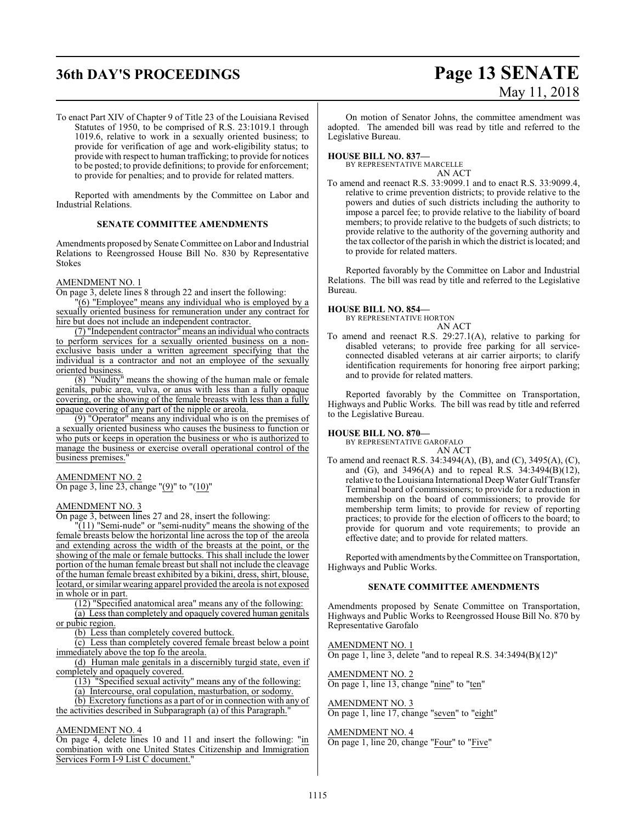# **36th DAY'S PROCEEDINGS Page 13 SENATE** May 11, 2018

To enact Part XIV of Chapter 9 of Title 23 of the Louisiana Revised Statutes of 1950, to be comprised of R.S. 23:1019.1 through 1019.6, relative to work in a sexually oriented business; to provide for verification of age and work-eligibility status; to provide with respect to human trafficking; to provide for notices to be posted; to provide definitions; to provide for enforcement; to provide for penalties; and to provide for related matters.

Reported with amendments by the Committee on Labor and Industrial Relations.

#### **SENATE COMMITTEE AMENDMENTS**

Amendments proposed by Senate Committee on Labor and Industrial Relations to Reengrossed House Bill No. 830 by Representative Stokes

#### AMENDMENT NO. 1

On page 3, delete lines 8 through 22 and insert the following:

"(6) "Employee" means any individual who is employed by a sexually oriented business for remuneration under any contract for hire but does not include an independent contractor.

(7) "Independent contractor"means an individual who contracts to perform services for a sexually oriented business on a nonexclusive basis under a written agreement specifying that the individual is a contractor and not an employee of the sexually oriented business.

(8) "Nudity" means the showing of the human male or female genitals, pubic area, vulva, or anus with less than a fully opaque covering, or the showing of the female breasts with less than a fully opaque covering of any part of the nipple or areola.

(9) "Operator" means any individual who is on the premises of a sexually oriented business who causes the business to function or who puts or keeps in operation the business or who is authorized to manage the business or exercise overall operational control of the business premises."

#### AMENDMENT NO. 2

On page 3, line  $2\overline{3}$ , change " $(9)$ " to " $(10)$ "

#### AMENDMENT NO. 3

On page 3, between lines 27 and 28, insert the following:

"(11) "Semi-nude" or "semi-nudity" means the showing of the female breasts below the horizontal line across the top of the areola and extending across the width of the breasts at the point, or the showing of the male or female buttocks. This shall include the lower portion of the human female breast but shall not include the cleavage of the human female breast exhibited by a bikini, dress, shirt, blouse, leotard, or similar wearing apparel provided the areola is not exposed in whole or in part.

(12) "Specified anatomical area" means any of the following:

(a) Less than completely and opaquely covered human genitals or pubic region.

(b) Less than completely covered buttock.

(c) Less than completely covered female breast below a point immediately above the top fo the areola.

(d) Human male genitals in a discernibly turgid state, even if completely and opaquely covered.

(13) "Specified sexual activity" means any of the following:

(a) Intercourse, oral copulation, masturbation, or sodomy.

(b) Excretory functions as a part of or in connection with any of the activities described in Subparagraph (a) of this Paragraph."

### AMENDMENT NO. 4

On page 4, delete lines 10 and 11 and insert the following: "in combination with one United States Citizenship and Immigration Services Form I-9 List C document."

On motion of Senator Johns, the committee amendment was adopted. The amended bill was read by title and referred to the Legislative Bureau.

#### **HOUSE BILL NO. 837—**

BY REPRESENTATIVE MARCELLE AN ACT

To amend and reenact R.S. 33:9099.1 and to enact R.S. 33:9099.4, relative to crime prevention districts; to provide relative to the powers and duties of such districts including the authority to impose a parcel fee; to provide relative to the liability of board members; to provide relative to the budgets of such districts; to provide relative to the authority of the governing authority and the tax collector ofthe parish in which the district is located; and to provide for related matters.

Reported favorably by the Committee on Labor and Industrial Relations. The bill was read by title and referred to the Legislative Bureau.

#### **HOUSE BILL NO. 854—**

BY REPRESENTATIVE HORTON

#### AN ACT

To amend and reenact R.S. 29:27.1(A), relative to parking for disabled veterans; to provide free parking for all serviceconnected disabled veterans at air carrier airports; to clarify identification requirements for honoring free airport parking; and to provide for related matters.

Reported favorably by the Committee on Transportation, Highways and Public Works. The bill was read by title and referred to the Legislative Bureau.

#### **HOUSE BILL NO. 870—**

BY REPRESENTATIVE GAROFALO AN ACT

To amend and reenact R.S. 34:3494(A), (B), and (C), 3495(A), (C), and (G), and 3496(A) and to repeal R.S.  $34:3494(B)(12)$ , relative to the Louisiana International DeepWater GulfTransfer Terminal board of commissioners; to provide for a reduction in membership on the board of commissioners; to provide for membership term limits; to provide for review of reporting practices; to provide for the election of officers to the board; to provide for quorum and vote requirements; to provide an effective date; and to provide for related matters.

Reported with amendments bythe Committee on Transportation, Highways and Public Works.

#### **SENATE COMMITTEE AMENDMENTS**

Amendments proposed by Senate Committee on Transportation, Highways and Public Works to Reengrossed House Bill No. 870 by Representative Garofalo

AMENDMENT NO. 1 On page 1, line 3, delete "and to repeal R.S. 34:3494(B)(12)"

AMENDMENT NO. 2 On page 1, line 13, change "nine" to "ten"

### AMENDMENT NO. 3

On page 1, line 17, change "seven" to "eight"

#### AMENDMENT NO. 4 On page 1, line 20, change "Four" to "Five"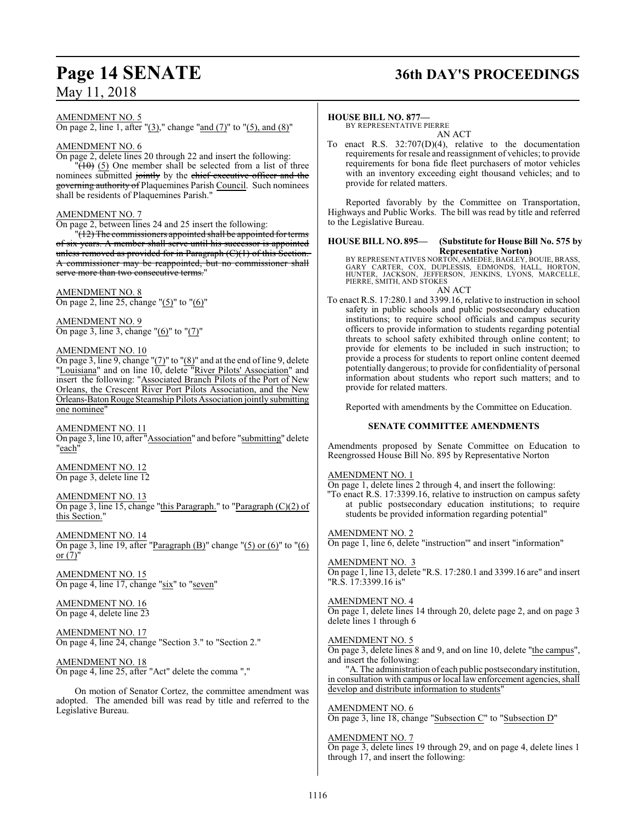## **Page 14 SENATE 36th DAY'S PROCEEDINGS**

## AMENDMENT NO. 5

On page 2, line 1, after "(3)," change "and (7)" to "(5), and (8)"

#### AMENDMENT NO. 6

On page 2, delete lines 20 through 22 and insert the following:  $\sqrt{(10)}$  (5) One member shall be selected from a list of three nominees submitted jointly by the chief executive officer and the governing authority of Plaquemines Parish Council. Such nominees shall be residents of Plaquemines Parish."

#### AMENDMENT NO. 7

On page 2, between lines 24 and 25 insert the following:

 $"(12)$  The commissioners appointed shall be appointed for terms of six years. A member shall serve until his successor is appointed unless removed as provided for in Paragraph  $(C)(1)$  of this Section. A commissioner may be reappointed, but no commissioner shall serve more than two consecutive terms.

#### AMENDMENT NO. 8

On page 2, line 25, change "(5)" to "(6)"

AMENDMENT NO. 9 On page 3, line 3, change "(6)" to "(7)"

#### AMENDMENT NO. 10

On page 3, line 9, change " $(7)$ " to " $(8)$ " and at the end of line 9, delete "Louisiana" and on line 10, delete "River Pilots' Association" and insert the following: "Associated Branch Pilots of the Port of New Orleans, the Crescent River Port Pilots Association, and the New Orleans-Baton Rouge Steamship Pilots Association jointly submitting one nominee"

AMENDMENT NO. 11 On page 3, line 10, after "Association" and before "submitting" delete "each"

AMENDMENT NO. 12 On page 3, delete line 12

AMENDMENT NO. 13

On page 3, line 15, change "this Paragraph." to "Paragraph  $(C)(2)$  of this Section."

AMENDMENT NO. 14 On page 3, line 19, after "Paragraph  $(B)$ " change " $(5)$  or  $(6)$ " to " $(6)$ " or  $(7)'$ 

AMENDMENT NO. 15 On page 4, line 17, change "six" to "seven"

AMENDMENT NO. 16 On page 4, delete line 23

AMENDMENT NO. 17 On page 4, line 24, change "Section 3." to "Section 2."

AMENDMENT NO. 18 On page 4, line 25, after "Act" delete the comma ","

On motion of Senator Cortez, the committee amendment was adopted. The amended bill was read by title and referred to the Legislative Bureau.

#### **HOUSE BILL NO. 877—**

BY REPRESENTATIVE PIERRE AN ACT

To enact R.S. 32:707(D)(4), relative to the documentation requirements for resale and reassignment of vehicles; to provide requirements for bona fide fleet purchasers of motor vehicles with an inventory exceeding eight thousand vehicles; and to provide for related matters.

Reported favorably by the Committee on Transportation, Highways and Public Works. The bill was read by title and referred to the Legislative Bureau.

#### **HOUSE BILL NO. 895— (Substitute for House Bill No. 575 by Representative Norton)**

BY REPRESENTATIVES NORTON, AMEDEE, BAGLEY, BOUIE, BRASS,<br>GARY CARTER, COX, DUPLESSIS, EDMONDS, HALL, HORTON,<br>HUNTER, JACKSON, JEFFERSON, JENKINS, LYONS, MARCELLE, PIERRE, SMITH, AND STOKES AN ACT

To enact R.S. 17:280.1 and 3399.16, relative to instruction in school safety in public schools and public postsecondary education institutions; to require school officials and campus security officers to provide information to students regarding potential threats to school safety exhibited through online content; to

provide for elements to be included in such instruction; to provide a process for students to report online content deemed potentially dangerous; to provide for confidentiality of personal information about students who report such matters; and to provide for related matters.

Reported with amendments by the Committee on Education.

#### **SENATE COMMITTEE AMENDMENTS**

Amendments proposed by Senate Committee on Education to Reengrossed House Bill No. 895 by Representative Norton

#### AMENDMENT NO. 1

On page 1, delete lines 2 through 4, and insert the following: "To enact R.S. 17:3399.16, relative to instruction on campus safety at public postsecondary education institutions; to require

students be provided information regarding potential"

#### AMENDMENT NO. 2

On page 1, line 6, delete "instruction'" and insert "information"

AMENDMENT NO. 3

On page 1, line 13, delete "R.S. 17:280.1 and 3399.16 are" and insert "R.S. 17:3399.16 is"

#### AMENDMENT NO. 4

On page 1, delete lines 14 through 20, delete page 2, and on page 3 delete lines 1 through 6

#### AMENDMENT NO. 5

On page 3, delete lines 8 and 9, and on line 10, delete "the campus", and insert the following:

"A. The administration of each public postsecondary institution, in consultation with campus or local law enforcement agencies, shall develop and distribute information to students'

#### AMENDMENT NO. 6

On page 3, line 18, change "Subsection C" to "Subsection D"

#### AMENDMENT NO. 7

On page 3, delete lines 19 through 29, and on page 4, delete lines 1 through 17, and insert the following: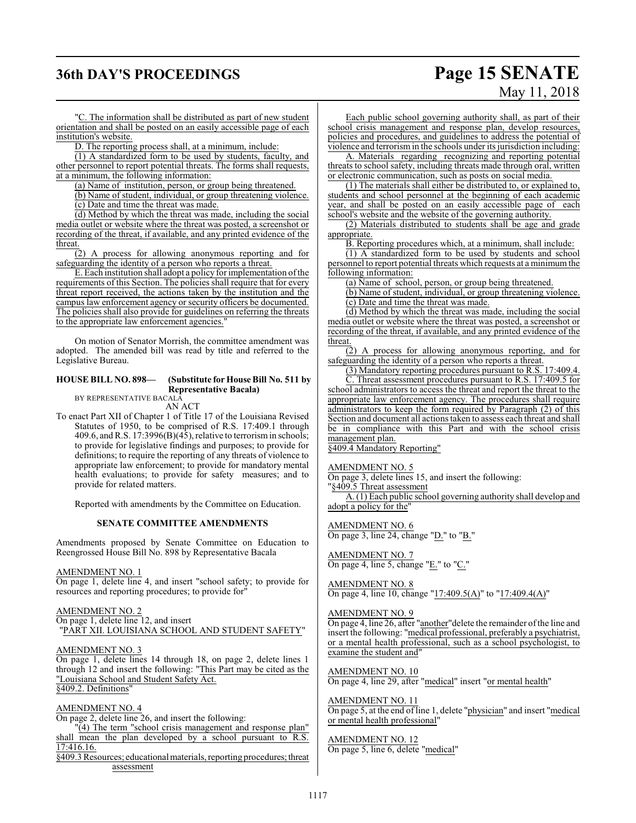## **36th DAY'S PROCEEDINGS Page 15 SENATE**

# May 11, 2018

"C. The information shall be distributed as part of new student orientation and shall be posted on an easily accessible page of each institution's website.

D. The reporting process shall, at a minimum, include:

(1) A standardized form to be used by students, faculty, and other personnel to report potential threats. The forms shall requests, at a minimum, the following information:

(a) Name of institution, person, or group being threatened.

(b) Name of student, individual, or group threatening violence. (c) Date and time the threat was made.

(d) Method by which the threat was made, including the social media outlet or website where the threat was posted, a screenshot or recording of the threat, if available, and any printed evidence of the threat.

(2) A process for allowing anonymous reporting and for safeguarding the identity of a person who reports a threat.

E. Each institution shall adopt a policy for implementation of the requirements of this Section. The policies shall require that for every threat report received, the actions taken by the institution and the campus law enforcement agency or security officers be documented. The policies shall also provide for guidelines on referring the threats to the appropriate law enforcement agencies."

On motion of Senator Morrish, the committee amendment was adopted. The amended bill was read by title and referred to the Legislative Bureau.

#### **HOUSE BILL NO. 898— (Substitute for House Bill No. 511 by Representative Bacala)**

BY REPRESENTATIVE BACALA AN ACT

To enact Part XII of Chapter 1 of Title 17 of the Louisiana Revised Statutes of 1950, to be comprised of R.S. 17:409.1 through 409.6, andR.S. 17:3996(B)(45), relative to terrorismin schools; to provide for legislative findings and purposes; to provide for definitions; to require the reporting of any threats of violence to appropriate law enforcement; to provide for mandatory mental health evaluations; to provide for safety measures; and to provide for related matters.

Reported with amendments by the Committee on Education.

#### **SENATE COMMITTEE AMENDMENTS**

Amendments proposed by Senate Committee on Education to Reengrossed House Bill No. 898 by Representative Bacala

#### AMENDMENT NO. 1

On page 1, delete line 4, and insert "school safety; to provide for resources and reporting procedures; to provide for"

#### AMENDMENT NO. 2

On page 1, delete line 12, and insert "PART XII. LOUISIANA SCHOOL AND STUDENT SAFETY"

AMENDMENT NO. 3

On page 1, delete lines 14 through 18, on page 2, delete lines 1 through 12 and insert the following: "This Part may be cited as the "Louisiana School and Student Safety Act. §409.2. Definitions'

#### AMENDMENT NO. 4

On page 2, delete line 26, and insert the following:

"(4) The term "school crisis management and response plan" shall mean the plan developed by a school pursuant to R.S. 17:416.16.

§409.3 Resources; educational materials, reporting procedures; threat assessment

Each public school governing authority shall, as part of their school crisis management and response plan, develop resources, policies and procedures, and guidelines to address the potential of violence and terrorismin the schools under its jurisdiction including:

A. Materials regarding recognizing and reporting potential threats to school safety, including threats made through oral, written or electronic communication, such as posts on social media.

(1) The materials shall either be distributed to, or explained to, students and school personnel at the beginning of each academic year, and shall be posted on an easily accessible page of each school's website and the website of the governing authority.

(2) Materials distributed to students shall be age and grade appropriate.

B. Reporting procedures which, at a minimum, shall include:

(1) A standardized form to be used by students and school personnel to report potential threats which requests at a minimumthe following information:

(a) Name of school, person, or group being threatened.

(b) Name of student, individual, or group threatening violence. (c) Date and time the threat was made.

(d) Method by which the threat was made, including the social media outlet or website where the threat was posted, a screenshot or recording of the threat, if available, and any printed evidence of the threat.

(2) A process for allowing anonymous reporting, and for safeguarding the identity of a person who reports a threat.

(3) Mandatory reporting procedures pursuant to R.S. 17:409.4.

C. Threat assessment procedures pursuant to R.S. 17:409.5 for school administrators to access the threat and report the threat to the appropriate law enforcement agency. The procedures shall require administrators to keep the form required by Paragraph (2) of this Section and document all actions taken to assess each threat and shall be in compliance with this Part and with the school crisis management plan.

§409.4 Mandatory Reporting"

#### AMENDMENT NO. 5

On page 3, delete lines 15, and insert the following:

"§409.5 Threat assessment

A. (1) Each public school governing authority shall develop and adopt a policy for the"

#### AMENDMENT NO. 6

On page 3, line 24, change "D." to "B."

AMENDMENT NO. 7 On page 4, line 5, change "E." to "C."

#### AMENDMENT NO. 8

On page 4, line 10, change "17:409.5(A)" to "17:409.4(A)"

#### AMENDMENT NO. 9

On page 4, line 26, after "another" delete the remainder of the line and insert the following: "medical professional, preferably a psychiatrist, or a mental health professional, such as a school psychologist, to examine the student and"

#### AMENDMENT NO. 10

On page 4, line 29, after "medical" insert "or mental health"

#### AMENDMENT NO. 11 On page 5, at the end of line 1, delete "physician" and insert "medical or mental health professional"

## AMENDMENT NO. 12

On page 5, line 6, delete "medical"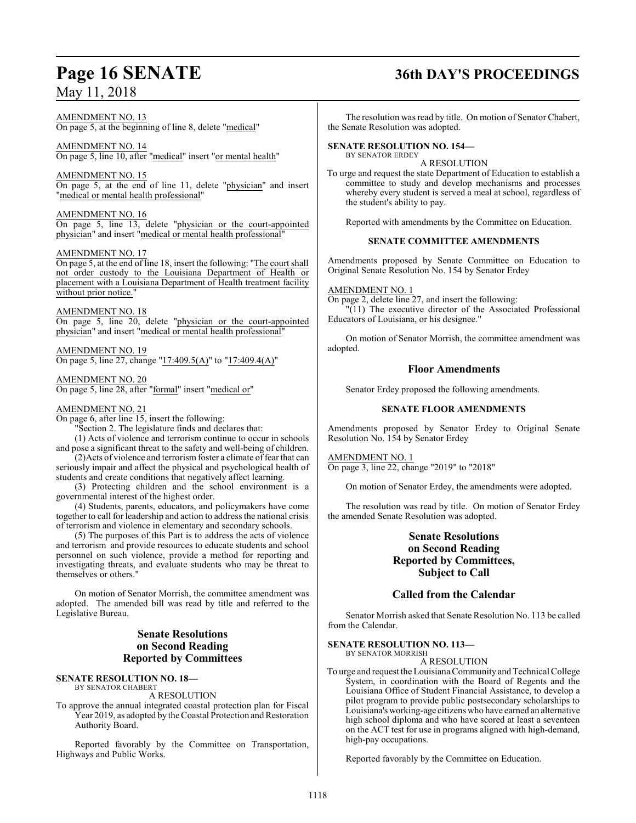#### AMENDMENT NO. 13 On page 5, at the beginning of line 8, delete "medical"

AMENDMENT NO. 14 On page 5, line 10, after "medical" insert "or mental health"

AMENDMENT NO. 15 On page 5, at the end of line 11, delete "physician" and insert "medical or mental health professional"

AMENDMENT NO. 16 On page 5, line 13, delete "physician or the court-appointed physician" and insert "medical or mental health professional"

#### AMENDMENT NO. 17

On page 5, at the end of line 18, insert the following: "The court shall not order custody to the Louisiana Department of Health or placement with a Louisiana Department of Health treatment facility without prior notice."

#### AMENDMENT NO. 18

On page 5, line 20, delete "physician or the court-appointed physician" and insert "medical or mental health professional"

AMENDMENT NO. 19 On page 5, line 27, change "17:409.5(A)" to "17:409.4(A)"

AMENDMENT NO. 20 On page 5, line 28, after "formal" insert "medical or"

#### AMENDMENT NO. 21

On page 6, after line 15, insert the following:

"Section 2. The legislature finds and declares that:

(1) Acts of violence and terrorism continue to occur in schools and pose a significant threat to the safety and well-being of children.

(2)Acts of violence and terrorismfoster a climate offear that can seriously impair and affect the physical and psychological health of students and create conditions that negatively affect learning.

(3) Protecting children and the school environment is a governmental interest of the highest order.

(4) Students, parents, educators, and policymakers have come together to call for leadership and action to address the national crisis of terrorism and violence in elementary and secondary schools.

(5) The purposes of this Part is to address the acts of violence and terrorism and provide resources to educate students and school personnel on such violence, provide a method for reporting and investigating threats, and evaluate students who may be threat to themselves or others."

On motion of Senator Morrish, the committee amendment was adopted. The amended bill was read by title and referred to the Legislative Bureau.

## **Senate Resolutions on Second Reading Reported by Committees**

#### **SENATE RESOLUTION NO. 18—** BY SENATOR CHABERT

A RESOLUTION

To approve the annual integrated coastal protection plan for Fiscal Year 2019, as adopted by the Coastal Protection and Restoration Authority Board.

Reported favorably by the Committee on Transportation, Highways and Public Works.

## **Page 16 SENATE 36th DAY'S PROCEEDINGS**

The resolution was read by title. On motion of Senator Chabert, the Senate Resolution was adopted.

#### **SENATE RESOLUTION NO. 154—** BY SENATOR ERDEY

A RESOLUTION

To urge and request the state Department of Education to establish a committee to study and develop mechanisms and processes whereby every student is served a meal at school, regardless of the student's ability to pay.

Reported with amendments by the Committee on Education.

### **SENATE COMMITTEE AMENDMENTS**

Amendments proposed by Senate Committee on Education to Original Senate Resolution No. 154 by Senator Erdey

#### AMENDMENT NO. 1

On page 2, delete line 27, and insert the following: "(11) The executive director of the Associated Professional Educators of Louisiana, or his designee."

On motion of Senator Morrish, the committee amendment was adopted.

### **Floor Amendments**

Senator Erdey proposed the following amendments.

### **SENATE FLOOR AMENDMENTS**

Amendments proposed by Senator Erdey to Original Senate Resolution No. 154 by Senator Erdey

### AMENDMENT NO. 1

On page 3, line 22, change "2019" to "2018"

On motion of Senator Erdey, the amendments were adopted.

The resolution was read by title. On motion of Senator Erdey the amended Senate Resolution was adopted.

## **Senate Resolutions on Second Reading Reported by Committees, Subject to Call**

## **Called from the Calendar**

Senator Morrish asked that Senate Resolution No. 113 be called from the Calendar.

#### **SENATE RESOLUTION NO. 113—** BY SENATOR MORRISH

A RESOLUTION

To urge and request the Louisiana Community and Technical College System, in coordination with the Board of Regents and the Louisiana Office of Student Financial Assistance, to develop a pilot program to provide public postsecondary scholarships to Louisiana's working-age citizens who have earned an alternative high school diploma and who have scored at least a seventeen on the ACT test for use in programs aligned with high-demand, high-pay occupations.

Reported favorably by the Committee on Education.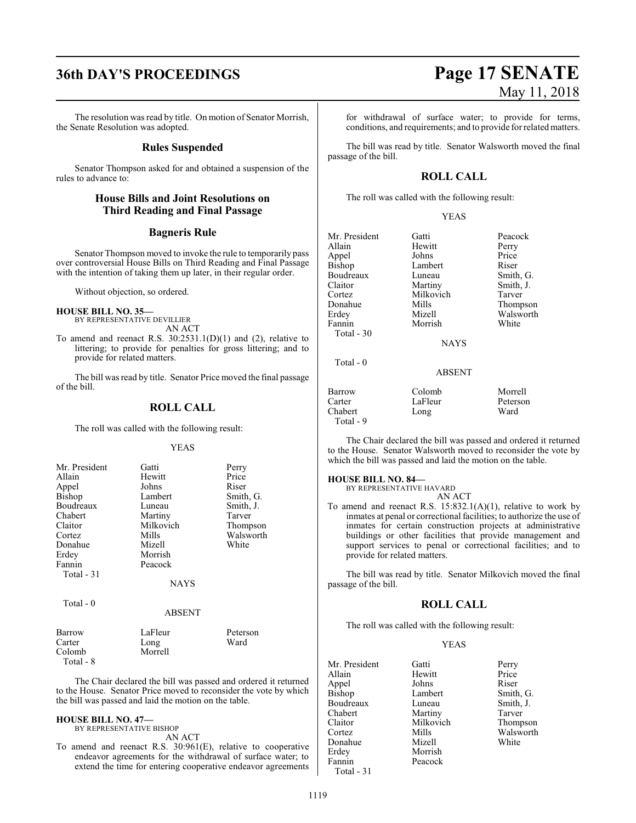## **36th DAY'S PROCEEDINGS Page 17 SENATE**

The resolution was read by title. On motion of Senator Morrish, the Senate Resolution was adopted.

#### **Rules Suspended**

Senator Thompson asked for and obtained a suspension of the rules to advance to:

### **House Bills and Joint Resolutions on Third Reading and Final Passage**

#### **Bagneris Rule**

Senator Thompson moved to invoke the rule to temporarily pass over controversial House Bills on Third Reading and Final Passage with the intention of taking them up later, in their regular order.

Without objection, so ordered.

#### **HOUSE BILL NO. 35—**

- BY REPRESENTATIVE DEVILLIER AN ACT
- To amend and reenact R.S.  $30:2531.1(D)(1)$  and (2), relative to littering; to provide for penalties for gross littering; and to provide for related matters.

The bill was read by title. Senator Price moved the final passage of the bill.

#### **ROLL CALL**

The roll was called with the following result:

#### YEAS

| Mr. President | Gatti         | Perry     |
|---------------|---------------|-----------|
| Allain        | Hewitt        | Price     |
| Appel         | Johns         | Riser     |
| <b>Bishop</b> | Lambert       | Smith, G. |
| Boudreaux     | Luneau        | Smith, J. |
| Chabert       | Martiny       | Tarver    |
| Claitor       | Milkovich     | Thompson  |
| Cortez        | Mills         | Walsworth |
| Donahue       | Mizell        | White     |
| Erdey         | Morrish       |           |
| Fannin        | Peacock       |           |
| Total $-31$   |               |           |
|               | <b>NAYS</b>   |           |
| Total $-0$    |               |           |
|               | <b>ABSENT</b> |           |

| Barrow    | LaFleur | Peterson |
|-----------|---------|----------|
| Carter    | Long    | Ward     |
| Colomb    | Morrell |          |
| Total - 8 |         |          |

The Chair declared the bill was passed and ordered it returned to the House. Senator Price moved to reconsider the vote by which the bill was passed and laid the motion on the table.

#### **HOUSE BILL NO. 47—** BY REPRESENTATIVE BISHOP

AN ACT

To amend and reenact R.S. 30:961(E), relative to cooperative endeavor agreements for the withdrawal of surface water; to extend the time for entering cooperative endeavor agreements

for withdrawal of surface water; to provide for terms, conditions, and requirements; and to provide for related matters.

The bill was read by title. Senator Walsworth moved the final passage of the bill.

### **ROLL CALL**

The roll was called with the following result:

#### YEAS

| Mr. President | Gatti         | Peacock   |
|---------------|---------------|-----------|
| Allain        | Hewitt        | Perry     |
| Appel         | Johns         | Price     |
| <b>Bishop</b> | Lambert       | Riser     |
| Boudreaux     | Luneau        | Smith, G. |
| Claitor       | Martiny       | Smith, J. |
| Cortez        | Milkovich     | Tarver    |
| Donahue       | Mills         | Thompson  |
| Erdey         | Mizell        | Walsworth |
| Fannin        | Morrish       | White     |
| Total $-30$   |               |           |
|               | <b>NAYS</b>   |           |
|               |               |           |
| $Total - 0$   |               |           |
|               | <b>ABSENT</b> |           |
| Barrow        | Colomb        | Morrell   |
| Carter        | LaFleur       | Peterson  |
| Chabert       | Long          | Ward      |
|               |               |           |

The Chair declared the bill was passed and ordered it returned to the House. Senator Walsworth moved to reconsider the vote by which the bill was passed and laid the motion on the table.

#### **HOUSE BILL NO. 84—**

Chabert Total - 9

> BY REPRESENTATIVE HAVARD AN ACT

To amend and reenact R.S.  $15:832.1(A)(1)$ , relative to work by inmates at penal or correctional facilities; to authorize the use of inmates for certain construction projects at administrative buildings or other facilities that provide management and support services to penal or correctional facilities; and to provide for related matters.

The bill was read by title. Senator Milkovich moved the final passage of the bill.

#### **ROLL CALL**

The roll was called with the following result:

#### YEAS

| Mr. President | Gatti     | Perry     |
|---------------|-----------|-----------|
| Allain        | Hewitt    | Price     |
| Appel         | Johns     | Riser     |
| <b>Bishop</b> | Lambert   | Smith, G. |
| Boudreaux     | Luneau    | Smith, J. |
| Chabert       | Martiny   | Tarver    |
| Claitor       | Milkovich | Thompson  |
| Cortez        | Mills     | Walsworth |
| Donahue       | Mizell    | White     |
| Erdey         | Morrish   |           |
| Fannin        | Peacock   |           |
| Total - 31    |           |           |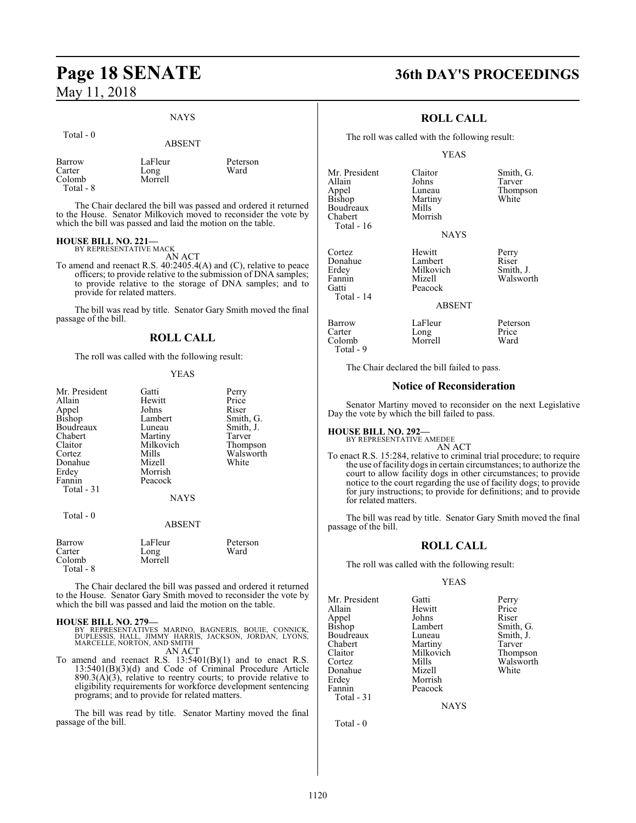#### **NAYS**

| Total $-0$       | <b>ABSENT</b>   |                  |
|------------------|-----------------|------------------|
| Barrow<br>Carter | LaFleur<br>Long | Peterson<br>Ward |
| Colomb           | Morrell         |                  |

The Chair declared the bill was passed and ordered it returned to the House. Senator Milkovich moved to reconsider the vote by which the bill was passed and laid the motion on the table.

#### **HOUSE BILL NO. 221—**

Total - 8

BY REPRESENTATIVE MACK AN ACT

To amend and reenact R.S. 40:2405.4(A) and (C), relative to peace officers; to provide relative to the submission of DNA samples; to provide relative to the storage of DNA samples; and to provide for related matters.

The bill was read by title. Senator Gary Smith moved the final passage of the bill.

## **ROLL CALL**

The roll was called with the following result:

#### YEAS

| Mr. President<br>Allain<br>Appel<br>Bishop<br>Boudreaux<br>Chabert<br>Claitor<br>Cortez<br>Donahue | Gatti<br>Hewitt<br>Johns<br>Lambert<br>Luneau<br>Martiny<br>Milkovich<br>Mills<br>Mizell | Perry<br>Price<br>Riser<br>Smith, G.<br>Smith, J.<br>Tarver<br>Thompson<br>Walsworth<br>White |
|----------------------------------------------------------------------------------------------------|------------------------------------------------------------------------------------------|-----------------------------------------------------------------------------------------------|
| Erdey<br>Fannin<br>Total - 31                                                                      | Morrish<br>Peacock<br><b>NAYS</b>                                                        |                                                                                               |
| Total - 0                                                                                          | <b>ABSENT</b>                                                                            |                                                                                               |

| Barrow              | LaFleur | Peterson |
|---------------------|---------|----------|
| Carter              | Long    | Ward     |
| Colomb<br>Total - 8 | Morrell |          |

The Chair declared the bill was passed and ordered it returned to the House. Senator Gary Smith moved to reconsider the vote by which the bill was passed and laid the motion on the table.

#### **HOUSE BILL NO. 279—**

BY REPRESENTATIVES MARINO, BAGNERIS, BOUIE, CONNICK,<br>DUPLESSIS, HALL, JIMMY HARRIS, JACKSON, JORDAN, LYONS,<br>MARCELLE,NORTON,AND SMITH AN ACT

To amend and reenact R.S.  $13:5401(B)(1)$  and to enact R.S. 13:5401(B)(3)(d) and Code of Criminal Procedure Article  $890.3(A)(3)$ , relative to reentry courts; to provide relative to eligibility requirements for workforce development sentencing programs; and to provide for related matters.

The bill was read by title. Senator Martiny moved the final passage of the bill.

## **Page 18 SENATE 36th DAY'S PROCEEDINGS**

### **ROLL CALL**

The roll was called with the following result:

#### YEAS

Mr. President Claitor Smith, G.<br>Allain Johns Tarver Appel Luneau Thompson<br>Bishop Martiny White Boudreaux Mills<br>Chabert Morrish Chabert Total - 16

Martiny<br>Mills

Allain Johns Tarver

**NAYS** 

Cortez Hewitt Perry Donahue Lambert Riser<br>
Erdey Milkovich Smith. J. Erdey Milkovich<br>Fannin Mizell Fannin Mizell Walsworth Peacock Total - 14

ABSENT

| Barrow    | LaFleur | Peterson |
|-----------|---------|----------|
| Carter    | Long    | Price    |
| Colomb    | Morrell | Ward     |
| Total - 9 |         |          |

The Chair declared the bill failed to pass.

#### **Notice of Reconsideration**

Senator Martiny moved to reconsider on the next Legislative Day the vote by which the bill failed to pass.

## **HOUSE BILL NO. 292—** BY REPRESENTATIVE AMEDEE

AN ACT

To enact R.S. 15:284, relative to criminal trial procedure; to require the use of facility dogs in certain circumstances; to authorize the court to allow facility dogs in other circumstances; to provide notice to the court regarding the use of facility dogs; to provide for jury instructions; to provide for definitions; and to provide for related matters.

The bill was read by title. Senator Gary Smith moved the final passage of the bill.

## **ROLL CALL**

The roll was called with the following result:

Peacock

#### YEAS

Mr. President Gatti Perry<br>Allain Hewitt Price Appel Johns<br>Bishop Lambert Boudreaux Luneau Smith,<br>
Chabert Martiny Tarver Chabert Martiny Tarver<br>
Claitor Milkovich Thompson Claitor Milkovich<br>Cortez Mills Donahue<br>Erdey Erdey Morrish<br>Fannin Peacock Total - 31

Hewitt Price<br>
Johns Riser Lambert Smith, G.<br>
Luneau Smith, J. Mills Walsworth<br>
Mizell White

**NAYS** 

Total - 0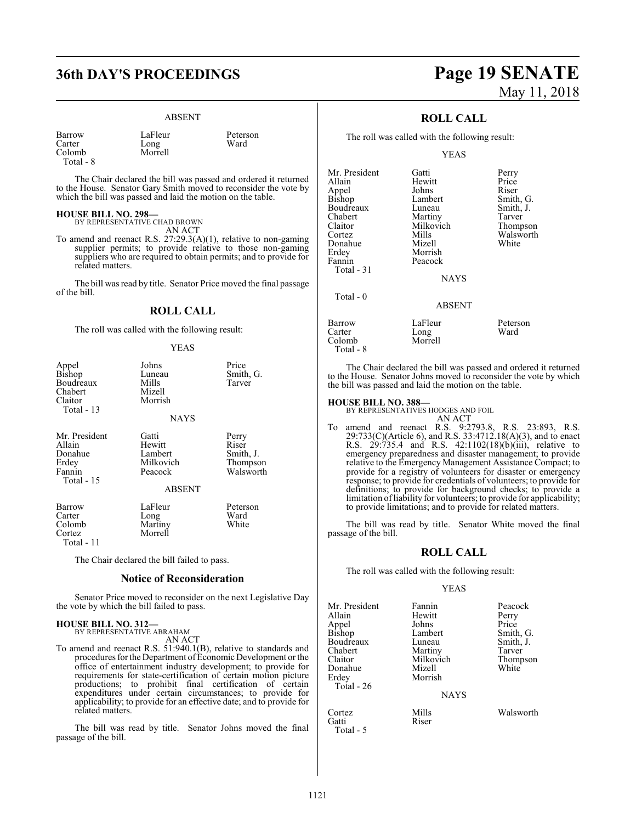Long<br>Morrell

#### ABSENT

Barrow LaFleur Peterson<br>Carter Long Ward Colomb Total - 8

The Chair declared the bill was passed and ordered it returned to the House. Senator Gary Smith moved to reconsider the vote by

**HOUSE BILL NO. 298—**

BY REPRESENTATIVE CHAD BROWN AN ACT

which the bill was passed and laid the motion on the table.

To amend and reenact R.S. 27:29.3(A)(1), relative to non-gaming supplier permits; to provide relative to those non-gaming suppliers who are required to obtain permits; and to provide for related matters.

The bill was read by title. Senator Price moved the final passage of the bill.

#### **ROLL CALL**

The roll was called with the following result:

#### YEAS

| Appel<br><b>Bishop</b><br>Boudreaux<br>Chabert<br>Claitor<br>Total $-13$ | Johns<br>Luneau<br>Mills<br>Mizell<br>Morrish<br><b>NAYS</b>        | Price<br>Smith, G.<br>Tarver                         |
|--------------------------------------------------------------------------|---------------------------------------------------------------------|------------------------------------------------------|
| Mr. President<br>Allain<br>Donahue<br>Erdey<br>Fannin<br>Total - 15      | Gatti<br>Hewitt<br>Lambert<br>Milkovich<br>Peacock<br><b>ABSENT</b> | Perry<br>Riser<br>Smith, J.<br>Thompson<br>Walsworth |
| Barrow<br>Carter<br>Colomb<br>Cortez<br>Total - 11                       | LaFleur<br>Long<br>Martiny<br>Morrell                               | Peterson<br>Ward<br>White                            |

The Chair declared the bill failed to pass.

#### **Notice of Reconsideration**

Senator Price moved to reconsider on the next Legislative Day the vote by which the bill failed to pass.

## **HOUSE BILL NO. 312—** BY REPRESENTATIVE ABRAHAM

AN ACT

To amend and reenact R.S. 51:940.1(B), relative to standards and procedures for the Department of Economic Development or the office of entertainment industry development; to provide for requirements for state-certification of certain motion picture productions; to prohibit final certification of certain expenditures under certain circumstances; to provide for applicability; to provide for an effective date; and to provide for related matters.

The bill was read by title. Senator Johns moved the final passage of the bill.

## **36th DAY'S PROCEEDINGS Page 19 SENATE** May 11, 2018

### **ROLL CALL**

The roll was called with the following result:

#### YEAS

| Mr. President | Gatti         | Perry     |
|---------------|---------------|-----------|
| Allain        | Hewitt        | Price     |
| Appel         | Johns         | Riser     |
| Bishop        | Lambert       | Smith, G. |
| Boudreaux     | Luneau        | Smith, J. |
| Chabert       | Martiny       | Tarver    |
| Claitor       | Milkovich     | Thompson  |
| Cortez        | Mills         | Walsworth |
| Donahue       | Mizell        | White     |
| Erdey         | Morrish       |           |
| Fannin        | Peacock       |           |
| Total - 31    |               |           |
|               | <b>NAYS</b>   |           |
| Total - 0     |               |           |
|               | <b>ABSENT</b> |           |
| Barrow        | LaFleur       | Peterson  |
| Carter        | Long          | Ward      |
| Colomb        | Morrell       |           |
|               |               |           |

The Chair declared the bill was passed and ordered it returned to the House. Senator Johns moved to reconsider the vote by which the bill was passed and laid the motion on the table.

Total - 8

**HOUSE BILL NO. 388—** BY REPRESENTATIVES HODGES AND FOIL

AN ACT To amend and reenact R.S. 9:2793.8, R.S. 23:893, R.S. 29:733(C)(Article 6), and R.S. 33:4712.18(A)(3), and to enact R.S. 29:735.4 and R.S. 42:1102(18)(b)(iii), relative to emergency preparedness and disaster management; to provide relative to the Emergency Management Assistance Compact; to provide for a registry of volunteers for disaster or emergency response; to provide for credentials of volunteers; to provide for definitions; to provide for background checks; to provide a limitation ofliability for volunteers; to provide for applicability; to provide limitations; and to provide for related matters.

The bill was read by title. Senator White moved the final passage of the bill.

#### **ROLL CALL**

The roll was called with the following result:

#### YEAS

| Mr. President<br>Allain<br>Appel<br>Bishop | Fannin<br>Hewitt<br>Johns<br>Lambert<br>Luneau | Peacock<br>Perry<br>Price<br>Smith, G.<br>Smith, J. |
|--------------------------------------------|------------------------------------------------|-----------------------------------------------------|
|                                            |                                                |                                                     |
|                                            |                                                |                                                     |
| Boudreaux                                  |                                                |                                                     |
| Chabert                                    | Martiny                                        | Tarver                                              |
| Claitor                                    | Milkovich                                      | Thompson                                            |
| Donahue                                    | Mizell                                         | White                                               |
| Erdey                                      | Morrish                                        |                                                     |
| Total - 26                                 |                                                |                                                     |
|                                            | <b>NAYS</b>                                    |                                                     |
| Cortez                                     | Mills                                          | Walsworth                                           |
| Gatti                                      | Riser                                          |                                                     |

Total - 5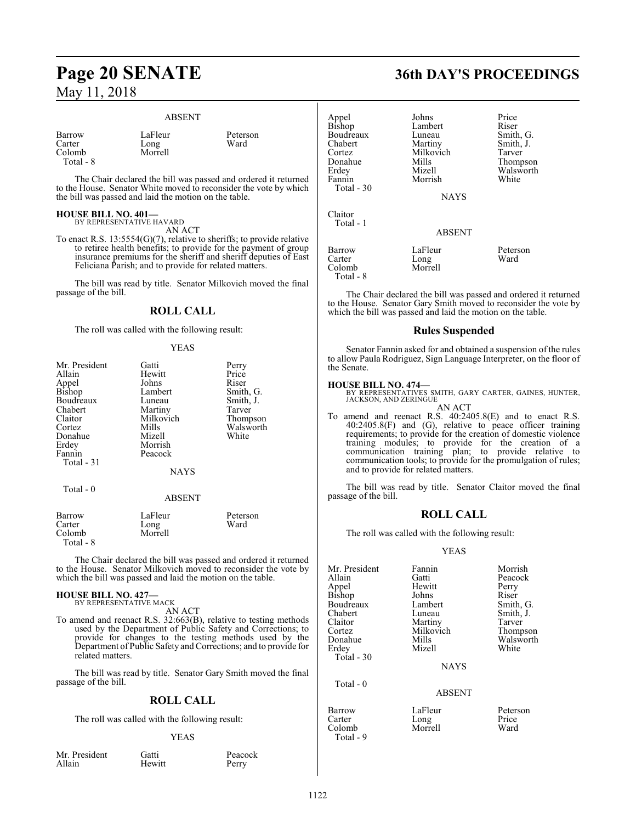#### ABSENT

| Barrow    |  |
|-----------|--|
| Carter    |  |
| Colomb    |  |
| Total - 8 |  |

LaFleur Peterson<br>Long Ward

The Chair declared the bill was passed and ordered it returned to the House. Senator White moved to reconsider the vote by which the bill was passed and laid the motion on the table.

Long Morrell

#### **HOUSE BILL NO. 401—**

BY REPRESENTATIVE HAVARD AN ACT

To enact R.S. 13:5554(G)(7), relative to sheriffs; to provide relative to retiree health benefits; to provide for the payment of group insurance premiums for the sheriff and sheriff deputies of East Feliciana Parish; and to provide for related matters.

The bill was read by title. Senator Milkovich moved the final passage of the bill.

#### **ROLL CALL**

The roll was called with the following result:

#### YEAS

| Mr. President | Gatti         | Perry     |
|---------------|---------------|-----------|
| Allain        | Hewitt        | Price     |
| Appel         | Johns         | Riser     |
| Bishop        | Lambert       | Smith, G. |
| Boudreaux     | Luneau        | Smith, J. |
| Chabert       | Martiny       | Tarver    |
| Claitor       | Milkovich     | Thompson  |
| Cortez        | Mills         | Walsworth |
| Donahue       | Mizell        | White     |
| Erdey         | Morrish       |           |
| Fannin        | Peacock       |           |
| Total - 31    |               |           |
|               | <b>NAYS</b>   |           |
| Total - 0     |               |           |
|               | <b>ABSENT</b> |           |
| Barrow        | LaFleur       | Peterson  |
| Carter        | Long          | Ward      |
| Colomb        | Morrell       |           |
|               |               |           |

Total - 8

The Chair declared the bill was passed and ordered it returned to the House. Senator Milkovich moved to reconsider the vote by which the bill was passed and laid the motion on the table.

#### **HOUSE BILL NO. 427—** BY REPRESENTATIVE MACK

AN ACT

To amend and reenact R.S. 32:663(B), relative to testing methods used by the Department of Public Safety and Corrections; to provide for changes to the testing methods used by the Department of Public Safety and Corrections; and to provide for related matters.

The bill was read by title. Senator Gary Smith moved the final passage of the bill.

#### **ROLL CALL**

The roll was called with the following result:

#### YEAS

Mr. President Gatti Beacock<br>
Allain Hewitt Perry

Perry

## **Page 20 SENATE 36th DAY'S PROCEEDINGS**

| Appel         | Johns         | Price     |
|---------------|---------------|-----------|
| <b>Bishop</b> | Lambert       | Riser     |
| Boudreaux     | Luneau        | Smith, G. |
| Chabert       | Martiny       | Smith, J. |
| Cortez        | Milkovich     | Tarver    |
| Donahue       | Mills         | Thompson  |
| Erdey         | Mizell        | Walsworth |
| Fannin        | Morrish       | White     |
| Total - 30    |               |           |
|               | <b>NAYS</b>   |           |
| Claitor       |               |           |
| Total - 1     |               |           |
|               | <b>ABSENT</b> |           |
| <b>Barrow</b> | LaFleur       | Peterson  |
| Carter        | Long          | Ward      |
| Colomb        | Morrell       |           |
| Total - 8     |               |           |

The Chair declared the bill was passed and ordered it returned to the House. Senator Gary Smith moved to reconsider the vote by which the bill was passed and laid the motion on the table.

#### **Rules Suspended**

Senator Fannin asked for and obtained a suspension of the rules to allow Paula Rodriguez, Sign Language Interpreter, on the floor of the Senate.

**HOUSE BILL NO. 474—** BY REPRESENTATIVES SMITH, GARY CARTER, GAINES, HUNTER, JACKSON, AND ZERINGUE AN ACT

To amend and reenact R.S. 40:2405.8(E) and to enact R.S. 40:2405.8(F) and (G), relative to peace officer training requirements; to provide for the creation of domestic violence training modules; to provide for the creation of a communication training plan; to provide relative to communication tools; to provide for the promulgation of rules; and to provide for related matters.

The bill was read by title. Senator Claitor moved the final passage of the bill.

#### **ROLL CALL**

The roll was called with the following result:

#### YEAS

| Mr. President | Fannin        | Morrish   |
|---------------|---------------|-----------|
| Allain        | Gatti         | Peacock   |
| Appel         | Hewitt        | Perry     |
| <b>Bishop</b> | Johns         | Riser     |
| Boudreaux     | Lambert       | Smith, G. |
| Chabert       | Luneau        | Smith, J. |
| Claitor       | Martiny       | Tarver    |
| Cortez        | Milkovich     | Thompson  |
| Donahue       | Mills         | Walsworth |
| Erdey         | Mizell        | White     |
| Total - 30    |               |           |
|               | <b>NAYS</b>   |           |
| Total $-0$    |               |           |
|               | <b>ABSENT</b> |           |
| Barrow        | LaFleur       | Peterson  |
| Carter        | Long          | Price     |

Colomb Morrell Ward Total - 9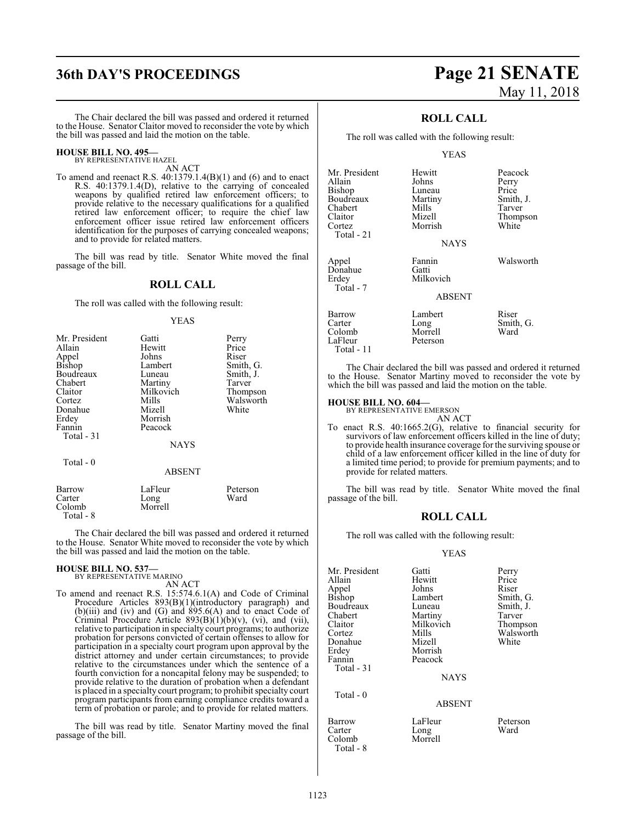## **36th DAY'S PROCEEDINGS Page 21 SENATE**

#### **HOUSE BILL NO. 495—**

BY REPRESENTATIVE HAZEL AN ACT

To amend and reenact R.S. 40:1379.1.4(B)(1) and (6) and to enact R.S. 40:1379.1.4(D), relative to the carrying of concealed weapons by qualified retired law enforcement officers; to provide relative to the necessary qualifications for a qualified retired law enforcement officer; to require the chief law enforcement officer issue retired law enforcement officers identification for the purposes of carrying concealed weapons; and to provide for related matters.

The bill was read by title. Senator White moved the final passage of the bill.

#### **ROLL CALL**

The roll was called with the following result:

#### YEAS

| Mr. President | Gatti         | Perry     |
|---------------|---------------|-----------|
| Allain        | Hewitt        | Price     |
| Appel         | Johns         | Riser     |
| <b>Bishop</b> | Lambert       | Smith, G. |
| Boudreaux     | Luneau        | Smith, J. |
| Chabert       | Martiny       | Tarver    |
| Claitor       | Milkovich     | Thompson  |
| Cortez        | Mills         | Walsworth |
| Donahue       | Mizell        | White     |
| Erdey         | Morrish       |           |
| Fannin        | Peacock       |           |
| Total $-31$   |               |           |
|               | <b>NAYS</b>   |           |
| Total - 0     |               |           |
|               | <b>ABSENT</b> |           |
| Barrow        | LaFleur       | Peterson  |
| Carter        | Long          | Ward      |
| Colomb        | Morrell       |           |

Total - 8

The Chair declared the bill was passed and ordered it returned to the House. Senator White moved to reconsider the vote by which the bill was passed and laid the motion on the table.

#### **HOUSE BILL NO. 537—**

BY REPRESENTATIVE MARINO AN ACT

To amend and reenact R.S. 15:574.6.1(A) and Code of Criminal Procedure Articles 893(B)(1)(introductory paragraph) and  $(b)$ (iii) and (iv) and (G) and 895.6(A) and to enact Code of Criminal Procedure Article  $893(B)(1)(b)(v)$ , (vi), and (vii), relative to participation in specialty court programs; to authorize probation for persons convicted of certain offenses to allow for participation in a specialty court program upon approval by the district attorney and under certain circumstances; to provide relative to the circumstances under which the sentence of a fourth conviction for a noncapital felony may be suspended; to provide relative to the duration of probation when a defendant is placed in a specialty court program; to prohibit specialty court program participants from earning compliance credits toward a term of probation or parole; and to provide for related matters.

The bill was read by title. Senator Martiny moved the final passage of the bill.

# May 11, 2018

### **ROLL CALL**

The roll was called with the following result:

#### YEAS

| Mr. President<br>Allain<br><b>Bishop</b><br>Boudreaux<br>Chabert<br>Claitor<br>Cortez<br>Total - 21 | Hewitt<br>Johns<br>Luneau<br>Martiny<br>Mills<br>Mizell<br>Morrish<br><b>NAYS</b> | Peaco<br>Perry<br>Price<br>Smith<br>Tarver<br>Thom<br>White |
|-----------------------------------------------------------------------------------------------------|-----------------------------------------------------------------------------------|-------------------------------------------------------------|
| Appel<br>Donahue<br>Erdey<br>Total - 7                                                              | Fannin<br>Gatti<br>Milkovich<br><b>ABSENT</b>                                     | Walsy                                                       |
| Barrow<br>Carter<br>Colomb<br>$L_0$ Flaur                                                           | Lambert<br>Long<br>Morrell<br>Dataraon                                            | Riser<br>Smith<br>Ward                                      |

Walsworth

Peacock Perry<br>Price

Smith, J. Tarver Thompson<br>White

Smith, G.<br>Ward Peterson

The Chair declared the bill was passed and ordered it returned to the House. Senator Martiny moved to reconsider the vote by which the bill was passed and laid the motion on the table.

## **HOUSE BILL NO. 604—** BY REPRESENTATIVE EMERSON

Total - 11

AN ACT To enact R.S. 40:1665.2(G), relative to financial security for survivors of law enforcement officers killed in the line of duty; to provide health insurance coverage for the surviving spouse or child of a law enforcement officer killed in the line of duty for a limited time period; to provide for premium payments; and to provide for related matters.

The bill was read by title. Senator White moved the final passage of the bill.

#### **ROLL CALL**

The roll was called with the following result:

#### YEAS

| Mr. President<br>Allain<br>Appel<br>Bishop<br>Boudreaux<br>Chabert | Gatti<br>Hewitt<br>Johns<br>Lambert<br>Luneau<br>Martiny | Perry<br>Price<br>Riser<br>Smith, G.<br>Smith, J.<br>Tarver |
|--------------------------------------------------------------------|----------------------------------------------------------|-------------------------------------------------------------|
| Claitor<br>Cortez<br>Donahue<br>Erdey<br>Fannin<br>Total - 31      | Milkovich<br>Mills<br>Mizell<br>Morrish<br>Peacock       | Thompson<br>Walsworth<br>White                              |
| Total $-0$                                                         | <b>NAYS</b><br><b>ABSENT</b>                             |                                                             |
| Barrow                                                             | LaFleur                                                  | Peterson                                                    |

Carter Long Ward Morrell

Total - 8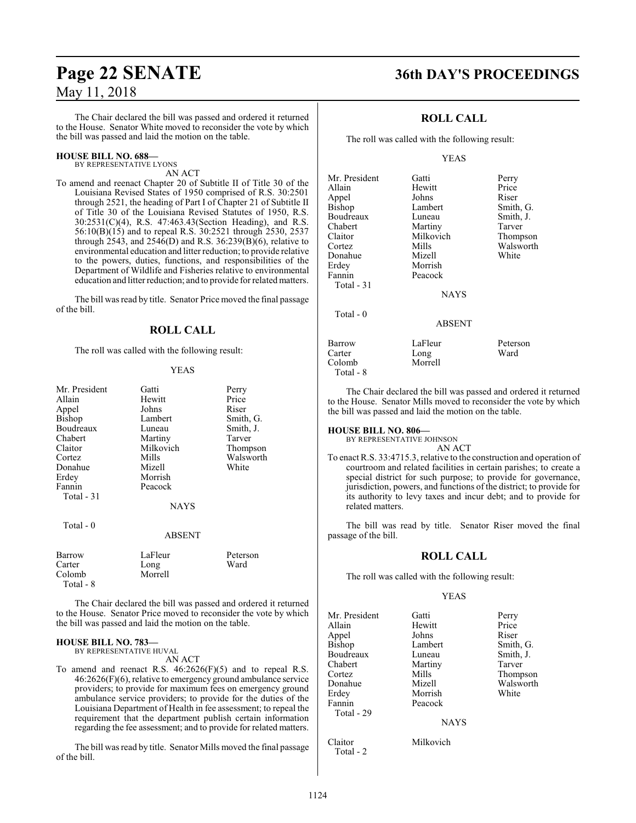#### The Chair declared the bill was passed and ordered it returned to the House. Senator White moved to reconsider the vote by which the bill was passed and laid the motion on the table.

#### **HOUSE BILL NO. 688—**

BY REPRESENTATIVE LYONS AN ACT

To amend and reenact Chapter 20 of Subtitle II of Title 30 of the Louisiana Revised States of 1950 comprised of R.S. 30:2501 through 2521, the heading of Part I of Chapter 21 of Subtitle II of Title 30 of the Louisiana Revised Statutes of 1950, R.S. 30:2531(C)(4), R.S. 47:463.43(Section Heading), and R.S. 56:10(B)(15) and to repeal R.S. 30:2521 through 2530, 2537 through 2543, and 2546(D) and R.S. 36:239(B)(6), relative to environmental education and litter reduction; to provide relative to the powers, duties, functions, and responsibilities of the Department of Wildlife and Fisheries relative to environmental education and litter reduction; and to provide forrelated matters.

The bill was read by title. Senator Price moved the final passage of the bill.

#### **ROLL CALL**

The roll was called with the following result:

#### YEAS

| Mr. President | Gatti       | Perry     |
|---------------|-------------|-----------|
| Allain        | Hewitt      | Price     |
| Appel         | Johns       | Riser     |
| Bishop        | Lambert     | Smith, G. |
| Boudreaux     | Luneau      | Smith, J. |
| Chabert       | Martiny     | Tarver    |
| Claitor       | Milkovich   | Thompson  |
| Cortez        | Mills       | Walsworth |
| Donahue       | Mizell      | White     |
| Erdey         | Morrish     |           |
| Fannin        | Peacock     |           |
| Total - 31    |             |           |
|               | <b>NAYS</b> |           |
| Total - 0     |             |           |
|               | ABSENT      |           |
| Barrow        | LaFleur     | Peterson  |
| Carter        | Long        | Ward      |
| Colomb        | Morrell     |           |

The Chair declared the bill was passed and ordered it returned to the House. Senator Price moved to reconsider the vote by which the bill was passed and laid the motion on the table.

#### **HOUSE BILL NO. 783—**

Total - 8

BY REPRESENTATIVE HUVAL AN ACT

To amend and reenact R.S. 46:2626(F)(5) and to repeal R.S. 46:2626(F)(6), relative to emergency ground ambulance service providers; to provide for maximum fees on emergency ground ambulance service providers; to provide for the duties of the Louisiana Department of Health in fee assessment; to repeal the requirement that the department publish certain information regarding the fee assessment; and to provide for related matters.

The bill was read by title. Senator Mills moved the final passage of the bill.

## **Page 22 SENATE 36th DAY'S PROCEEDINGS**

### **ROLL CALL**

The roll was called with the following result:

#### YEAS

| Mr. President<br>Allain<br>Appel<br>Bishop<br>Boudreaux<br>Chabert<br>Claitor<br>Cortez<br>Donahue | Gatti<br>Hewitt<br>Johns<br>Lambert<br>Luneau<br>Martiny<br>Milkovich<br>Mills<br>Mizell | Perry<br>Price<br>Riser<br>Smith, G.<br>Smith, J.<br>Tarver<br>Thompson<br>Walsworth<br>White |
|----------------------------------------------------------------------------------------------------|------------------------------------------------------------------------------------------|-----------------------------------------------------------------------------------------------|
| Erdey                                                                                              | Morrish                                                                                  |                                                                                               |
| Fannin<br>Total - 31                                                                               | Peacock<br><b>NAYS</b>                                                                   |                                                                                               |
| Total $-0$                                                                                         | <b>ABSENT</b>                                                                            |                                                                                               |
| Barrow<br>Carter<br>Colomb<br>Total - 8                                                            | LaFleur<br>Long<br>Morrell                                                               | Peterson<br>Ward                                                                              |

The Chair declared the bill was passed and ordered it returned to the House. Senator Mills moved to reconsider the vote by which the bill was passed and laid the motion on the table.

**HOUSE BILL NO. 806—**

BY REPRESENTATIVE JOHNSON AN ACT

To enact R.S. 33:4715.3, relative to the construction and operation of courtroom and related facilities in certain parishes; to create a special district for such purpose; to provide for governance, jurisdiction, powers, and functions of the district; to provide for its authority to levy taxes and incur debt; and to provide for related matters.

The bill was read by title. Senator Riser moved the final passage of the bill.

#### **ROLL CALL**

The roll was called with the following result:

#### YEAS

| Mr. President | Gatti       | Perry     |
|---------------|-------------|-----------|
| Allain        | Hewitt      | Price     |
| Appel         | Johns       | Riser     |
| Bishop        | Lambert     | Smith, G. |
| Boudreaux     | Luneau      | Smith, J. |
| Chabert       | Martiny     | Tarver    |
| Cortez        | Mills       | Thompson  |
| Donahue       | Mizell      | Walsworth |
| Erdey         | Morrish     | White     |
| Fannin        | Peacock     |           |
| Total - 29    |             |           |
|               | <b>NAYS</b> |           |
|               |             |           |

Claitor Milkovich Total - 2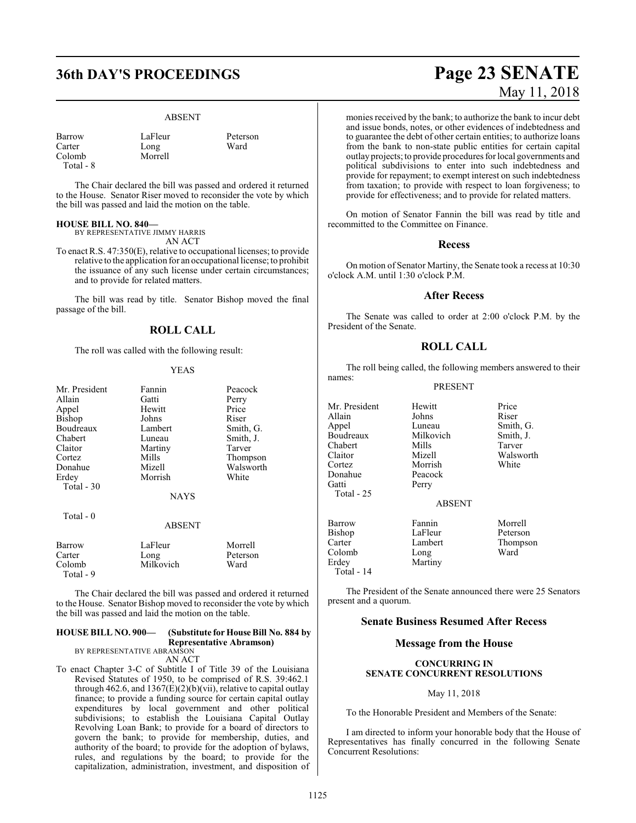## **36th DAY'S PROCEEDINGS Page 23 SENATE**

#### ABSENT

Peterson<br>Ward

| Barrow    | LaFleur | Peter: |
|-----------|---------|--------|
| Carter    | Long    | Ward   |
| Colomb    | Morrell |        |
| Total - 8 |         |        |

The Chair declared the bill was passed and ordered it returned to the House. Senator Riser moved to reconsider the vote by which the bill was passed and laid the motion on the table.

#### **HOUSE BILL NO. 840—**

BY REPRESENTATIVE JIMMY HARRIS AN ACT

To enact R.S. 47:350(E), relative to occupational licenses; to provide relative to the application for an occupational license; to prohibit the issuance of any such license under certain circumstances; and to provide for related matters.

The bill was read by title. Senator Bishop moved the final passage of the bill.

#### **ROLL CALL**

The roll was called with the following result:

#### YEAS

| Mr. President | Fannin      | Peacock   |
|---------------|-------------|-----------|
| Allain        | Gatti       | Perry     |
| Appel         | Hewitt      | Price     |
| Bishop        | Johns       | Riser     |
| Boudreaux     | Lambert     | Smith, G. |
| Chabert       | Luneau      | Smith, J. |
| Claitor       | Martiny     | Tarver    |
| Cortez        | Mills       | Thompson  |
| Donahue       | Mizell      | Walsworth |
| Erdey         | Morrish     | White     |
| Total - 30    |             |           |
|               | <b>NAYS</b> |           |
| Total - 0     |             |           |

#### ABSENT

| Barrow              | LaFleur   | Morrell  |
|---------------------|-----------|----------|
| Carter              | Long      | Peterson |
| Colomb<br>Total - 9 | Milkovich | Ward     |

The Chair declared the bill was passed and ordered it returned to the House. Senator Bishop moved to reconsider the vote by which the bill was passed and laid the motion on the table.

#### **HOUSE BILL NO. 900— (Substitute for House Bill No. 884 by Representative Abramson)**

BY REPRESENTATIVE ABRAMSON AN ACT

To enact Chapter 3-C of Subtitle I of Title 39 of the Louisiana Revised Statutes of 1950, to be comprised of R.S. 39:462.1 through 462.6, and  $1367(E)(2)(b)(vii)$ , relative to capital outlay finance; to provide a funding source for certain capital outlay expenditures by local government and other political subdivisions; to establish the Louisiana Capital Outlay Revolving Loan Bank; to provide for a board of directors to govern the bank; to provide for membership, duties, and authority of the board; to provide for the adoption of bylaws, rules, and regulations by the board; to provide for the capitalization, administration, investment, and disposition of

# May 11, 2018

monies received by the bank; to authorize the bank to incur debt and issue bonds, notes, or other evidences of indebtedness and to guarantee the debt of other certain entities; to authorize loans from the bank to non-state public entities for certain capital outlay projects; to provide procedures for local governments and political subdivisions to enter into such indebtedness and provide for repayment; to exempt interest on such indebtedness from taxation; to provide with respect to loan forgiveness; to provide for effectiveness; and to provide for related matters.

On motion of Senator Fannin the bill was read by title and recommitted to the Committee on Finance.

#### **Recess**

On motion of Senator Martiny, the Senate took a recess at 10:30 o'clock A.M. until 1:30 o'clock P.M.

#### **After Recess**

The Senate was called to order at 2:00 o'clock P.M. by the President of the Senate.

#### **ROLL CALL**

The roll being called, the following members answered to their names:

#### PRESENT

Mr. President Hewitt Price<br>Allain Johns Riser Allain Johns<br>
Appel Luneau Boudreaux Milkovich Smith,<br>
Chabert Mills Tarver Chabert Mills<br>Claitor Mizell Claitor Mizell Walsworth<br>
Cortez Morrish White<br>
Morrish White Donahue<br>Gatti Total - 25

Morrish<br>Peacock Perry

Luneau Smith, G.<br>Milkovich Smith, J.

#### ABSENT

| Barrow     | Fannin  | Morrell  |
|------------|---------|----------|
| Bishop     | LaFleur | Peterson |
| Carter     | Lambert | Thompson |
| Colomb     | Long    | Ward     |
| Erdey      | Martiny |          |
| Total - 14 |         |          |

The President of the Senate announced there were 25 Senators present and a quorum.

#### **Senate Business Resumed After Recess**

#### **Message from the House**

#### **CONCURRING IN SENATE CONCURRENT RESOLUTIONS**

#### May 11, 2018

To the Honorable President and Members of the Senate:

I am directed to inform your honorable body that the House of Representatives has finally concurred in the following Senate Concurrent Resolutions: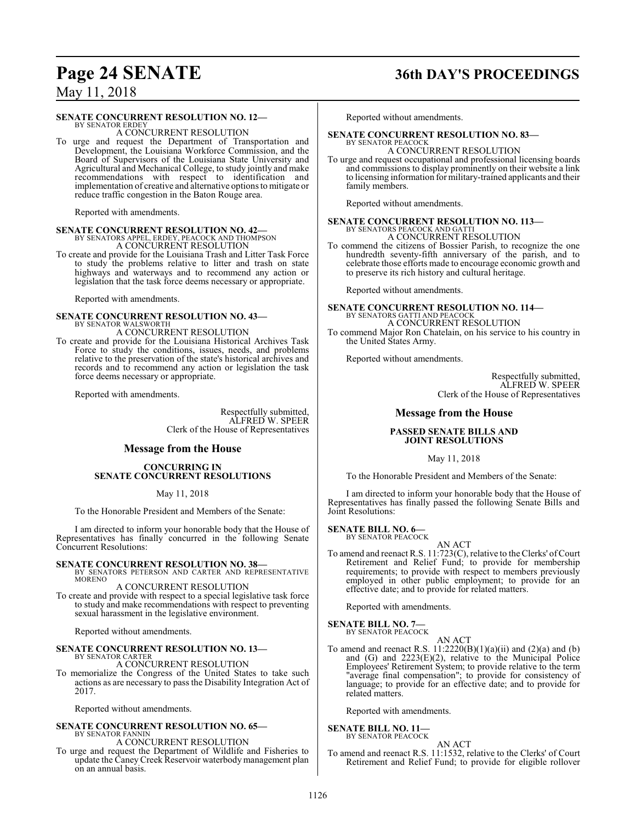## **Page 24 SENATE 36th DAY'S PROCEEDINGS**

May 11, 2018

#### **SENATE CONCURRENT RESOLUTION NO. 12—**

BY SENATOR ERDEY A CONCURRENT RESOLUTION

To urge and request the Department of Transportation and Development, the Louisiana Workforce Commission, and the Board of Supervisors of the Louisiana State University and Agricultural and Mechanical College, to study jointly and make recommendations with respect to identification and implementation of creative and alternative options to mitigate or reduce traffic congestion in the Baton Rouge area.

Reported with amendments.

# **SENATE CONCURRENT RESOLUTION NO. 42—**<br>BY SENATORS APPEL, ERDEY, PEACOCK AND THOMPSON<br>A CONCURRENT RESOLUTION

To create and provide for the Louisiana Trash and Litter Task Force to study the problems relative to litter and trash on state highways and waterways and to recommend any action or legislation that the task force deems necessary or appropriate.

Reported with amendments.

# **SENATE CONCURRENT RESOLUTION NO. 43—** BY SENATOR WALSWORTH

A CONCURRENT RESOLUTION

To create and provide for the Louisiana Historical Archives Task Force to study the conditions, issues, needs, and problems relative to the preservation of the state's historical archives and records and to recommend any action or legislation the task force deems necessary or appropriate.

Reported with amendments.

Respectfully submitted, ALFRED W. SPEER Clerk of the House of Representatives

#### **Message from the House**

#### **CONCURRING IN SENATE CONCURRENT RESOLUTIONS**

May 11, 2018

To the Honorable President and Members of the Senate:

I am directed to inform your honorable body that the House of Representatives has finally concurred in the following Senate Concurrent Resolutions:

### **SENATE CONCURRENT RESOLUTION NO. 38—**

BY SENATORS PETERSON AND CARTER AND REPRESENTATIVE MORENO

A CONCURRENT RESOLUTION

To create and provide with respect to a special legislative task force to study and make recommendations with respect to preventing sexual harassment in the legislative environment.

Reported without amendments.

#### **SENATE CONCURRENT RESOLUTION NO. 13—** BY SENATOR CARTER

A CONCURRENT RESOLUTION

To memorialize the Congress of the United States to take such actions as are necessary to pass the Disability Integration Act of 2017.

Reported without amendments.

#### **SENATE CONCURRENT RESOLUTION NO. 65—** BY SENATOR FANNIN A CONCURRENT RESOLUTION

To urge and request the Department of Wildlife and Fisheries to update the Caney Creek Reservoir waterbody management plan on an annual basis.

Reported without amendments.

#### **SENATE CONCURRENT RESOLUTION NO. 83—**

BY SENATOR PEACOCK A CONCURRENT RESOLUTION

To urge and request occupational and professional licensing boards and commissions to display prominently on their website a link to licensing information for military-trained applicants and their family members.

Reported without amendments.

# **SENATE CONCURRENT RESOLUTION NO. 113—**<br>BY SENATORS PEACOCK AND GATTI<br>A CONCURRENT RESOLUTION

To commend the citizens of Bossier Parish, to recognize the one hundredth seventy-fifth anniversary of the parish, and to celebrate those efforts made to encourage economic growth and to preserve its rich history and cultural heritage.

Reported without amendments.

**SENATE CONCURRENT RESOLUTION NO. 114—** BY SENATORS GATTI AND PEACOCK A CONCURRENT RESOLUTION

To commend Major Ron Chatelain, on his service to his country in the United States Army.

Reported without amendments.

Respectfully submitted, ALFRED W. SPEER Clerk of the House of Representatives

#### **Message from the House**

#### **PASSED SENATE BILLS AND JOINT RESOLUTIONS**

May 11, 2018

To the Honorable President and Members of the Senate:

I am directed to inform your honorable body that the House of Representatives has finally passed the following Senate Bills and Joint Resolutions:

#### **SENATE BILL NO. 6—**

BY SENATOR PEACOCK

AN ACT To amend and reenact R.S. 11:723(C), relative to the Clerks' of Court Retirement and Relief Fund; to provide for membership requirements; to provide with respect to members previously employed in other public employment; to provide for an effective date; and to provide for related matters.

Reported with amendments.

**SENATE BILL NO. 7—** BY SENATOR PEACOCK

AN ACT

To amend and reenact R.S.  $11:2220(B)(1)(a)(ii)$  and  $(2)(a)$  and  $(b)$ and (G) and 2223(E)(2), relative to the Municipal Police Employees' Retirement System; to provide relative to the term "average final compensation"; to provide for consistency of language; to provide for an effective date; and to provide for related matters.

Reported with amendments.

#### **SENATE BILL NO. 11—**

BY SENATOR PEACOCK AN ACT

To amend and reenact R.S. 11:1532, relative to the Clerks' of Court Retirement and Relief Fund; to provide for eligible rollover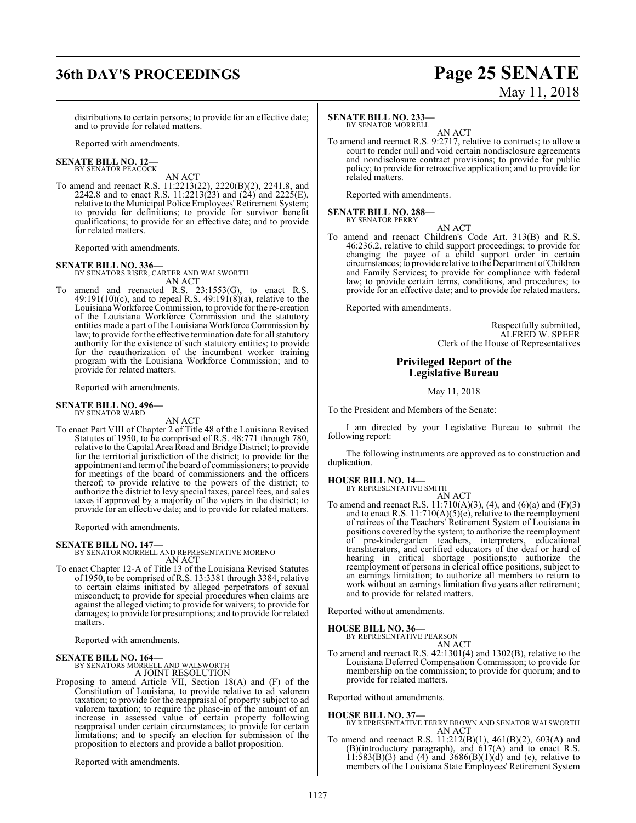## **36th DAY'S PROCEEDINGS Page 25 SENATE**

# May 11, 2018

distributions to certain persons; to provide for an effective date; and to provide for related matters.

Reported with amendments.

#### **SENATE BILL NO. 12—** BY SENATOR PEACOCK

AN ACT

To amend and reenact R.S. 11:2213(22), 2220(B)(2), 2241.8, and 2242.8 and to enact R.S. 11:2213(23) and (24) and 2225(E), relative to the Municipal Police Employees' Retirement System; to provide for definitions; to provide for survivor benefit qualifications; to provide for an effective date; and to provide for related matters.

Reported with amendments.

#### **SENATE BILL NO. 336—**

BY SENATORS RISER, CARTER AND WALSWORTH AN ACT

To amend and reenacted R.S. 23:1553(G), to enact R.S.  $49:191(10)$ (c), and to repeal R.S.  $49:191(8)$ (a), relative to the Louisiana Workforce Commission, to provide for the re-creation of the Louisiana Workforce Commission and the statutory entities made a part of the Louisiana Workforce Commission by law; to provide for the effective termination date for all statutory authority for the existence of such statutory entities; to provide for the reauthorization of the incumbent worker training program with the Louisiana Workforce Commission; and to provide for related matters.

Reported with amendments.

#### **SENATE BILL NO. 496—** BY SENATOR WARD

AN ACT

To enact Part VIII of Chapter 2 of Title 48 of the Louisiana Revised Statutes of 1950, to be comprised of R.S. 48:771 through 780, relative to the Capital Area Road and Bridge District; to provide for the territorial jurisdiction of the district; to provide for the appointment and termofthe board of commissioners; to provide for meetings of the board of commissioners and the officers thereof; to provide relative to the powers of the district; to authorize the district to levy special taxes, parcel fees, and sales taxes if approved by a majority of the voters in the district; to provide for an effective date; and to provide for related matters.

Reported with amendments.

#### **SENATE BILL NO. 147—**

BY SENATOR MORRELL AND REPRESENTATIVE MORENO AN ACT

To enact Chapter 12-A of Title 13 of the Louisiana Revised Statutes of 1950, to be comprised of R.S. 13:3381 through 3384, relative to certain claims initiated by alleged perpetrators of sexual misconduct; to provide for special procedures when claims are against the alleged victim; to provide for waivers; to provide for damages; to provide for presumptions; and to provide for related matters.

Reported with amendments.

#### **SENATE BILL NO. 164—**

BY SENATORS MORRELL AND WALSWORTH A JOINT RESOLUTION

Proposing to amend Article VII, Section 18(A) and (F) of the Constitution of Louisiana, to provide relative to ad valorem taxation; to provide for the reappraisal of property subject to ad valorem taxation; to require the phase-in of the amount of an increase in assessed value of certain property following reappraisal under certain circumstances; to provide for certain limitations; and to specify an election for submission of the proposition to electors and provide a ballot proposition.

Reported with amendments.

#### **SENATE BILL NO. 233—**

BY SENATOR MORRELL

AN ACT To amend and reenact R.S. 9:2717, relative to contracts; to allow a court to render null and void certain nondisclosure agreements and nondisclosure contract provisions; to provide for public policy; to provide for retroactive application; and to provide for related matters.

Reported with amendments.

#### **SENATE BILL NO. 288—** BY SENATOR PERRY

AN ACT To amend and reenact Children's Code Art. 313(B) and R.S. 46:236.2, relative to child support proceedings; to provide for changing the payee of a child support order in certain circumstances; to provide relative to the Department ofChildren and Family Services; to provide for compliance with federal law; to provide certain terms, conditions, and procedures; to provide for an effective date; and to provide for related matters.

Reported with amendments.

Respectfully submitted, ALFRED W. SPEER Clerk of the House of Representatives

### **Privileged Report of the Legislative Bureau**

May 11, 2018

To the President and Members of the Senate:

I am directed by your Legislative Bureau to submit the following report:

The following instruments are approved as to construction and duplication.

#### **HOUSE BILL NO. 14—**

BY REPRESENTATIVE SMITH AN ACT

To amend and reenact R.S.  $11:710(A)(3)$ , (4), and (6)(a) and (F)(3) and to enact R.S. 11:710(A)(5)(e), relative to the reemployment of retirees of the Teachers' Retirement System of Louisiana in positions covered by the system; to authorize the reemployment of pre-kindergarten teachers, interpreters, educational transliterators, and certified educators of the deaf or hard of hearing in critical shortage positions;to authorize the reemployment of persons in clerical office positions, subject to an earnings limitation; to authorize all members to return to work without an earnings limitation five years after retirement; and to provide for related matters.

Reported without amendments.

## **HOUSE BILL NO. 36—** BY REPRESENTATIVE PEARSON

AN ACT

To amend and reenact R.S. 42:1301(4) and 1302(B), relative to the Louisiana Deferred Compensation Commission; to provide for membership on the commission; to provide for quorum; and to provide for related matters.

Reported without amendments.

#### **HOUSE BILL NO. 37—**

BY REPRESENTATIVE TERRY BROWN AND SENATOR WALSWORTH AN ACT

To amend and reenact R.S. 11:212(B)(1), 461(B)(2), 603(A) and (B)(introductory paragraph), and 617(A) and to enact R.S.  $11:583(B)(3)$  and  $(4)$  and  $3686(B)(1)(d)$  and  $(e)$ , relative to members of the Louisiana State Employees' Retirement System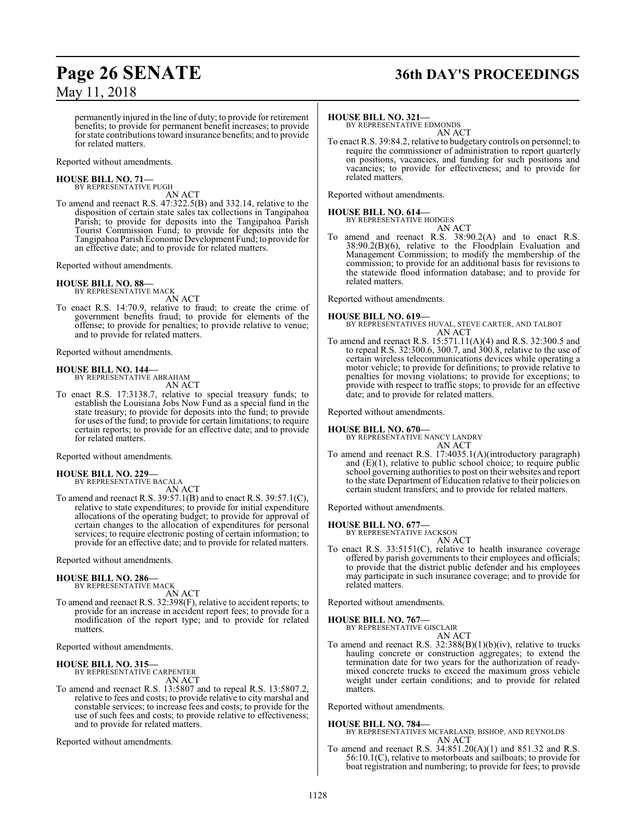## **Page 26 SENATE 36th DAY'S PROCEEDINGS**

permanently injured in the line of duty; to provide for retirement benefits; to provide for permanent benefit increases; to provide for state contributions toward insurance benefits; and to provide for related matters.

Reported without amendments.

## **HOUSE BILL NO. 71—** BY REPRESENTATIVE PUGH

AN ACT

To amend and reenact R.S. 47:322.5(B) and 332.14, relative to the disposition of certain state sales tax collections in Tangipahoa Parish; to provide for deposits into the Tangipahoa Parish Tourist Commission Fund; to provide for deposits into the Tangipahoa Parish Economic Development Fund; to provide for an effective date; and to provide for related matters.

Reported without amendments.

#### **HOUSE BILL NO. 88—** BY REPRESENTATIVE MACK

AN ACT

To enact R.S. 14:70.9, relative to fraud; to create the crime of government benefits fraud; to provide for elements of the offense; to provide for penalties; to provide relative to venue; and to provide for related matters.

Reported without amendments.

#### **HOUSE BILL NO. 144—**

BY REPRESENTATIVE ABRAHAM AN ACT

To enact R.S. 17:3138.7, relative to special treasury funds; to establish the Louisiana Jobs Now Fund as a special fund in the state treasury; to provide for deposits into the fund; to provide for uses of the fund; to provide for certain limitations; to require certain reports; to provide for an effective date; and to provide for related matters.

Reported without amendments.

#### **HOUSE BILL NO. 229—** BY REPRESENTATIVE BACALA

AN ACT To amend and reenact R.S. 39:57.1(B) and to enact R.S. 39:57.1(C), relative to state expenditures; to provide for initial expenditure allocations of the operating budget; to provide for approval of certain changes to the allocation of expenditures for personal services; to require electronic posting of certain information; to provide for an effective date; and to provide for related matters.

Reported without amendments.

#### **HOUSE BILL NO. 286—**

BY REPRESENTATIVE MACK AN ACT

To amend and reenact R.S. 32:398(F), relative to accident reports; to provide for an increase in accident report fees; to provide for a modification of the report type; and to provide for related matters.

Reported without amendments.

#### **HOUSE BILL NO. 315—**

BY REPRESENTATIVE CARPENTER AN ACT

To amend and reenact R.S. 13:5807 and to repeal R.S. 13:5807.2, relative to fees and costs; to provide relative to city marshal and constable services; to increase fees and costs; to provide for the use of such fees and costs; to provide relative to effectiveness; and to provide for related matters.

Reported without amendments.

#### **HOUSE BILL NO. 321—**

BY REPRESENTATIVE EDMONDS AN ACT

To enact R.S. 39:84.2, relative to budgetary controls on personnel; to require the commissioner of administration to report quarterly on positions, vacancies, and funding for such positions and vacancies; to provide for effectiveness; and to provide for related matters.

Reported without amendments.

## **HOUSE BILL NO. 614—** BY REPRESENTATIVE HODGES

AN ACT To amend and reenact R.S. 38:90.2(A) and to enact R.S. 38:90.2(B)(6), relative to the Floodplain Evaluation and Management Commission; to modify the membership of the commission; to provide for an additional basis for revisions to the statewide flood information database; and to provide for related matters.

Reported without amendments.

- **HOUSE BILL NO. 619—** BY REPRESENTATIVES HUVAL, STEVE CARTER, AND TALBOT AN ACT
- To amend and reenact R.S. 15:571.11(A)(4) and R.S. 32:300.5 and to repeal R.S. 32:300.6, 300.7, and 300.8, relative to the use of certain wireless telecommunications devices while operating a motor vehicle; to provide for definitions; to provide relative to penalties for moving violations; to provide for exceptions; to provide with respect to traffic stops; to provide for an effective date; and to provide for related matters.

Reported without amendments.

**HOUSE BILL NO. 670—**

```
BY REPRESENTATIVE NANCY LANDRY
                   AN ACT
```
To amend and reenact R.S. 17:4035.1(A)(introductory paragraph) and  $(E)(1)$ , relative to public school choice; to require public school governing authorities to post on their websites and report to the state Department of Education relative to their policies on certain student transfers; and to provide for related matters.

Reported without amendments.

#### **HOUSE BILL NO. 677—**

BY REPRESENTATIVE JACKSON AN ACT

To enact R.S. 33:5151(C), relative to health insurance coverage offered by parish governments to their employees and officials; to provide that the district public defender and his employees may participate in such insurance coverage; and to provide for related matters.

Reported without amendments.

#### **HOUSE BILL NO. 767—**

BY REPRESENTATIVE GISCLAIR

AN ACT To amend and reenact R.S. 32:388(B)(1)(b)(iv), relative to trucks hauling concrete or construction aggregates; to extend the termination date for two years for the authorization of readymixed concrete trucks to exceed the maximum gross vehicle weight under certain conditions; and to provide for related matters.

Reported without amendments.

## **HOUSE BILL NO. 784—**

BY REPRESENTATIVES MCFARLAND, BISHOP, AND REYNOLDS AN ACT

To amend and reenact R.S. 34:851.20(A)(1) and 851.32 and R.S. 56:10.1(C), relative to motorboats and sailboats; to provide for boat registration and numbering; to provide for fees; to provide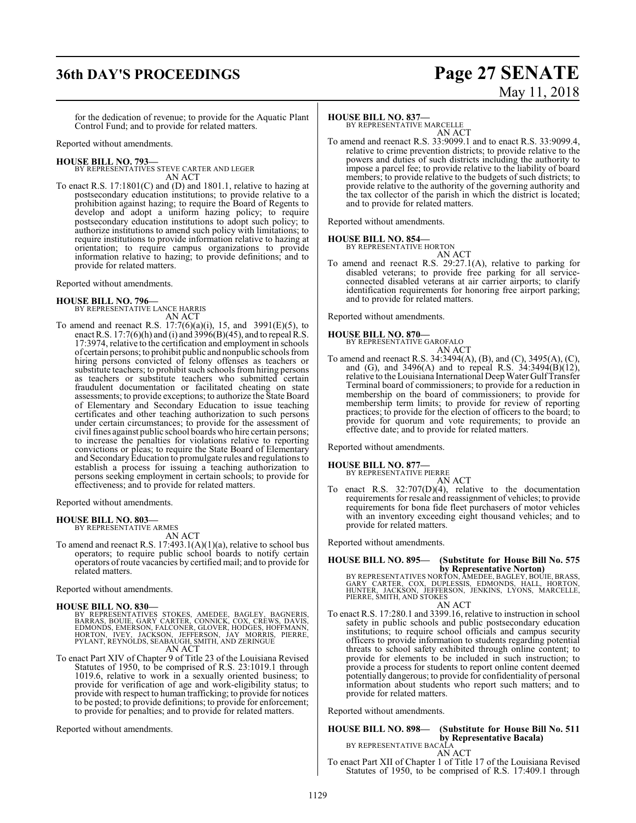## **36th DAY'S PROCEEDINGS Page 27 SENATE**

# May 11, 2018

for the dedication of revenue; to provide for the Aquatic Plant Control Fund; and to provide for related matters.

Reported without amendments.

#### **HOUSE BILL NO. 793—**

BY REPRESENTATIVES STEVE CARTER AND LEGER AN ACT

To enact R.S. 17:1801(C) and (D) and 1801.1, relative to hazing at postsecondary education institutions; to provide relative to a prohibition against hazing; to require the Board of Regents to develop and adopt a uniform hazing policy; to require postsecondary education institutions to adopt such policy; to authorize institutions to amend such policy with limitations; to require institutions to provide information relative to hazing at orientation; to require campus organizations to provide information relative to hazing; to provide definitions; and to provide for related matters.

Reported without amendments.

# **HOUSE BILL NO. 796—** BY REPRESENTATIVE LANCE HARRIS

AN ACT

To amend and reenact R.S.  $17:7(6)(a)(i)$ , 15, and 3991(E)(5), to enact R.S. 17:7(6)(h) and (i) and  $3996(B)(45)$ , and to repeal R.S. 17:3974, relative to the certification and employment in schools of certain persons; to prohibit public and nonpublic schools from hiring persons convicted of felony offenses as teachers or substitute teachers; to prohibit such schools fromhiring persons as teachers or substitute teachers who submitted certain fraudulent documentation or facilitated cheating on state assessments; to provide exceptions; to authorize the State Board of Elementary and Secondary Education to issue teaching certificates and other teaching authorization to such persons under certain circumstances; to provide for the assessment of civil fines against public school boards who hire certain persons; to increase the penalties for violations relative to reporting convictions or pleas; to require the State Board of Elementary and SecondaryEducation to promulgate rules and regulations to establish a process for issuing a teaching authorization to persons seeking employment in certain schools; to provide for effectiveness; and to provide for related matters.

Reported without amendments.

#### **HOUSE BILL NO. 803—**

BY REPRESENTATIVE ARMES AN ACT

To amend and reenact R.S. 17:493.1(A)(1)(a), relative to school bus operators; to require public school boards to notify certain operators ofroute vacancies by certified mail; and to provide for related matters.

Reported without amendments.

#### **HOUSE BILL NO. 830—**

BY REPRESENTATIVES STOKES, AMEDEE, BAGLEY, BAGNERIS,<br>BARRAS, BOUIE, GARY CARTER, CONNICK, COX, CREWS, DAVIS,<br>EDMONDS, EMERSON, FALCONER, GLOVER, HODGES, HOFMANN,<br>HORTON, IVEY, JACKSON, JEFFERSON, JAY MORRIS, PIERRE,<br>PYLANT AN ACT

To enact Part XIV of Chapter 9 of Title 23 of the Louisiana Revised Statutes of 1950, to be comprised of R.S. 23:1019.1 through 1019.6, relative to work in a sexually oriented business; to provide for verification of age and work-eligibility status; to provide with respect to human trafficking; to provide for notices to be posted; to provide definitions; to provide for enforcement; to provide for penalties; and to provide for related matters.

Reported without amendments.

#### **HOUSE BILL NO. 837—**

BY REPRESENTATIVE MARCELLE AN ACT

To amend and reenact R.S. 33:9099.1 and to enact R.S. 33:9099.4, relative to crime prevention districts; to provide relative to the powers and duties of such districts including the authority to impose a parcel fee; to provide relative to the liability of board members; to provide relative to the budgets of such districts; to provide relative to the authority of the governing authority and the tax collector of the parish in which the district is located; and to provide for related matters.

Reported without amendments.

#### **HOUSE BILL NO. 854—**

BY REPRESENTATIVE HORTON AN ACT

To amend and reenact R.S. 29:27.1(A), relative to parking for disabled veterans; to provide free parking for all serviceconnected disabled veterans at air carrier airports; to clarify identification requirements for honoring free airport parking; and to provide for related matters.

Reported without amendments.

#### **HOUSE BILL NO. 870—**

BY REPRESENTATIVE GAROFALO AN ACT

To amend and reenact R.S. 34:3494(A), (B), and (C), 3495(A), (C), and (G), and 3496(A) and to repeal R.S. 34:3494(B)(12), relative to the Louisiana International DeepWater GulfTransfer Terminal board of commissioners; to provide for a reduction in membership on the board of commissioners; to provide for membership term limits; to provide for review of reporting practices; to provide for the election of officers to the board; to provide for quorum and vote requirements; to provide an effective date; and to provide for related matters.

Reported without amendments.

**HOUSE BILL NO. 877—**

BY REPRESENTATIVE PIERRE

AN ACT To enact R.S. 32:707(D)(4), relative to the documentation requirements for resale and reassignment of vehicles; to provide requirements for bona fide fleet purchasers of motor vehicles with an inventory exceeding eight thousand vehicles; and to provide for related matters.

Reported without amendments.

# **HOUSE BILL NO. 895— (Substitute for House Bill No. 575**

**by Representative Norton)**<br>BY REPRESENTATIVES NORTON, AMEDEE, BAGLEY, BOUIE, BRASS,<br>GARY CARTER, COX, DUPLESSIS, EDMONDS, HALL, HORTON,<br>HUNTER, JACKSON, JEFFERSON, JENKINS, LÝONS, MARCELLE,<br>PIERRE, SMITH, AND STOKES

AN ACT

To enact R.S. 17:280.1 and 3399.16, relative to instruction in school safety in public schools and public postsecondary education institutions; to require school officials and campus security officers to provide information to students regarding potential threats to school safety exhibited through online content; to provide for elements to be included in such instruction; to provide a process for students to report online content deemed potentially dangerous; to provide for confidentiality of personal information about students who report such matters; and to provide for related matters.

Reported without amendments.

#### **HOUSE BILL NO. 898— (Substitute for House Bill No. 511 by Representative Bacala)**

BY REPRESENTATIVE BACALA AN ACT

To enact Part XII of Chapter 1 of Title 17 of the Louisiana Revised Statutes of 1950, to be comprised of R.S. 17:409.1 through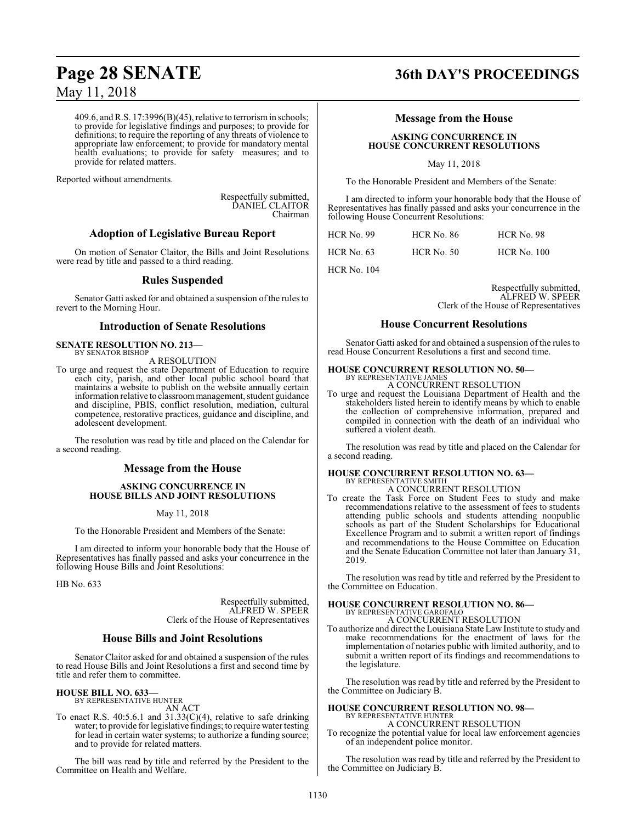409.6, andR.S. 17:3996(B)(45), relative to terrorismin schools; to provide for legislative findings and purposes; to provide for definitions; to require the reporting of any threats of violence to appropriate law enforcement; to provide for mandatory mental health evaluations; to provide for safety measures; and to provide for related matters.

Reported without amendments.

Respectfully submitted, DANIEL CLAITOR Chairman

#### **Adoption of Legislative Bureau Report**

On motion of Senator Claitor, the Bills and Joint Resolutions were read by title and passed to a third reading.

#### **Rules Suspended**

Senator Gatti asked for and obtained a suspension of the rules to revert to the Morning Hour.

#### **Introduction of Senate Resolutions**

#### **SENATE RESOLUTION NO. 213—** BY SENATOR BISHOP

A RESOLUTION

To urge and request the state Department of Education to require each city, parish, and other local public school board that maintains a website to publish on the website annually certain information relative to classroommanagement, student guidance and discipline, PBIS, conflict resolution, mediation, cultural competence, restorative practices, guidance and discipline, and adolescent development.

The resolution was read by title and placed on the Calendar for a second reading.

#### **Message from the House**

#### **ASKING CONCURRENCE IN HOUSE BILLS AND JOINT RESOLUTIONS**

May 11, 2018

To the Honorable President and Members of the Senate:

I am directed to inform your honorable body that the House of Representatives has finally passed and asks your concurrence in the following House Bills and Joint Resolutions:

HB No. 633

Respectfully submitted, ALFRED W. SPEER Clerk of the House of Representatives

#### **House Bills and Joint Resolutions**

Senator Claitor asked for and obtained a suspension of the rules to read House Bills and Joint Resolutions a first and second time by title and refer them to committee.

#### **HOUSE BILL NO. 633—** BY REPRESENTATIVE HUNTER

AN ACT

To enact R.S. 40:5.6.1 and  $31.33($ C $)(4)$ , relative to safe drinking water; to provide for legislative findings; to require water testing for lead in certain water systems; to authorize a funding source; and to provide for related matters.

The bill was read by title and referred by the President to the Committee on Health and Welfare.

## **Page 28 SENATE 36th DAY'S PROCEEDINGS**

#### **Message from the House**

#### **ASKING CONCURRENCE IN HOUSE CONCURRENT RESOLUTIONS**

May 11, 2018

To the Honorable President and Members of the Senate:

I am directed to inform your honorable body that the House of Representatives has finally passed and asks your concurrence in the following House Concurrent Resolutions:

| <b>HCR No. 99</b> | <b>HCR No. 86</b> | HCR No. 98         |
|-------------------|-------------------|--------------------|
| HCR No. $63$      | $HCR$ No. 50      | <b>HCR No. 100</b> |

HCR No. 104

Respectfully submitted, ALFRED W. SPEER Clerk of the House of Representatives

#### **House Concurrent Resolutions**

Senator Gatti asked for and obtained a suspension of the rules to read House Concurrent Resolutions a first and second time.

#### **HOUSE CONCURRENT RESOLUTION NO. 50—**

BY REPRESENTATIVE JAMES A CONCURRENT RESOLUTION

To urge and request the Louisiana Department of Health and the stakeholders listed herein to identify means by which to enable the collection of comprehensive information, prepared and compiled in connection with the death of an individual who suffered a violent death.

The resolution was read by title and placed on the Calendar for a second reading.

## **HOUSE CONCURRENT RESOLUTION NO. 63—** BY REPRESENTATIVE SMITH

A CONCURRENT RESOLUTION

To create the Task Force on Student Fees to study and make recommendations relative to the assessment of fees to students attending public schools and students attending nonpublic schools as part of the Student Scholarships for Educational Excellence Program and to submit a written report of findings and recommendations to the House Committee on Education and the Senate Education Committee not later than January 31, 2019.

The resolution was read by title and referred by the President to the Committee on Education.

#### **HOUSE CONCURRENT RESOLUTION NO. 86—** BY REPRESENTATIVE GAROFALO

A CONCURRENT RESOLUTION

To authorize and direct the Louisiana State Law Institute to study and make recommendations for the enactment of laws for the implementation of notaries public with limited authority, and to submit a written report of its findings and recommendations to the legislature.

The resolution was read by title and referred by the President to the Committee on Judiciary B.

#### **HOUSE CONCURRENT RESOLUTION NO. 98—** BY REPRESENTATIVE HUNTER

A CONCURRENT RESOLUTION

To recognize the potential value for local law enforcement agencies of an independent police monitor.

The resolution was read by title and referred by the President to the Committee on Judiciary B.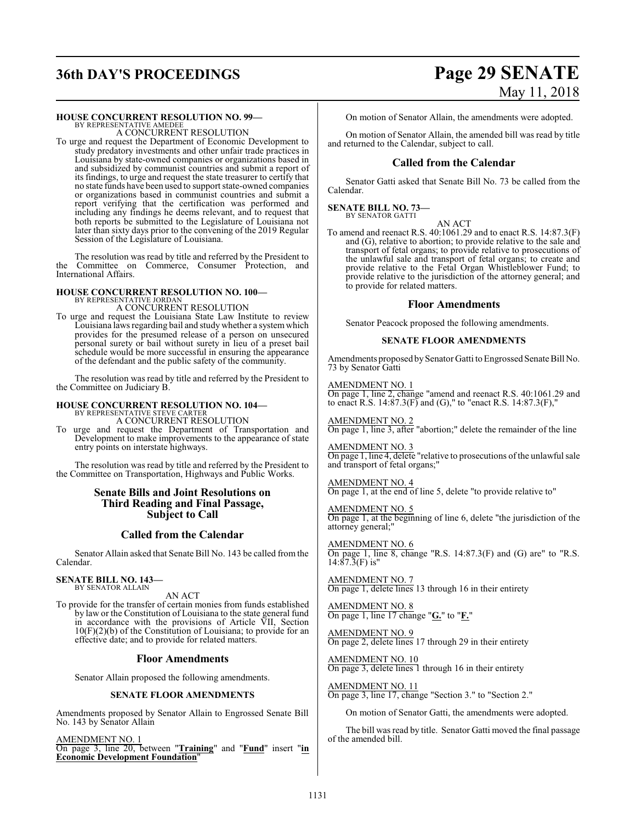# **36th DAY'S PROCEEDINGS Page 29 SENATE** May 11, 2018

#### **HOUSE CONCURRENT RESOLUTION NO. 99—**

BY REPRESENTATIVE AMEDEE A CONCURRENT RESOLUTION

To urge and request the Department of Economic Development to study predatory investments and other unfair trade practices in Louisiana by state-owned companies or organizations based in and subsidized by communist countries and submit a report of its findings, to urge and request the state treasurer to certify that no state funds have been used to support state-owned companies or organizations based in communist countries and submit a report verifying that the certification was performed and including any findings he deems relevant, and to request that both reports be submitted to the Legislature of Louisiana not later than sixty days prior to the convening of the 2019 Regular Session of the Legislature of Louisiana.

The resolution was read by title and referred by the President to the Committee on Commerce, Consumer Protection, and International Affairs.

## **HOUSE CONCURRENT RESOLUTION NO. 100—** BY REPRESENTATIVE JORDAN

A CONCURRENT RESOLUTION

To urge and request the Louisiana State Law Institute to review Louisiana laws regarding bail and study whether a systemwhich provides for the presumed release of a person on unsecured personal surety or bail without surety in lieu of a preset bail schedule would be more successful in ensuring the appearance of the defendant and the public safety of the community.

The resolution was read by title and referred by the President to the Committee on Judiciary B.

#### **HOUSE CONCURRENT RESOLUTION NO. 104—**

BY REPRESENTATIVE STEVE CARTER A CONCURRENT RESOLUTION

To urge and request the Department of Transportation and Development to make improvements to the appearance of state entry points on interstate highways.

The resolution was read by title and referred by the President to the Committee on Transportation, Highways and Public Works.

#### **Senate Bills and Joint Resolutions on Third Reading and Final Passage, Subject to Call**

### **Called from the Calendar**

Senator Allain asked that Senate Bill No. 143 be called from the Calendar.

## **SENATE BILL NO. 143—** BY SENATOR ALLAIN

AN ACT

To provide for the transfer of certain monies from funds established by law or the Constitution of Louisiana to the state general fund in accordance with the provisions of Article VII, Section 10(F)(2)(b) of the Constitution of Louisiana; to provide for an effective date; and to provide for related matters.

#### **Floor Amendments**

Senator Allain proposed the following amendments.

#### **SENATE FLOOR AMENDMENTS**

Amendments proposed by Senator Allain to Engrossed Senate Bill No. 143 by Senator Allain

AMENDMENT NO. 1 On page 3, line 20, between "**Training**" and "**Fund**" insert "**in Economic Development Foundation**"

On motion of Senator Allain, the amendments were adopted.

On motion of Senator Allain, the amended bill was read by title and returned to the Calendar, subject to call.

#### **Called from the Calendar**

Senator Gatti asked that Senate Bill No. 73 be called from the Calendar.

#### **SENATE BILL NO. 73—** BY SENATOR GATTI

AN ACT To amend and reenact R.S. 40:1061.29 and to enact R.S. 14:87.3(F) and (G), relative to abortion; to provide relative to the sale and transport of fetal organs; to provide relative to prosecutions of the unlawful sale and transport of fetal organs; to create and provide relative to the Fetal Organ Whistleblower Fund; to provide relative to the jurisdiction of the attorney general; and to provide for related matters.

#### **Floor Amendments**

Senator Peacock proposed the following amendments.

#### **SENATE FLOOR AMENDMENTS**

Amendments proposed by Senator Gatti to Engrossed Senate Bill No. 73 by Senator Gatti

#### AMENDMENT NO. 1

On page 1, line 2, change "amend and reenact R.S. 40:1061.29 and to enact R.S. 14:87.3(F) and (G)," to "enact R.S. 14:87.3(F),"

AMENDMENT NO. 2 On page 1, line 3, after "abortion;" delete the remainder of the line

#### AMENDMENT NO. 3

On page 1, line 4, delete "relative to prosecutions of the unlawful sale and transport of fetal organs;"

#### AMENDMENT NO. 4

On page 1, at the end of line 5, delete "to provide relative to"

#### AMENDMENT NO. 5

On page 1, at the beginning of line 6, delete "the jurisdiction of the attorney general;"

AMENDMENT NO. 6 On page 1, line 8, change "R.S.  $14:87.3(F)$  and  $(G)$  are" to "R.S.  $14:87.\overline{3}$ (F) is"

AMENDMENT NO. 7 On page 1, delete lines 13 through 16 in their entirety

#### AMENDMENT NO. 8 On page 1, line 17 change "**G.**" to "**F.**"

AMENDMENT NO. 9 On page 2, delete lines 17 through 29 in their entirety

AMENDMENT NO. 10 On page 3, delete lines 1 through 16 in their entirety

AMENDMENT NO. 11 On page 3, line 17, change "Section 3." to "Section 2."

On motion of Senator Gatti, the amendments were adopted.

The bill was read by title. Senator Gatti moved the final passage of the amended bill.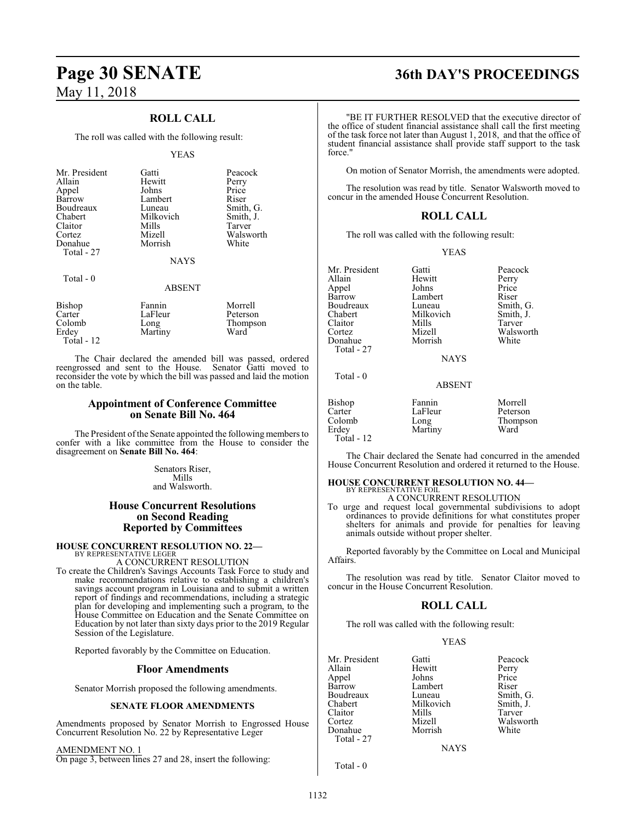Total - 12

## **ROLL CALL**

The roll was called with the following result:

#### YEAS

| Mr. President | Gatti         | Peacock   |
|---------------|---------------|-----------|
| Allain        | Hewitt        | Perry     |
| Appel         | Johns         | Price     |
| Barrow        | Lambert       | Riser     |
| Boudreaux     | Luneau        | Smith, G. |
| Chabert       | Milkovich     | Smith, J. |
| Claitor       | Mills         | Tarver    |
| Cortez        | Mizell        | Walsworth |
| Donahue       | Morrish       | White     |
| Total - 27    |               |           |
|               | <b>NAYS</b>   |           |
| Total $-0$    |               |           |
|               | <b>ABSENT</b> |           |
| Bishop        | Fannin        | Morrell   |
| Carter        | LaFleur       | Peterson  |

Colomb Long Thompson<br>
Erdey Martiny Ward<br>
Ward Martiny

The Chair declared the amended bill was passed, ordered reengrossed and sent to the House. Senator Gatti moved to reconsider the vote by which the bill was passed and laid the motion on the table.

#### **Appointment of Conference Committee on Senate Bill No. 464**

The President of the Senate appointed the following members to confer with a like committee from the House to consider the disagreement on **Senate Bill No. 464**:

> Senators Riser, Mills and Walsworth.

### **House Concurrent Resolutions on Second Reading Reported by Committees**

## **HOUSE CONCURRENT RESOLUTION NO. 22—** BY REPRESENTATIVE LEGER

A CONCURRENT RESOLUTION

To create the Children's Savings Accounts Task Force to study and make recommendations relative to establishing a children's savings account program in Louisiana and to submit a written report of findings and recommendations, including a strategic plan for developing and implementing such a program, to the House Committee on Education and the Senate Committee on Education by not later than sixty days prior to the 2019 Regular Session of the Legislature.

Reported favorably by the Committee on Education.

#### **Floor Amendments**

Senator Morrish proposed the following amendments.

#### **SENATE FLOOR AMENDMENTS**

Amendments proposed by Senator Morrish to Engrossed House Concurrent Resolution No. 22 by Representative Leger

AMENDMENT NO. 1 On page 3, between lines 27 and 28, insert the following:

## **Page 30 SENATE 36th DAY'S PROCEEDINGS**

"BE IT FURTHER RESOLVED that the executive director of the office of student financial assistance shall call the first meeting of the task force not later than August 1, 2018, and that the office of student financial assistance shall provide staff support to the task force."

On motion of Senator Morrish, the amendments were adopted.

The resolution was read by title. Senator Walsworth moved to concur in the amended House Concurrent Resolution.

#### **ROLL CALL**

The roll was called with the following result:

YEAS

Mr. President Gatti Beacock<br>Allain Hewitt Perry Appel Johns Price Boudreaux Luneau Smith, G.<br>Chabert Milkovich Smith, J. Chabert Milkovich<br>Claitor Mills Claitor Mills Tarver Cortez Mizell Walsworth Total - 27

Total - 0

Morrish

Hewitt Perry<br>Johns Price Lambert Riser<br>
Luneau Smith, G.

NAYS

ABSENT

| Bishop     | Fannin  | Morrell  |
|------------|---------|----------|
| Carter     | LaFleur | Peterson |
| Colomb     | Long    | Thompson |
| Erdey      | Martiny | Ward     |
| Total - 12 |         |          |

The Chair declared the Senate had concurred in the amended House Concurrent Resolution and ordered it returned to the House.

### **HOUSE CONCURRENT RESOLUTION NO. 44—**

BY REPRESENTATIVE FOIL A CONCURRENT RESOLUTION

To urge and request local governmental subdivisions to adopt ordinances to provide definitions for what constitutes proper shelters for animals and provide for penalties for leaving animals outside without proper shelter.

Reported favorably by the Committee on Local and Municipal Affairs.

The resolution was read by title. Senator Claitor moved to concur in the House Concurrent Resolution.

### **ROLL CALL**

The roll was called with the following result:

#### YEAS

| Mr. President | Gatti       | Peacock   |
|---------------|-------------|-----------|
| Allain        | Hewitt      | Perry     |
| Appel         | Johns       | Price     |
| Barrow        | Lambert     | Riser     |
| Boudreaux     | Luneau      | Smith, G. |
| Chabert       | Milkovich   | Smith, J. |
| Claitor       | Mills       | Tarver    |
| Cortez        | Mizell      | Walsworth |
| Donahue       | Morrish     | White     |
| Total - 27    |             |           |
|               | <b>NAYS</b> |           |

Total - 0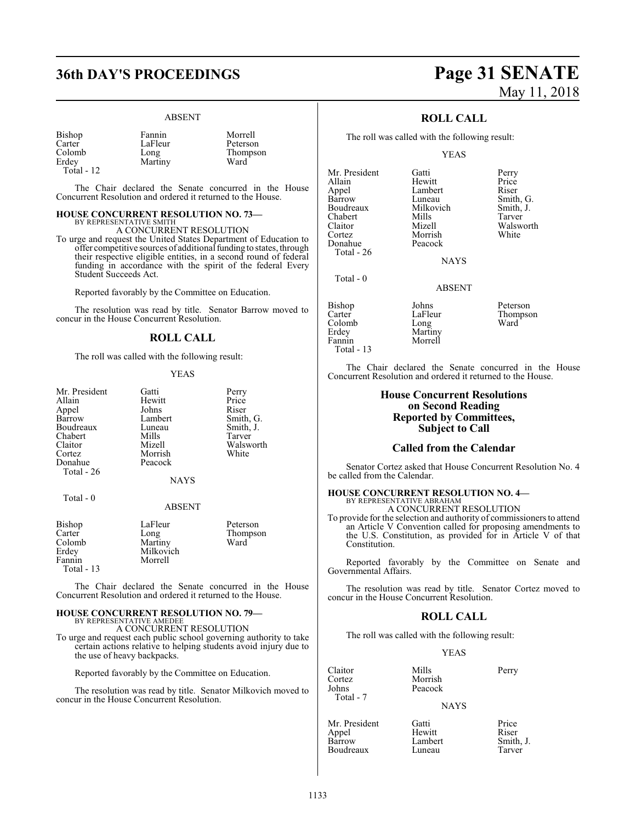## **36th DAY'S PROCEEDINGS Page 31 SENATE**

#### ABSENT

Morrell Peterson Thompson<br>Ward

| Bishop     | Fannin  | Morre  |
|------------|---------|--------|
| Carter     | LaFleur | Peter: |
| Colomb     | Long    | Thom   |
| Erdev      | Martiny | Ward   |
| Total - 12 |         |        |

The Chair declared the Senate concurred in the House Concurrent Resolution and ordered it returned to the House.

#### **HOUSE CONCURRENT RESOLUTION NO. 73—** BY REPRESENTATIVE SMITH

A CONCURRENT RESOLUTION

To urge and request the United States Department of Education to offer competitive sources of additional funding to states, through their respective eligible entities, in a second round of federal funding in accordance with the spirit of the federal Every Student Succeeds Act.

Reported favorably by the Committee on Education.

The resolution was read by title. Senator Barrow moved to concur in the House Concurrent Resolution.

### **ROLL CALL**

The roll was called with the following result:

#### YEAS

| Mr. President | Gatti   | Perry |
|---------------|---------|-------|
| Allain        | Hewitt  | Price |
| Appel         | Johns   | Riser |
| Barrow        | Lambert | Smith |
| Boudreaux     | Luneau  | Smith |
| Chabert       | Mills   | Tarve |
| Claitor       | Mizell  | Wals  |
| Cortez        | Morrish | White |
| Donahue       | Peacock |       |
| Total - 26    |         |       |

Hewitt Price<br>
Johns Riser Lambert Smith, G.<br>
Luneau Smith, J. Luneau Smith, J.<br>Mills Tarver Mills Tarver<br>
Mizell Walsw Walsworth<br>White

#### Total - 0

## **NAYS** ABSENT

| Bishop      | LaFleur   | Peterson |
|-------------|-----------|----------|
| Carter      | Long      | Thompson |
| Colomb      | Martiny   | Ward     |
| Erdey       | Milkovich |          |
| Fannin      | Morrell   |          |
| Total $-13$ |           |          |

The Chair declared the Senate concurred in the House Concurrent Resolution and ordered it returned to the House.

## **HOUSE CONCURRENT RESOLUTION NO. 79—** BY REPRESENTATIVE AMEDEE A CONCURRENT RESOLUTION

To urge and request each public school governing authority to take certain actions relative to helping students avoid injury due to the use of heavy backpacks.

Reported favorably by the Committee on Education.

The resolution was read by title. Senator Milkovich moved to concur in the House Concurrent Resolution.

# May 11, 2018

### **ROLL CALL**

The roll was called with the following result:

#### YEAS

Mr. President Gatti Perry<br>Allain Hewitt Price Appel Lambert Riser<br>
Riser Luneau Smith Boudreaux Milkovich Smith,<br>
Chabert Mills Tarver Chabert Mills<br>Claitor Mizell Claitor Mizell Walsworth<br>
Cortez Morrish White Donahue Total - 26

Total - 0

Colomb<br>Erdey

Hewitt Morrish<br>Peacock

Luneau Smith, G.<br>Milkovich Smith, J.

NAYS

#### ABSENT

Bishop Johns Peterson Erdey Martiny<br>Eannin Morrell Morrell Total - 13

LaFleur Thompson<br>Long Ward

The Chair declared the Senate concurred in the House Concurrent Resolution and ordered it returned to the House.

#### **House Concurrent Resolutions on Second Reading Reported by Committees, Subject to Call**

#### **Called from the Calendar**

Senator Cortez asked that House Concurrent Resolution No. 4 be called from the Calendar.

#### **HOUSE CONCURRENT RESOLUTION NO. 4—** BY REPRESENTATIVE ABRAHAM A CONCURRENT RESOLUTION

To provide for the selection and authority of commissioners to attend an Article V Convention called for proposing amendments to the U.S. Constitution, as provided for in Article V of that Constitution.

Reported favorably by the Committee on Senate and Governmental Affairs.

The resolution was read by title. Senator Cortez moved to concur in the House Concurrent Resolution.

#### **ROLL CALL**

The roll was called with the following result:

#### YEAS

Claitor Mills Perry Cortez Morrish Total - 7

**NAYS** 

Peacock

Mr. President Gatti Price<br>
Appel Hewitt Riser Appel Hewitt Riser<br>
Hewitt Riser Riser<br>
Rambert Smith, J. Boudreaux

Lambert Smith,<br>
Luneau Tarver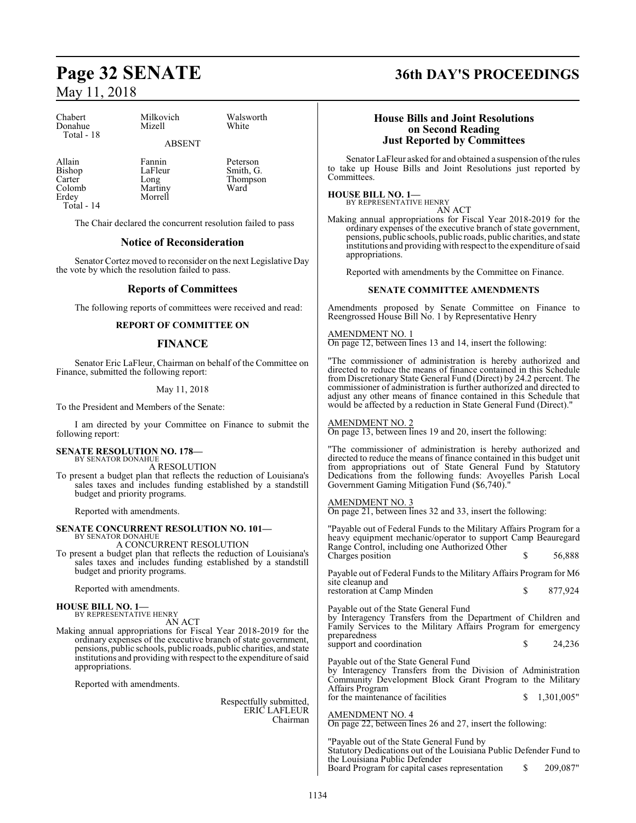## **Page 32 SENATE 36th DAY'S PROCEEDINGS** May 11, 2018

| Chabert    |  |
|------------|--|
| Donahue    |  |
| Total - 18 |  |

Milkovich Walsworth<br>
Mizell White Mizell ABSENT

Allain Fannin Peterson<br>Bishop LaFleur Smith, G Carter Long Thompson<br>
Colomb Martiny Ward Colomb Martiny<br>Erdey Morrell Total - 14

Smith, G.

The Chair declared the concurrent resolution failed to pass

Morrell

### **Notice of Reconsideration**

Senator Cortez moved to reconsider on the next Legislative Day the vote by which the resolution failed to pass.

#### **Reports of Committees**

The following reports of committees were received and read:

#### **REPORT OF COMMITTEE ON**

#### **FINANCE**

Senator Eric LaFleur, Chairman on behalf of the Committee on Finance, submitted the following report:

#### May 11, 2018

To the President and Members of the Senate:

I am directed by your Committee on Finance to submit the following report:

#### **SENATE RESOLUTION NO. 178—** BY SENATOR DONAHUE

A RESOLUTION

To present a budget plan that reflects the reduction of Louisiana's sales taxes and includes funding established by a standstill budget and priority programs.

Reported with amendments.

#### **SENATE CONCURRENT RESOLUTION NO. 101—** BY SENATOR DONAHUE

A CONCURRENT RESOLUTION

To present a budget plan that reflects the reduction of Louisiana's sales taxes and includes funding established by a standstill budget and priority programs.

Reported with amendments.

#### **HOUSE BILL NO. 1—**

BY REPRESENTATIVE HENRY AN ACT

Making annual appropriations for Fiscal Year 2018-2019 for the ordinary expenses of the executive branch of state government, pensions, public schools, public roads, public charities, and state institutions and providing with respect to the expenditure ofsaid appropriations.

Reported with amendments.

Respectfully submitted, ERIC LAFLEUR Chairman

#### **House Bills and Joint Resolutions on Second Reading Just Reported by Committees**

Senator LaFleur asked for and obtained a suspension ofthe rules to take up House Bills and Joint Resolutions just reported by Committees.

### **HOUSE BILL NO. 1—**

BY REPRESENTATIVE HENRY AN ACT

Making annual appropriations for Fiscal Year 2018-2019 for the ordinary expenses of the executive branch of state government, pensions, public schools, public roads, public charities, and state institutions and providing with respect to the expenditure ofsaid appropriations.

Reported with amendments by the Committee on Finance.

#### **SENATE COMMITTEE AMENDMENTS**

Amendments proposed by Senate Committee on Finance to Reengrossed House Bill No. 1 by Representative Henry

#### AMENDMENT NO. 1

On page 12, between lines 13 and 14, insert the following:

"The commissioner of administration is hereby authorized and directed to reduce the means of finance contained in this Schedule from Discretionary State General Fund (Direct) by 24.2 percent. The commissioner of administration is further authorized and directed to adjust any other means of finance contained in this Schedule that would be affected by a reduction in State General Fund (Direct)."

#### AMENDMENT NO. 2

On page 13, between lines 19 and 20, insert the following:

"The commissioner of administration is hereby authorized and directed to reduce the means of finance contained in this budget unit from appropriations out of State General Fund by Statutory Dedications from the following funds: Avoyelles Parish Local Government Gaming Mitigation Fund (\$6,740)."

#### AMENDMENT NO. 3

On page 21, between lines 32 and 33, insert the following:

"Payable out of Federal Funds to the Military Affairs Program for a heavy equipment mechanic/operator to support Camp Beauregard Range Control, including one Authorized Other Charges position  $\qquad \qquad$  \$ 56,888

Payable out of Federal Funds to the Military Affairs Program for M6 site cleanup and

| restoration at Camp Minden | 877,924 |
|----------------------------|---------|
|                            |         |

Payable out of the State General Fund by Interagency Transfers from the Department of Children and Family Services to the Military Affairs Program for emergency preparedness support and coordination  $\qquad \qquad$  \$ 24,236

Payable out of the State General Fund

by Interagency Transfers from the Division of Administration Community Development Block Grant Program to the Military Affairs Program for the maintenance of facilities  $$ 1,301,005"$ 

AMENDMENT NO. 4

On page 22, between lines 26 and 27, insert the following:

"Payable out of the State General Fund by Statutory Dedications out of the Louisiana Public Defender Fund to the Louisiana Public Defender Board Program for capital cases representation \$ 209,087"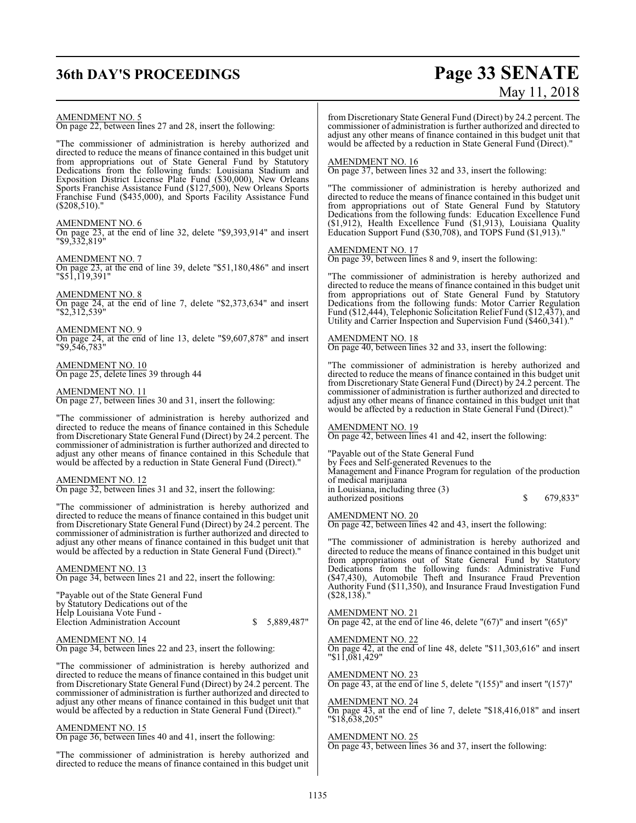## **36th DAY'S PROCEEDINGS Page 33 SENATE**

# May 11, 2018

AMENDMENT NO. 5

On page 22, between lines 27 and 28, insert the following:

"The commissioner of administration is hereby authorized and directed to reduce the means of finance contained in this budget unit from appropriations out of State General Fund by Statutory Dedications from the following funds: Louisiana Stadium and Exposition District License Plate Fund (\$30,000), New Orleans Sports Franchise Assistance Fund (\$127,500), New Orleans Sports Franchise Fund (\$435,000), and Sports Facility Assistance Fund (\$208,510)."

#### AMENDMENT NO. 6

On page 23, at the end of line 32, delete "\$9,393,914" and insert "\$9,332,819"

AMENDMENT NO. 7

On page 23, at the end of line 39, delete "\$51,180,486" and insert "\$51,119,391"

AMENDMENT NO. 8

On page 24, at the end of line 7, delete "\$2,373,634" and insert "\$2,312,539"

AMENDMENT NO. 9 On page 24, at the end of line 13, delete "\$9,607,878" and insert "\$9,546,783"

AMENDMENT NO. 10 On page 25, delete lines 39 through 44

AMENDMENT NO. 11 On page 27, between lines 30 and 31, insert the following:

"The commissioner of administration is hereby authorized and directed to reduce the means of finance contained in this Schedule from Discretionary State General Fund (Direct) by 24.2 percent. The commissioner of administration is further authorized and directed to adjust any other means of finance contained in this Schedule that would be affected by a reduction in State General Fund (Direct)."

#### AMENDMENT NO. 12

On page 32, between lines 31 and 32, insert the following:

"The commissioner of administration is hereby authorized and directed to reduce the means of finance contained in this budget unit from Discretionary State General Fund (Direct) by 24.2 percent. The commissioner of administration is further authorized and directed to adjust any other means of finance contained in this budget unit that would be affected by a reduction in State General Fund (Direct)."

AMENDMENT NO. 13 On page 34, between lines 21 and 22, insert the following:

"Payable out of the State General Fund by Statutory Dedications out of the Help Louisiana Vote Fund - Election Administration Account \$ 5,889,487"

AMENDMENT NO. 14 On page 34, between lines 22 and 23, insert the following:

"The commissioner of administration is hereby authorized and directed to reduce the means of finance contained in this budget unit from Discretionary State General Fund (Direct) by 24.2 percent. The commissioner of administration is further authorized and directed to adjust any other means of finance contained in this budget unit that would be affected by a reduction in State General Fund (Direct)."

#### AMENDMENT NO. 15

On page 36, between lines 40 and 41, insert the following:

"The commissioner of administration is hereby authorized and directed to reduce the means of finance contained in this budget unit from Discretionary State General Fund (Direct) by 24.2 percent. The commissioner of administration is further authorized and directed to adjust any other means of finance contained in this budget unit that would be affected by a reduction in State General Fund (Direct)."

#### AMENDMENT NO. 16

On page 37, between lines 32 and 33, insert the following:

"The commissioner of administration is hereby authorized and directed to reduce the means of finance contained in this budget unit from appropriations out of State General Fund by Statutory Dedications from the following funds: Education Excellence Fund (\$1,912), Health Excellence Fund (\$1,913), Louisiana Quality Education Support Fund (\$30,708), and TOPS Fund (\$1,913).

#### AMENDMENT NO. 17

On page 39, between lines 8 and 9, insert the following:

"The commissioner of administration is hereby authorized and directed to reduce the means of finance contained in this budget unit from appropriations out of State General Fund by Statutory Dedications from the following funds: Motor Carrier Regulation Fund (\$12,444), Telephonic Solicitation Relief Fund (\$12,437), and Utility and Carrier Inspection and Supervision Fund (\$460,341)."

AMENDMENT NO. 18 On page 40, between lines 32 and 33, insert the following:

"The commissioner of administration is hereby authorized and directed to reduce the means of finance contained in this budget unit from Discretionary State General Fund (Direct) by 24.2 percent. The commissioner of administration is further authorized and directed to adjust any other means of finance contained in this budget unit that would be affected by a reduction in State General Fund (Direct)."

AMENDMENT NO. 19 On page 42, between lines 41 and 42, insert the following:

"Payable out of the State General Fund

by Fees and Self-generated Revenues to the

Management and Finance Program for regulation of the production of medical marijuana

in Louisiana, including three (3) authorized positions  $\qquad$  \$ 679,833"

AMENDMENT NO. 20

On page 42, between lines 42 and 43, insert the following:

"The commissioner of administration is hereby authorized and directed to reduce the means of finance contained in this budget unit from appropriations out of State General Fund by Statutory Dedications from the following funds: Administrative Fund (\$47,430), Automobile Theft and Insurance Fraud Prevention Authority Fund (\$11,350), and Insurance Fraud Investigation Fund (\$28,138)."

AMENDMENT NO. 21 On page 42, at the end of line 46, delete "(67)" and insert "(65)"

AMENDMENT NO. 22 On page 42, at the end of line 48, delete "\$11,303,616" and insert "\$11,081,429"

AMENDMENT NO. 23 On page 43, at the end of line 5, delete "(155)" and insert "(157)"

AMENDMENT NO. 24

On page 43, at the end of line 7, delete "\$18,416,018" and insert "\$18,638,205"

AMENDMENT NO. 25

On page 43, between lines 36 and 37, insert the following: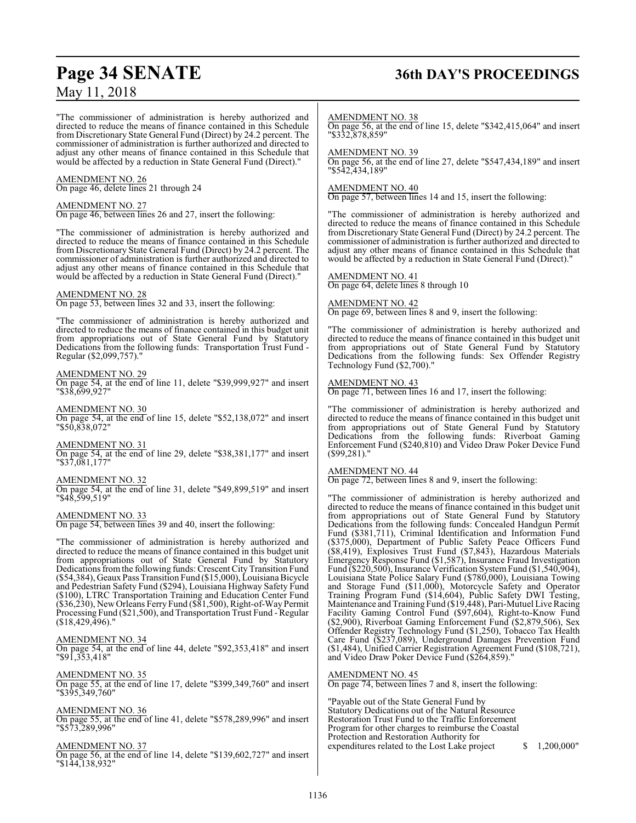## **Page 34 SENATE 36th DAY'S PROCEEDINGS**

"The commissioner of administration is hereby authorized and directed to reduce the means of finance contained in this Schedule from Discretionary State General Fund (Direct) by 24.2 percent. The commissioner of administration is further authorized and directed to adjust any other means of finance contained in this Schedule that would be affected by a reduction in State General Fund (Direct)."

### AMENDMENT NO. 26

On page 46, delete lines 21 through 24

#### AMENDMENT NO. 27

On page 46, between lines 26 and 27, insert the following:

"The commissioner of administration is hereby authorized and directed to reduce the means of finance contained in this Schedule from Discretionary State General Fund (Direct) by 24.2 percent. The commissioner of administration is further authorized and directed to adjust any other means of finance contained in this Schedule that would be affected by a reduction in State General Fund (Direct)."

#### AMENDMENT NO. 28

On page 53, between lines 32 and 33, insert the following:

"The commissioner of administration is hereby authorized and directed to reduce the means of finance contained in this budget unit from appropriations out of State General Fund by Statutory Dedications from the following funds: Transportation Trust Fund - Regular (\$2,099,757)."

#### AMENDMENT NO. 29

On page 54, at the end of line 11, delete "\$39,999,927" and insert "\$38,699,927"

AMENDMENT NO. 30

On page 54, at the end of line 15, delete "\$52,138,072" and insert "\$50,838,072"

#### AMENDMENT NO. 31

On page 54, at the end of line 29, delete "\$38,381,177" and insert "\$37,081,177"

#### AMENDMENT NO. 32

On page 54, at the end of line 31, delete "\$49,899,519" and insert "\$48,599,519"

#### AMENDMENT NO. 33

On page 54, between lines 39 and 40, insert the following:

"The commissioner of administration is hereby authorized and directed to reduce the means of finance contained in this budget unit from appropriations out of State General Fund by Statutory Dedications from the following funds: Crescent City Transition Fund (\$54,384), Geaux Pass Transition Fund (\$15,000), Louisiana Bicycle and Pedestrian Safety Fund (\$294), Louisiana Highway Safety Fund (\$100), LTRC Transportation Training and Education Center Fund (\$36,230), New Orleans Ferry Fund (\$81,500), Right-of-Way Permit Processing Fund (\$21,500), and Transportation Trust Fund - Regular (\$18,429,496)."

#### AMENDMENT NO. 34

On page 54, at the end of line 44, delete "\$92,353,418" and insert "\$91,353,418"

AMENDMENT NO. 35

On page 55, at the end of line 17, delete "\$399,349,760" and insert "\$395,349,760"

#### AMENDMENT NO. 36

On page 55, at the end of line 41, delete "\$578,289,996" and insert "\$573,289,996"

#### AMENDMENT NO. 37

On page 56, at the end of line 14, delete "\$139,602,727" and insert "\$144,138,932"

#### AMENDMENT NO. 38

On page 56, at the end of line 15, delete "\$342,415,064" and insert "\$332,878,859"

#### AMENDMENT NO. 39

On page 56, at the end of line 27, delete "\$547,434,189" and insert "\$542,434,189"

#### AMENDMENT NO. 40

On page 57, between lines 14 and 15, insert the following:

"The commissioner of administration is hereby authorized and directed to reduce the means of finance contained in this Schedule from Discretionary State General Fund (Direct) by 24.2 percent. The commissioner of administration is further authorized and directed to adjust any other means of finance contained in this Schedule that would be affected by a reduction in State General Fund (Direct)."

## AMENDMENT NO. 41

On page 64, delete lines 8 through 10

#### AMENDMENT NO. 42

On page 69, between lines 8 and 9, insert the following:

"The commissioner of administration is hereby authorized and directed to reduce the means of finance contained in this budget unit from appropriations out of State General Fund by Statutory Dedications from the following funds: Sex Offender Registry Technology Fund (\$2,700)."

#### AMENDMENT NO. 43

On page 71, between lines 16 and 17, insert the following:

"The commissioner of administration is hereby authorized and directed to reduce the means of finance contained in this budget unit from appropriations out of State General Fund by Statutory Dedications from the following funds: Riverboat Gaming Enforcement Fund (\$240,810) and Video Draw Poker Device Fund (\$99,281)."

#### AMENDMENT NO. 44

On page 72, between lines 8 and 9, insert the following:

"The commissioner of administration is hereby authorized and directed to reduce the means of finance contained in this budget unit from appropriations out of State General Fund by Statutory Dedications from the following funds: Concealed Handgun Permit Fund (\$381,711), Criminal Identification and Information Fund (\$375,000), Department of Public Safety Peace Officers Fund (\$8,419), Explosives Trust Fund (\$7,843), Hazardous Materials Emergency Response Fund (\$1,587), Insurance Fraud Investigation Fund (\$220,500), Insurance Verification System Fund (\$1,540,904), Louisiana State Police Salary Fund (\$780,000), Louisiana Towing and Storage Fund (\$11,000), Motorcycle Safety and Operator Training Program Fund (\$14,604), Public Safety DWI Testing, Maintenance and Training Fund (\$19,448), Pari-Mutuel Live Racing Facility Gaming Control Fund (\$97,604), Right-to-Know Fund (\$2,900), Riverboat Gaming Enforcement Fund (\$2,879,506), Sex Offender Registry Technology Fund (\$1,250), Tobacco Tax Health Care Fund (\$237,089), Underground Damages Prevention Fund (\$1,484), Unified Carrier Registration Agreement Fund (\$108,721), and Video Draw Poker Device Fund (\$264,859)."

#### AMENDMENT NO. 45

On page 74, between lines 7 and 8, insert the following:

"Payable out of the State General Fund by Statutory Dedications out of the Natural Resource Restoration Trust Fund to the Traffic Enforcement Program for other charges to reimburse the Coastal Protection and Restoration Authority for expenditures related to the Lost Lake project  $\qquad$  \$ 1,200,000"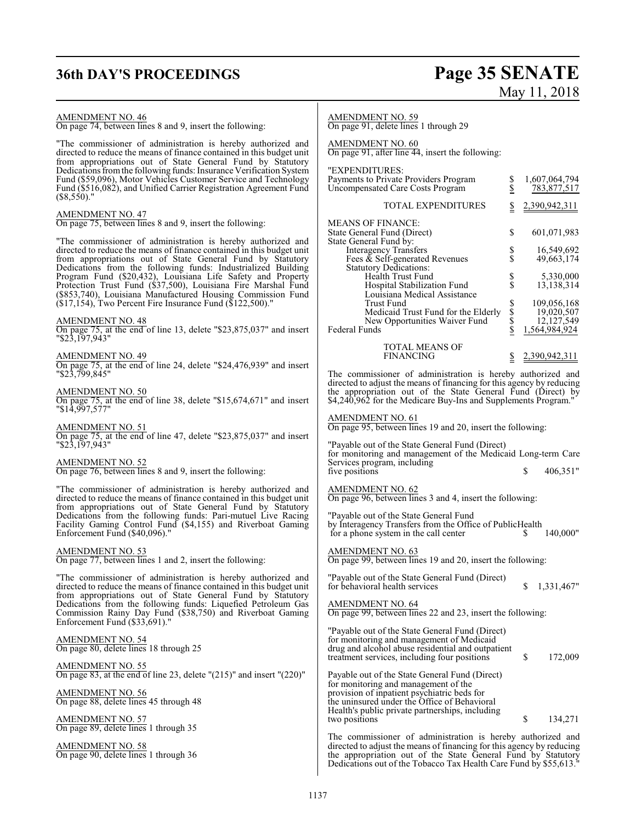# **36th DAY'S PROCEEDINGS Page 35 SENATE** May 11, 2018

| <b>AMENDMENT NO. 46</b><br>On page 74, between lines 8 and 9, insert the following:                                                                                                                                                                                  | <b>AMENDMENT NO. 59</b><br>On page 91, delete lines 1 through 29                                                                                                                                                                                                         |
|----------------------------------------------------------------------------------------------------------------------------------------------------------------------------------------------------------------------------------------------------------------------|--------------------------------------------------------------------------------------------------------------------------------------------------------------------------------------------------------------------------------------------------------------------------|
| "The commissioner of administration is hereby authorized and<br>directed to reduce the means of finance contained in this budget unit<br>from appropriations out of State General Fund by Statutory                                                                  | <b>AMENDMENT NO. 60</b><br>On page 91, after line 44, insert the following:                                                                                                                                                                                              |
| Dedications from the following funds: Insurance Verification System<br>Fund (\$59,096), Motor Vehicles Customer Service and Technology<br>Fund (\$516,082), and Unified Carrier Registration Agreement Fund<br>$(\$8,550).$ "                                        | "EXPENDITURES:<br>Payments to Private Providers Program<br>1,607,064,794<br>Տ<br>Տ<br>Uncompensated Care Costs Program<br>783,877,517                                                                                                                                    |
| <b>AMENDMENT NO. 47</b>                                                                                                                                                                                                                                              | <b>TOTAL EXPENDITURES</b><br>2,390,942,311<br>$\frac{1}{2}$                                                                                                                                                                                                              |
| On page 75, between lines 8 and 9, insert the following:                                                                                                                                                                                                             | <b>MEANS OF FINANCE:</b><br>\$<br>601,071,983<br>State General Fund (Direct)                                                                                                                                                                                             |
| "The commissioner of administration is hereby authorized and<br>directed to reduce the means of finance contained in this budget unit<br>from appropriations out of State General Fund by Statutory<br>Dedications from the following funds: Industrialized Building | State General Fund by:<br>Interagency Transfers<br>\$<br>\$<br>16,549,692<br>Fees $\&$ Self-generated Revenues<br>49,663,174<br><b>Statutory Dedications:</b>                                                                                                            |
| Program Fund (\$20,432), Louisiana Life Safety and Property<br>Protection Trust Fund (\$37,500), Louisiana Fire Marshal Fund<br>(\$853,740), Louisiana Manufactured Housing Commission Fund<br>$(17, 154)$ , Two Percent Fire Insurance Fund (\$122,500)."           | $\frac{1}{3}$<br><b>Health Trust Fund</b><br>5,330,000<br>Hospital Stabilization Fund<br>13,138,314<br>Louisiana Medical Assistance<br>\$<br>Trust Fund<br>109,056,168                                                                                                   |
| <b>AMENDMENT NO. 48</b>                                                                                                                                                                                                                                              | \$<br>\$<br>19,020,507<br>Medicaid Trust Fund for the Elderly<br>New Opportunities Waiver Fund<br>12,127,549                                                                                                                                                             |
| On page 75, at the end of line 13, delete "\$23,875,037" and insert<br>"\$23,197,943"                                                                                                                                                                                | \$<br><b>Federal Funds</b><br>1,564,984,924<br>TOTAL MEANS OF                                                                                                                                                                                                            |
| <b>AMENDMENT NO. 49</b><br>On page 75, at the end of line 24, delete "\$24,476,939" and insert                                                                                                                                                                       | <b>FINANCING</b><br>2,390,942,311                                                                                                                                                                                                                                        |
| "\$23,799,845"                                                                                                                                                                                                                                                       | The commissioner of administration is hereby authorized and<br>directed to adjust the means of financing for this agency by reducing                                                                                                                                     |
| <b>AMENDMENT NO. 50</b><br>On page 75, at the end of line 38, delete "\$15,674,671" and insert<br>"\$14,997,577"                                                                                                                                                     | the appropriation out of the State General Fund (Direct) by<br>\$4,240,962 for the Medicare Buy-Ins and Supplements Program."                                                                                                                                            |
| <u>AMENDMENT NO. 51</u><br>On page 75, at the end of line 47, delete "\$23,875,037" and insert                                                                                                                                                                       | <b>AMENDMENT NO. 61</b><br>On page 95, between lines 19 and 20, insert the following:                                                                                                                                                                                    |
| "\$23,197,943"                                                                                                                                                                                                                                                       | "Payable out of the State General Fund (Direct)<br>for monitoring and management of the Medicaid Long-term Care                                                                                                                                                          |
| AMENDMENT NO. 52<br>On page 76, between lines 8 and 9, insert the following:                                                                                                                                                                                         | Services program, including<br>406,351"<br>five positions<br>\$                                                                                                                                                                                                          |
| "The commissioner of administration is hereby authorized and<br>directed to reduce the means of finance contained in this budget unit<br>from appropriations out of State General Fund by Statutory                                                                  | $\frac{\text{AMENDMENT NO. 62}}{\text{On page 96, between lines 3 and 4, insert the following:}}$                                                                                                                                                                        |
| Dedications from the following funds: Pari-mutuel Live Racing<br>Facility Gaming Control Fund (\$4,155) and Riverboat Gaming<br>Enforcement Fund (\$40,096)."                                                                                                        | "Payable out of the State General Fund<br>by Interagency Transfers from the Office of PublicHealth<br>for a phone system in the call center<br>140,000"<br>S                                                                                                             |
| <b>AMENDMENT NO. 53</b><br>On page 77, between lines 1 and 2, insert the following:                                                                                                                                                                                  | <b>AMENDMENT NO. 63</b><br>On page 99, between lines 19 and 20, insert the following:                                                                                                                                                                                    |
| "The commissioner of administration is hereby authorized and<br>directed to reduce the means of finance contained in this budget unit                                                                                                                                | "Payable out of the State General Fund (Direct)<br>for behavioral health services<br>\$<br>1,331,467"                                                                                                                                                                    |
| from appropriations out of State General Fund by Statutory<br>Dedications from the following funds: Liquefied Petroleum Gas<br>Commission Rainy Day Fund (\$38,750) and Riverboat Gaming<br>Enforcement Fund (\$33,691)."                                            | <b>AMENDMENT NO. 64</b><br>On page 99, between lines 22 and 23, insert the following:                                                                                                                                                                                    |
| <b>AMENDMENT NO. 54</b><br>On page 80, delete lines 18 through 25                                                                                                                                                                                                    | "Payable out of the State General Fund (Direct)<br>for monitoring and management of Medicaid<br>drug and alcohol abuse residential and outpatient                                                                                                                        |
| <b>AMENDMENT NO. 55</b><br>On page 83, at the end of line 23, delete $"({\frac{215}{}})"$ and insert $"({\frac{220}{}})"$                                                                                                                                            | \$<br>172,009<br>treatment services, including four positions<br>Payable out of the State General Fund (Direct)                                                                                                                                                          |
| <b>AMENDMENT NO. 56</b><br>On page 88, delete lines 45 through 48                                                                                                                                                                                                    | for monitoring and management of the<br>provision of inpatient psychiatric beds for<br>the uninsured under the Office of Behavioral                                                                                                                                      |
| <b>AMENDMENT NO. 57</b><br>On page 89, delete lines 1 through 35                                                                                                                                                                                                     | Health's public private partnerships, including<br>\$<br>134,271<br>two positions                                                                                                                                                                                        |
| <b>AMENDMENT NO. 58</b><br>On page 90, delete lines 1 through 36                                                                                                                                                                                                     | The commissioner of administration is hereby authorized and<br>directed to adjust the means of financing for this agency by reducing<br>the appropriation out of the State General Fund by Statutory<br>Dedications out of the Tobacco Tax Health Care Fund by \$55,613. |
|                                                                                                                                                                                                                                                                      |                                                                                                                                                                                                                                                                          |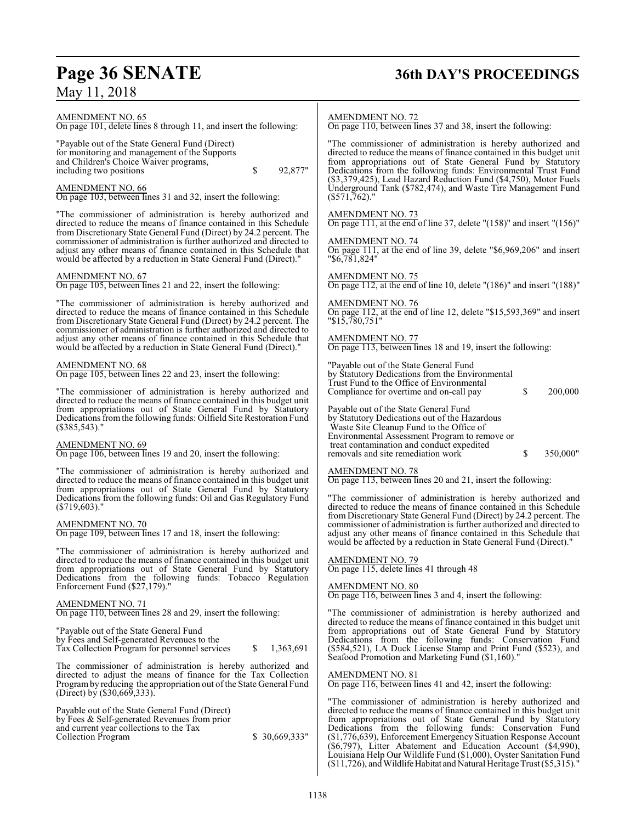## **Page 36 SENATE 36th DAY'S PROCEEDINGS**

AMENDMENT NO. 65

On page 101, delete lines 8 through 11, and insert the following:

"Payable out of the State General Fund (Direct) for monitoring and management of the Supports and Children's Choice Waiver programs, including two positions  $\qquad \qquad$  \$ 92,877"

#### AMENDMENT NO. 66

On page 103, between lines 31 and 32, insert the following:

"The commissioner of administration is hereby authorized and directed to reduce the means of finance contained in this Schedule from Discretionary State General Fund (Direct) by 24.2 percent. The commissioner of administration is further authorized and directed to adjust any other means of finance contained in this Schedule that would be affected by a reduction in State General Fund (Direct)."

#### AMENDMENT NO. 67

On page 105, between lines 21 and 22, insert the following:

"The commissioner of administration is hereby authorized and directed to reduce the means of finance contained in this Schedule from Discretionary State General Fund (Direct) by 24.2 percent. The commissioner of administration is further authorized and directed to adjust any other means of finance contained in this Schedule that would be affected by a reduction in State General Fund (Direct)."

#### AMENDMENT NO. 68

On page 105, between lines 22 and 23, insert the following:

"The commissioner of administration is hereby authorized and directed to reduce the means of finance contained in this budget unit from appropriations out of State General Fund by Statutory Dedications fromthe following funds: Oilfield Site Restoration Fund (\$385,543)."

#### AMENDMENT NO. 69

On page 106, between lines 19 and 20, insert the following:

"The commissioner of administration is hereby authorized and directed to reduce the means of finance contained in this budget unit from appropriations out of State General Fund by Statutory Dedications from the following funds: Oil and Gas Regulatory Fund (\$719,603)."

AMENDMENT NO. 70 On page 109, between lines 17 and 18, insert the following:

"The commissioner of administration is hereby authorized and directed to reduce the means of finance contained in this budget unit from appropriations out of State General Fund by Statutory Dedications from the following funds: Tobacco Regulation Enforcement Fund (\$27,179).

#### AMENDMENT NO. 71

On page 110, between lines 28 and 29, insert the following:

"Payable out of the State General Fund by Fees and Self-generated Revenues to the Tax Collection Program for personnel services \$ 1,363,691

The commissioner of administration is hereby authorized and directed to adjust the means of finance for the Tax Collection Programby reducing the appropriation out of the State General Fund (Direct) by (\$30,669,333).

Payable out of the State General Fund (Direct) by Fees & Self-generated Revenues from prior and current year collections to the Tax Collection Program  $$30,669,333"$ 

#### AMENDMENT NO. 72

On page 110, between lines 37 and 38, insert the following:

"The commissioner of administration is hereby authorized and directed to reduce the means of finance contained in this budget unit from appropriations out of State General Fund by Statutory Dedications from the following funds: Environmental Trust Fund (\$3,379,425), Lead Hazard Reduction Fund (\$4,750), Motor Fuels Underground Tank (\$782,474), and Waste Tire Management Fund  $(\$571,762).$ 

#### AMENDMENT NO. 73

On page 111, at the end of line 37, delete "(158)" and insert "(156)"

AMENDMENT NO. 74 On page 111, at the end of line 39, delete "\$6,969,206" and insert "\$6,781,824"

AMENDMENT NO. 75 On page 112, at the end of line 10, delete "(186)" and insert "(188)"

AMENDMENT NO. 76 On page 112, at the end of line 12, delete "\$15,593,369" and insert "\$15,780,751"

#### AMENDMENT NO. 77

On page 113, between lines 18 and 19, insert the following:

"Payable out of the State General Fund by Statutory Dedications from the Environmental Trust Fund to the Office of Environmental Compliance for overtime and on-call pay \$ 200,000

Payable out of the State General Fund

by Statutory Dedications out of the Hazardous Waste Site Cleanup Fund to the Office of Environmental Assessment Program to remove or treat contamination and conduct expedited removals and site remediation work  $\sim$  \$ 350,000"

#### AMENDMENT NO. 78

On page 113, between lines 20 and 21, insert the following:

"The commissioner of administration is hereby authorized and directed to reduce the means of finance contained in this Schedule from Discretionary State General Fund (Direct) by 24.2 percent. The commissioner of administration is further authorized and directed to adjust any other means of finance contained in this Schedule that would be affected by a reduction in State General Fund (Direct)."

#### AMENDMENT NO. 79

On page 115, delete lines 41 through 48

#### AMENDMENT NO. 80

On page 116, between lines 3 and 4, insert the following:

"The commissioner of administration is hereby authorized and directed to reduce the means of finance contained in this budget unit from appropriations out of State General Fund by Statutory Dedications from the following funds: Conservation Fund (\$584,521), LA Duck License Stamp and Print Fund (\$523), and Seafood Promotion and Marketing Fund (\$1,160).

#### AMENDMENT NO. 81

On page 116, between lines 41 and 42, insert the following:

"The commissioner of administration is hereby authorized and directed to reduce the means of finance contained in this budget unit from appropriations out of State General Fund by Statutory Dedications from the following funds: Conservation Fund (\$1,776,639), Enforcement Emergency Situation Response Account (\$6,797), Litter Abatement and Education Account (\$4,990), Louisiana Help Our Wildlife Fund (\$1,000), Oyster Sanitation Fund (\$11,726), and WildlifeHabitat and Natural Heritage Trust (\$5,315)."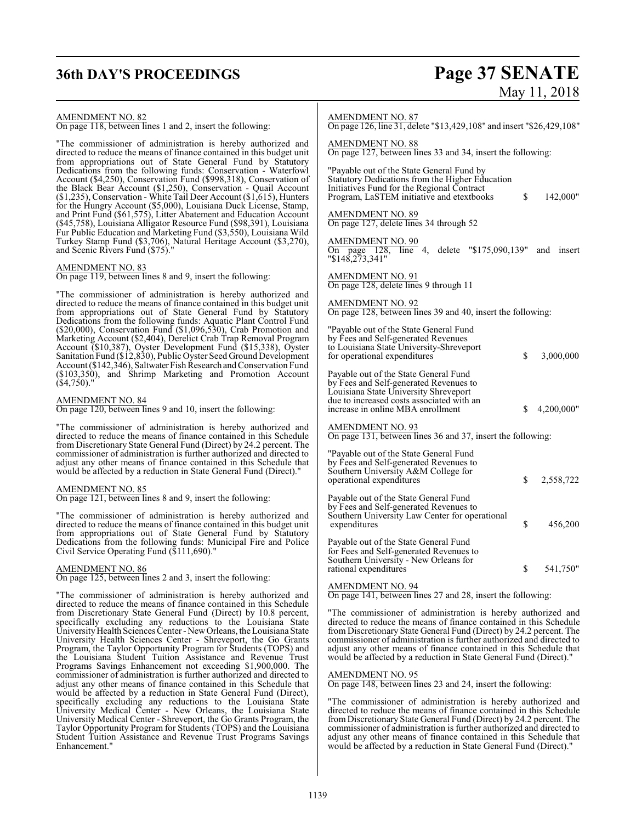## **36th DAY'S PROCEEDINGS Page 37 SENATE**

# May 11, 2018

#### AMENDMENT NO. 82

On page 118, between lines 1 and 2, insert the following:

"The commissioner of administration is hereby authorized and directed to reduce the means of finance contained in this budget unit from appropriations out of State General Fund by Statutory Dedications from the following funds: Conservation - Waterfowl Account (\$4,250), Conservation Fund (\$998,318), Conservation of the Black Bear Account (\$1,250), Conservation - Quail Account (\$1,235), Conservation - White Tail Deer Account (\$1,615), Hunters for the Hungry Account (\$5,000), Louisiana Duck License, Stamp, and Print Fund (\$61,575), Litter Abatement and Education Account (\$45,758), Louisiana Alligator Resource Fund (\$98,391), Louisiana Fur Public Education and Marketing Fund (\$3,550), Louisiana Wild Turkey Stamp Fund (\$3,706), Natural Heritage Account (\$3,270), and Scenic Rivers Fund (\$75)."

#### AMENDMENT NO. 83

On page 119, between lines 8 and 9, insert the following:

"The commissioner of administration is hereby authorized and directed to reduce the means of finance contained in this budget unit from appropriations out of State General Fund by Statutory Dedications from the following funds: Aquatic Plant Control Fund (\$20,000), Conservation Fund (\$1,096,530), Crab Promotion and Marketing Account (\$2,404), Derelict Crab Trap Removal Program Account (\$10,387), Oyster Development Fund (\$15,338), Oyster Sanitation Fund (\$12,830), Public Oyster Seed Ground Development Account (\$142,346), Saltwater Fish Research and Conservation Fund (\$103,350), and Shrimp Marketing and Promotion Account  $($ \$4,750).

#### AMENDMENT NO. 84

On page 120, between lines 9 and 10, insert the following:

"The commissioner of administration is hereby authorized and directed to reduce the means of finance contained in this Schedule from Discretionary State General Fund (Direct) by 24.2 percent. The commissioner of administration is further authorized and directed to adjust any other means of finance contained in this Schedule that would be affected by a reduction in State General Fund (Direct)."

#### AMENDMENT NO. 85

On page 121, between lines 8 and 9, insert the following:

"The commissioner of administration is hereby authorized and directed to reduce the means of finance contained in this budget unit from appropriations out of State General Fund by Statutory Dedications from the following funds: Municipal Fire and Police Civil Service Operating Fund (\$111,690)."

#### AMENDMENT NO. 86

On page 125, between lines 2 and 3, insert the following:

"The commissioner of administration is hereby authorized and directed to reduce the means of finance contained in this Schedule from Discretionary State General Fund (Direct) by 10.8 percent, specifically excluding any reductions to the Louisiana State UniversityHealth Sciences Center - NewOrleans, the Louisiana State University Health Sciences Center - Shreveport, the Go Grants Program, the Taylor Opportunity Program for Students (TOPS) and the Louisiana Student Tuition Assistance and Revenue Trust Programs Savings Enhancement not exceeding \$1,900,000. The commissioner of administration is further authorized and directed to adjust any other means of finance contained in this Schedule that would be affected by a reduction in State General Fund (Direct), specifically excluding any reductions to the Louisiana State University Medical Center - New Orleans, the Louisiana State University Medical Center - Shreveport, the Go Grants Program, the Taylor Opportunity Program for Students (TOPS) and the Louisiana Student Tuition Assistance and Revenue Trust Programs Savings Enhancement."

#### AMENDMENT NO. 87

On page 126, line 31, delete "\$13,429,108" and insert "\$26,429,108"

AMENDMENT NO. 88 On page 127, between lines 33 and 34, insert the following:

"Payable out of the State General Fund by Statutory Dedications from the Higher Education Initiatives Fund for the Regional Contract Program, LaSTEM initiative and etextbooks  $\qquad$  \$ 142,000"

AMENDMENT NO. 89 On page 127, delete lines 34 through 52

AMENDMENT NO. 90 On page 128, line 4, delete "\$175,090,139" and insert "\$148,273,341"

AMENDMENT NO. 91 On page 128, delete lines 9 through 11

AMENDMENT NO. 92 On page 128, between lines 39 and 40, insert the following:

| "Payable out of the State General Fund<br>by Fees and Self-generated Revenues<br>to Louisiana State University-Shreveport<br>for operational expenditures                                                  | \$ | 3,000,000  |
|------------------------------------------------------------------------------------------------------------------------------------------------------------------------------------------------------------|----|------------|
| Payable out of the State General Fund<br>by Fees and Self-generated Revenues to<br>Louisiana State University Shreveport<br>due to increased costs associated with an<br>increase in online MBA enrollment | \$ | 4,200,000" |
| <b>AMENDMENT NO. 93</b><br>On page 131, between lines 36 and 37, insert the following:                                                                                                                     |    |            |
| "Payable out of the State General Fund"<br>by Fees and Self-generated Revenues to<br>Southern University A&M College for<br>operational expenditures                                                       | S  | 2,558,722  |
| Payable out of the State General Fund<br>by Fees and Self-generated Revenues to<br>Southern University Law Center for operational<br>expenditures                                                          | \$ | 456,200    |
| Payable out of the State General Fund<br>for Fees and Self-generated Revenues to<br>Southern University - New Orleans for<br>rational expenditures                                                         | S  | 541,750"   |
|                                                                                                                                                                                                            |    |            |

#### AMENDMENT NO. 94

On page 141, between lines 27 and 28, insert the following:

"The commissioner of administration is hereby authorized and directed to reduce the means of finance contained in this Schedule from Discretionary State General Fund (Direct) by 24.2 percent. The commissioner of administration is further authorized and directed to adjust any other means of finance contained in this Schedule that would be affected by a reduction in State General Fund (Direct)."

#### AMENDMENT NO. 95

On page 148, between lines 23 and 24, insert the following:

"The commissioner of administration is hereby authorized and directed to reduce the means of finance contained in this Schedule from Discretionary State General Fund (Direct) by 24.2 percent. The commissioner of administration is further authorized and directed to adjust any other means of finance contained in this Schedule that would be affected by a reduction in State General Fund (Direct)."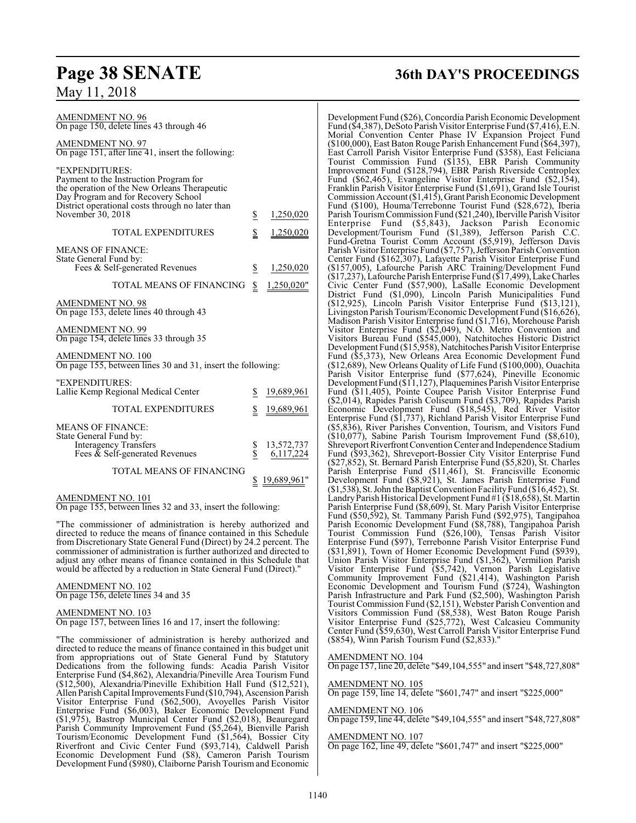| AMENDMENT NO. 96<br>On page 150, delete lines 43 through 46                                                                                                                                                              |                         |                              |
|--------------------------------------------------------------------------------------------------------------------------------------------------------------------------------------------------------------------------|-------------------------|------------------------------|
| <b>AMENDMENT NO. 97</b><br>On page $151$ , after line 41, insert the following:                                                                                                                                          |                         |                              |
| "EXPENDITURES:<br>Payment to the Instruction Program for<br>the operation of the New Orleans Therapeutic<br>Day Program and for Recovery School<br>District operational costs through no later than<br>November 30, 2018 | $\overline{\mathbb{S}}$ | 1,250,020                    |
| <b>TOTAL EXPENDITURES</b>                                                                                                                                                                                                | \$                      | 1,250,020                    |
| <b>MEANS OF FINANCE:</b><br>State General Fund by:<br>Fees & Self-generated Revenues                                                                                                                                     | $\frac{1}{2}$           | 1,250,020                    |
| TOTAL MEANS OF FINANCING                                                                                                                                                                                                 | \$                      | 1,250,020"                   |
| AMENDMENT NO. 98<br>On page 153, delete lines 40 through 43                                                                                                                                                              |                         |                              |
| AMENDMENT NO. 99<br>On page 154, delete lines 33 through 35                                                                                                                                                              |                         |                              |
| <b>AMENDMENT NO. 100</b><br>On page 155, between lines 30 and 31, insert the following:                                                                                                                                  |                         |                              |
| "EXPENDITURES:<br>Lallie Kemp Regional Medical Center                                                                                                                                                                    | S.                      | 19,689,961                   |
| <b>TOTAL EXPENDITURES</b>                                                                                                                                                                                                | \$                      | <u>19,689,961</u>            |
| <b>MEANS OF FINANCE:</b><br>State General Fund by:<br><b>Interagency Transfers</b><br>Fees & Self-generated Revenues                                                                                                     | Տ<br>Տ                  | 13,572,737<br>6,117,224      |
| <b>TOTAL MEANS OF FINANCING</b>                                                                                                                                                                                          |                         | $\underline{\$}$ 19,689,961" |

#### AMENDMENT NO. 101

On page 155, between lines 32 and 33, insert the following:

"The commissioner of administration is hereby authorized and directed to reduce the means of finance contained in this Schedule from Discretionary State General Fund (Direct) by 24.2 percent. The commissioner of administration is further authorized and directed to adjust any other means of finance contained in this Schedule that would be affected by a reduction in State General Fund (Direct)."

#### AMENDMENT NO. 102

On page 156, delete lines 34 and 35

AMENDMENT NO. 103 On page 157, between lines 16 and 17, insert the following:

"The commissioner of administration is hereby authorized and directed to reduce the means of finance contained in this budget unit from appropriations out of State General Fund by Statutory Dedications from the following funds: Acadia Parish Visitor Enterprise Fund (\$4,862), Alexandria/Pineville Area Tourism Fund (\$12,500), Alexandria/Pineville Exhibition Hall Fund (\$12,521), Allen ParishCapital ImprovementsFund (\$10,794), Ascension Parish Visitor Enterprise Fund (\$62,500), Avoyelles Parish Visitor Enterprise Fund (\$6,003), Baker Economic Development Fund (\$1,975), Bastrop Municipal Center Fund (\$2,018), Beauregard Parish Community Improvement Fund (\$5,264), Bienville Parish Tourism/Economic Development Fund (\$1,564), Bossier City Riverfront and Civic Center Fund (\$93,714), Caldwell Parish Economic Development Fund (\$8), Cameron Parish Tourism Development Fund (\$980), Claiborne Parish Tourism and Economic

## **Page 38 SENATE 36th DAY'S PROCEEDINGS**

Development Fund (\$26), Concordia Parish Economic Development Fund (\$4,387), DeSoto Parish Visitor Enterprise Fund (\$7,416), E.N. Morial Convention Center Phase IV Expansion Project Fund (\$100,000), East Baton Rouge Parish Enhancement Fund (\$64,397), East Carroll Parish Visitor Enterprise Fund (\$358), East Feliciana Tourist Commission Fund (\$135), EBR Parish Community Improvement Fund (\$128,794), EBR Parish Riverside Centroplex Fund (\$62,465), Evangeline Visitor Enterprise Fund (\$2,154), Franklin Parish Visitor Enterprise Fund (\$1,691), Grand Isle Tourist Commission Account (\$1,415),GrantParish Economic Development Fund (\$100), Houma/Terrebonne Tourist Fund (\$28,672), Iberia Parish TourismCommission Fund (\$21,240), Iberville Parish Visitor Enterprise Fund (\$5,843), Jackson Parish Economic Development/Tourism Fund (\$1,389), Jefferson Parish C.C. Fund-Gretna Tourist Comm Account (\$5,919), Jefferson Davis Parish Visitor Enterprise Fund (\$7,757), Jefferson Parish Convention Center Fund (\$162,307), Lafayette Parish Visitor Enterprise Fund (\$157,005), Lafourche Parish ARC Training/Development Fund (\$17,237), Lafourche Parish Enterprise Fund (\$17,499), Lake Charles Civic Center Fund (\$57,900), LaSalle Economic Development District Fund (\$1,090), Lincoln Parish Municipalities Fund (\$12,925), Lincoln Parish Visitor Enterprise Fund (\$13,121), Livingston Parish Tourism/Economic Development Fund (\$16,626), Madison Parish Visitor Enterprise fund (\$1,716), Morehouse Parish Visitor Enterprise Fund (\$2,049), N.O. Metro Convention and Visitors Bureau Fund (\$545,000), Natchitoches Historic District Development Fund (\$15,958), Natchitoches Parish Visitor Enterprise Fund (\$5,373), New Orleans Area Economic Development Fund (\$12,689), New Orleans Quality of Life Fund (\$100,000), Ouachita Parish Visitor Enterprise fund (\$77,624), Pineville Economic DevelopmentFund (\$11,127), Plaquemines Parish Visitor Enterprise Fund (\$11,405), Pointe Coupee Parish Visitor Enterprise Fund (\$2,014), Rapides Parish Coliseum Fund (\$3,709), Rapides Parish Economic Development Fund (\$18,545), Red River Visitor Enterprise Fund (\$1,737), Richland Parish Visitor Enterprise Fund (\$5,836), River Parishes Convention, Tourism, and Visitors Fund (\$10,077), Sabine Parish Tourism Improvement Fund (\$8,610), Shreveport Riverfront Convention Center and Independence Stadium Fund (\$93,362), Shreveport-Bossier City Visitor Enterprise Fund (\$27,852), St. Bernard Parish Enterprise Fund (\$5,820), St. Charles Parish Enterprise Fund (\$11,461), St. Francisville Economic Development Fund (\$8,921), St. James Parish Enterprise Fund  $(1,538)$ , St. John the Baptist Convention Facility Fund  $(16,452)$ , St. LandryParish Historical Development Fund #1 (\$18,658), St. Martin Parish Enterprise Fund (\$8,609), St. Mary Parish Visitor Enterprise Fund (\$50,592), St. Tammany Parish Fund (\$92,975), Tangipahoa Parish Economic Development Fund (\$8,788), Tangipahoa Parish Tourist Commission Fund (\$26,100), Tensas Parish Visitor Enterprise Fund (\$97), Terrebonne Parish Visitor Enterprise Fund (\$31,891), Town of Homer Economic Development Fund (\$939), Union Parish Visitor Enterprise Fund (\$1,362), Vermilion Parish Visitor Enterprise Fund (\$5,742), Vernon Parish Legislative Community Improvement Fund (\$21,414), Washington Parish Economic Development and Tourism Fund (\$724), Washington Parish Infrastructure and Park Fund (\$2,500), Washington Parish Tourist Commission Fund (\$2,151), Webster Parish Convention and Visitors Commission Fund (\$8,538), West Baton Rouge Parish Visitor Enterprise Fund (\$25,772), West Calcasieu Community Center Fund (\$59,630), West Carroll Parish Visitor Enterprise Fund (\$854), Winn Parish Tourism Fund (\$2,833)."

#### AMENDMENT NO. 104

On page 157, line 20, delete "\$49,104,555" and insert "\$48,727,808"

## AMENDMENT NO. 105

On page 159, line 14, delete "\$601,747" and insert "\$225,000"

#### AMENDMENT NO. 106

On page 159, line 44, delete "\$49,104,555" and insert "\$48,727,808"

#### AMENDMENT NO. 107

On page 162, line 49, delete "\$601,747" and insert "\$225,000"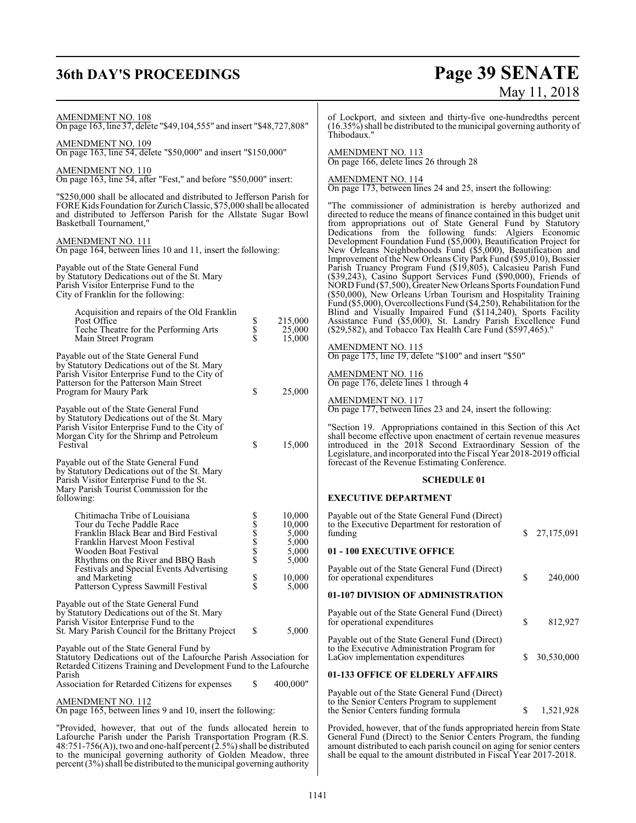## **36th DAY'S PROCEEDINGS Page 39 SENATE**

# May 11, 2018

AMENDMENT NO. 108 On page 163, line 37, delete "\$49,104,555" and insert "\$48,727,808" AMENDMENT NO. 109 On page 163, line 54, delete "\$50,000" and insert "\$150,000" AMENDMENT NO. 110 On page 163, line 54, after "Fest," and before "\$50,000" insert: "\$250,000 shall be allocated and distributed to Jefferson Parish for FORE Kids Foundation for Zurich Classic, \$75,000 shall be allocated and distributed to Jefferson Parish for the Allstate Sugar Bowl Basketball Tournament," AMENDMENT NO. 111 On page 164, between lines 10 and 11, insert the following: Payable out of the State General Fund by Statutory Dedications out of the St. Mary Parish Visitor Enterprise Fund to the City of Franklin for the following: Acquisition and repairs of the Old Franklin Post Office  $\begin{array}{ccc}\n\text{Post} & \text{8} & 215,000 \\
\text{Teche Theater for the Performing Arts} & \text{8} & 25,000 \\
\text{Main Street Program} & \text{8} & 15,000\n\end{array}$ Teche Theatre for the Performing Arts Main Street Program Payable out of the State General Fund by Statutory Dedications out of the St. Mary Parish Visitor Enterprise Fund to the City of Patterson for the Patterson Main Street Program for Maury Park  $$ 25,000$ Payable out of the State General Fund by Statutory Dedications out of the St. Mary Parish Visitor Enterprise Fund to the City of Morgan City for the Shrimp and Petroleum Festival \$ 15,000 Payable out of the State General Fund by Statutory Dedications out of the St. Mary Parish Visitor Enterprise Fund to the St. Mary Parish Tourist Commission for the following: Chitimacha Tribe of Louisiana  $$ 10,000$ <br>
Tour du Teche Paddle Race  $$ 10,000$ <br>
Franklin Black Bear and Bird Festival  $$ 5,000$ Tour du Teche Paddle Race  $\frac{\$}{$}$  10,000<br>Franklin Black Bear and Bird Festival  $\frac{\$}{$}$  5.000 Franklin Black Bear and Bird Festival<br>
Franklin Harvest Moon Festival<br>
Wooden Boat Festival<br>
Rhythms on the River and BBO Bash<br>
\$5,000<br>
\$5,000 Franklin Harvest Moon Festival  $\begin{array}{cc} $5,000 \ 0.900 \end{array}$   $\begin{array}{cc} $5,000 \ 0.5,000 \end{array}$ Wooden Boat Festival  $\begin{array}{cc} $ & 5,000 \text{ Rhvthms on the River and BBO Bash} \end{array}$   $\begin{array}{cc} $ & 5,000 \text{ Shvthms} \end{array}$ Rhythms on the River and BBQ Bash Festivals and Special Events Advertising and Marketing  $\begin{array}{cc} 8 & 10,000 \\ 10,000 \\ \end{array}$  Patterson Cypress Sawmill Festival  $\begin{array}{cc} 8 & 10,000 \\ 5 & 5,000 \end{array}$ Patterson Cypress Sawmill Festival Payable out of the State General Fund by Statutory Dedications out of the St. Mary Parish Visitor Enterprise Fund to the St. Mary Parish Council for the Brittany Project \$ 5,000 Payable out of the State General Fund by Statutory Dedications out of the Lafourche Parish Association for Retarded Citizens Training and Development Fund to the Lafourche Parish Association for Retarded Citizens for expenses  $$ 400,000"$ AMENDMENT NO. 112 On page 165, between lines 9 and 10, insert the following: "Provided, however, that out of the funds allocated herein to Lafourche Parish under the Parish Transportation Program (R.S. of Lockport, and sixteen and thirty-five one-hundredths percent  $(16.35\%)$  shall be distributed to the municipal governing authority of Thibodaux." AMENDMENT NO. 113 On page 166, delete lines 26 through 28 AMENDMENT NO. 114 On page 173, between lines 24 and 25, insert the following: "The commissioner of administration is hereby authorized and directed to reduce the means of finance contained in this budget unit from appropriations out of State General Fund by Statutory Dedications from the following funds: Algiers Economic Development Foundation Fund (\$5,000), Beautification Project for New Orleans Neighborhoods Fund (\$5,000), Beautification and Improvement of the New Orleans City Park Fund (\$95,010), Bossier Parish Truancy Program Fund (\$19,805), Calcasieu Parish Fund (\$39,243), Casino Support Services Fund (\$90,000), Friends of NORD Fund (\$7,500), Greater NewOrleans Sports Foundation Fund (\$50,000), New Orleans Urban Tourism and Hospitality Training Fund (\$5,000), Overcollections Fund (\$4,250), Rehabilitation for the Blind and Visually Impaired Fund (\$114,240), Sports Facility Assistance Fund (\$5,000), St. Landry Parish Excellence Fund (\$29,582), and Tobacco Tax Health Care Fund (\$597,465). AMENDMENT NO. 115 On page 175, line 19, delete "\$100" and insert "\$50" AMENDMENT NO. 116 On page 176, delete lines 1 through 4 AMENDMENT NO. 117 On page 177, between lines 23 and 24, insert the following: "Section 19. Appropriations contained in this Section of this Act shall become effective upon enactment of certain revenue measures introduced in the 2018 Second Extraordinary Session of the Legislature, and incorporated into the Fiscal Year 2018-2019 official forecast of the Revenue Estimating Conference. **SCHEDULE 01 EXECUTIVE DEPARTMENT** Payable out of the State General Fund (Direct) to the Executive Department for restoration of<br>funding funding \$ 27,175,091 **01 - 100 EXECUTIVE OFFICE** Payable out of the State General Fund (Direct) for operational expenditures  $\qquad \qquad$  \$ 240,000 **01-107 DIVISION OF ADMINISTRATION** Payable out of the State General Fund (Direct) for operational expenditures \$ 812,927 Payable out of the State General Fund (Direct) to the Executive Administration Program for LaGov implementation expenditures  $$30,530,000$ **01-133 OFFICE OF ELDERLY AFFAIRS** Payable out of the State General Fund (Direct) to the Senior Centers Program to supplement the Senior Centers funding formula  $$ 1,521,928$ Provided, however, that of the funds appropriated herein from State General Fund (Direct) to the Senior Centers Program, the funding

amount distributed to each parish council on aging for senior centers shall be equal to the amount distributed in Fiscal Year 2017-2018.

48:751-756(A)), two and one-half percent (2.5%) shall be distributed to the municipal governing authority of Golden Meadow, three  $percent (3%)$  shall be distributed to the municipal governing authority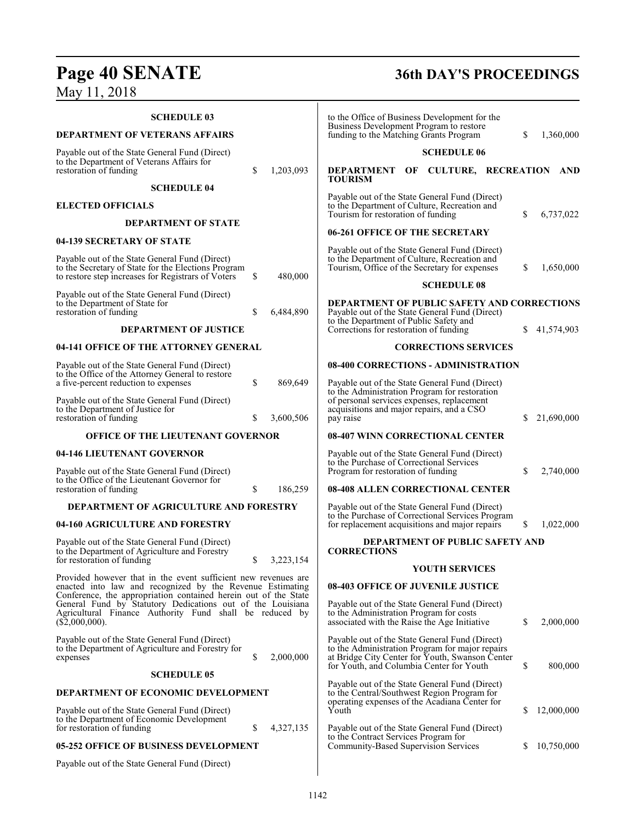# **Page 40 SENATE 36th DAY'S PROCEEDINGS**

May 11, 2018

| <b>SCHEDULE 03</b>                                                                                                                                                                                         |          |                      | to the Office of Business Development for the                                                                                                                                                           |                                        |    |            |
|------------------------------------------------------------------------------------------------------------------------------------------------------------------------------------------------------------|----------|----------------------|---------------------------------------------------------------------------------------------------------------------------------------------------------------------------------------------------------|----------------------------------------|----|------------|
| <b>DEPARTMENT OF VETERANS AFFAIRS</b>                                                                                                                                                                      |          |                      | Business Development Program to restore<br>funding to the Matching Grants Program                                                                                                                       |                                        | S. | 1,360,000  |
| Payable out of the State General Fund (Direct)                                                                                                                                                             |          |                      |                                                                                                                                                                                                         | <b>SCHEDULE 06</b>                     |    |            |
| to the Department of Veterans Affairs for<br>restoration of funding                                                                                                                                        | \$       | 1,203,093            | DEPARTMENT OF CULTURE, RECREATION<br><b>TOURISM</b>                                                                                                                                                     |                                        |    | AND        |
| <b>SCHEDULE 04</b>                                                                                                                                                                                         |          |                      | Payable out of the State General Fund (Direct)                                                                                                                                                          |                                        |    |            |
| <b>ELECTED OFFICIALS</b>                                                                                                                                                                                   |          |                      | to the Department of Culture, Recreation and<br>Tourism for restoration of funding                                                                                                                      |                                        | \$ | 6,737,022  |
| <b>DEPARTMENT OF STATE</b>                                                                                                                                                                                 |          |                      | 06-261 OFFICE OF THE SECRETARY                                                                                                                                                                          |                                        |    |            |
| 04-139 SECRETARY OF STATE                                                                                                                                                                                  |          |                      | Payable out of the State General Fund (Direct)                                                                                                                                                          |                                        |    |            |
| Payable out of the State General Fund (Direct)<br>to the Secretary of State for the Elections Program<br>to restore step increases for Registrars of Voters                                                | \$       | 480,000              | to the Department of Culture, Recreation and<br>Tourism, Office of the Secretary for expenses                                                                                                           | <b>SCHEDULE 08</b>                     | \$ | 1,650,000  |
| Payable out of the State General Fund (Direct)                                                                                                                                                             |          |                      |                                                                                                                                                                                                         |                                        |    |            |
| to the Department of State for<br>restoration of funding<br><b>DEPARTMENT OF JUSTICE</b>                                                                                                                   | \$       | 6,484,890            | DEPARTMENT OF PUBLIC SAFETY AND CORRECTIONS<br>Payable out of the State General Fund (Direct)<br>to the Department of Public Safety and<br>Corrections for restoration of funding                       |                                        | S. | 41,574,903 |
| 04-141 OFFICE OF THE ATTORNEY GENERAL                                                                                                                                                                      |          |                      |                                                                                                                                                                                                         | <b>CORRECTIONS SERVICES</b>            |    |            |
| Payable out of the State General Fund (Direct)                                                                                                                                                             |          |                      | 08-400 CORRECTIONS - ADMINISTRATION                                                                                                                                                                     |                                        |    |            |
| to the Office of the Attorney General to restore                                                                                                                                                           |          |                      |                                                                                                                                                                                                         |                                        |    |            |
| a five-percent reduction to expenses<br>Payable out of the State General Fund (Direct)<br>to the Department of Justice for<br>restoration of funding                                                       | \$<br>\$ | 869,649<br>3,600,506 | Payable out of the State General Fund (Direct)<br>to the Administration Program for restoration<br>of personal services expenses, replacement<br>acquisitions and major repairs, and a CSO<br>pay raise |                                        | S. | 21,690,000 |
| <b>OFFICE OF THE LIEUTENANT GOVERNOR</b>                                                                                                                                                                   |          |                      | 08-407 WINN CORRECTIONAL CENTER                                                                                                                                                                         |                                        |    |            |
| 04-146 LIEUTENANT GOVERNOR                                                                                                                                                                                 |          |                      | Payable out of the State General Fund (Direct)                                                                                                                                                          |                                        |    |            |
| Payable out of the State General Fund (Direct)                                                                                                                                                             |          |                      | to the Purchase of Correctional Services<br>Program for restoration of funding                                                                                                                          |                                        | S  | 2,740,000  |
| to the Office of the Lieutenant Governor for<br>restoration of funding                                                                                                                                     | \$       | 186,259              | 08-408 ALLEN CORRECTIONAL CENTER                                                                                                                                                                        |                                        |    |            |
| DEPARTMENT OF AGRICULTURE AND FORESTRY                                                                                                                                                                     |          |                      | Payable out of the State General Fund (Direct)<br>to the Purchase of Correctional Services Program                                                                                                      |                                        |    |            |
| 04-160 AGRICULTURE AND FORESTRY                                                                                                                                                                            |          |                      | for replacement acquisitions and major repairs                                                                                                                                                          |                                        | S  | 1,022,000  |
| Payable out of the State General Fund (Direct)<br>to the Department of Agriculture and Forestry<br>for restoration of funding                                                                              | \$       | 3,223,154            | <b>CORRECTIONS</b>                                                                                                                                                                                      | <b>DEPARTMENT OF PUBLIC SAFETY AND</b> |    |            |
|                                                                                                                                                                                                            |          |                      |                                                                                                                                                                                                         | YOUTH SERVICES                         |    |            |
| Provided however that in the event sufficient new revenues are<br>enacted into law and recognized by the Revenue Estimating                                                                                |          |                      | <b>08-403 OFFICE OF JUVENILE JUSTICE</b>                                                                                                                                                                |                                        |    |            |
| Conference, the appropriation contained herein out of the State<br>General Fund by Statutory Dedications out of the Louisiana<br>Agricultural Finance Authority Fund shall be reduced by<br>(\$2,000,000). |          |                      | Payable out of the State General Fund (Direct)<br>to the Administration Program for costs<br>associated with the Raise the Age Initiative                                                               |                                        | \$ | 2,000,000  |
| Payable out of the State General Fund (Direct)<br>to the Department of Agriculture and Forestry for<br>expenses                                                                                            | \$       | 2,000,000            | Payable out of the State General Fund (Direct)<br>to the Administration Program for major repairs<br>at Bridge City Center for Youth, Swanson Center<br>for Youth, and Columbia Center for Youth        |                                        | \$ | 800,000    |
| <b>SCHEDULE 05</b>                                                                                                                                                                                         |          |                      | Payable out of the State General Fund (Direct)                                                                                                                                                          |                                        |    |            |
| <b>DEPARTMENT OF ECONOMIC DEVELOPMENT</b>                                                                                                                                                                  |          |                      | to the Central/Southwest Region Program for<br>operating expenses of the Acadiana Center for                                                                                                            |                                        |    |            |
| Payable out of the State General Fund (Direct)<br>to the Department of Economic Development<br>for restoration of funding                                                                                  | \$       | 4,327,135            | Youth<br>Payable out of the State General Fund (Direct)                                                                                                                                                 |                                        | \$ | 12,000,000 |
| 05-252 OFFICE OF BUSINESS DEVELOPMENT                                                                                                                                                                      |          |                      | to the Contract Services Program for<br>Community-Based Supervision Services                                                                                                                            |                                        | S. | 10,750,000 |
| Payable out of the State General Fund (Direct)                                                                                                                                                             |          |                      |                                                                                                                                                                                                         |                                        |    |            |
|                                                                                                                                                                                                            |          |                      |                                                                                                                                                                                                         |                                        |    |            |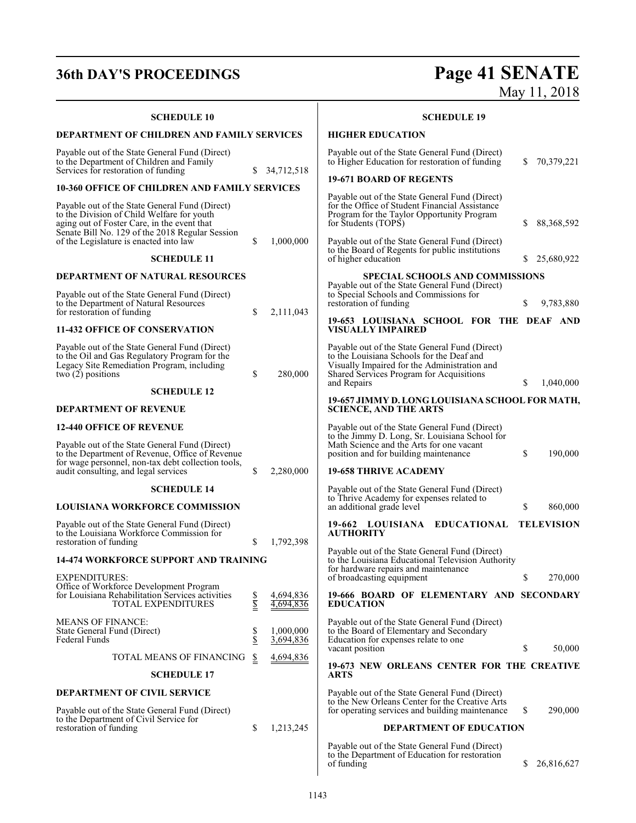**SCHEDULE 10**

# **36th DAY'S PROCEEDINGS Page 41 SENATE** May 11, 2018 **SCHEDULE 19 HIGHER EDUCATION**

| <b>DEPARTMENT OF CHILDREN AND FAMILY SERVICES</b>                                                                                                                                              |                          |                        | <b>HIGHER EDUCATION</b>                                                                                                                                                                                |     |                   |
|------------------------------------------------------------------------------------------------------------------------------------------------------------------------------------------------|--------------------------|------------------------|--------------------------------------------------------------------------------------------------------------------------------------------------------------------------------------------------------|-----|-------------------|
| Payable out of the State General Fund (Direct)<br>to the Department of Children and Family<br>Services for restoration of funding                                                              |                          | 34,712,518             | Payable out of the State General Fund (Direct)<br>to Higher Education for restoration of funding                                                                                                       |     | 70,379,221        |
| <b>10-360 OFFICE OF CHILDREN AND FAMILY SERVICES</b>                                                                                                                                           |                          |                        | <b>19-671 BOARD OF REGENTS</b>                                                                                                                                                                         |     |                   |
| Payable out of the State General Fund (Direct)<br>to the Division of Child Welfare for youth<br>aging out of Foster Care, in the event that<br>Senate Bill No. 129 of the 2018 Regular Session |                          |                        | Payable out of the State General Fund (Direct)<br>for the Office of Student Financial Assistance<br>Program for the Taylor Opportunity Program<br>for Students (TOPS)                                  | S   | 88, 368, 592      |
| of the Legislature is enacted into law<br><b>SCHEDULE 11</b>                                                                                                                                   | \$                       | 1,000,000              | Payable out of the State General Fund (Direct)<br>to the Board of Regents for public institutions<br>of higher education                                                                               | S.  | 25,680,922        |
| <b>DEPARTMENT OF NATURAL RESOURCES</b>                                                                                                                                                         |                          |                        | SPECIAL SCHOOLS AND COMMISSIONS                                                                                                                                                                        |     |                   |
| Payable out of the State General Fund (Direct)                                                                                                                                                 |                          |                        | Payable out of the State General Fund (Direct)<br>to Special Schools and Commissions for                                                                                                               |     |                   |
| to the Department of Natural Resources<br>for restoration of funding                                                                                                                           | \$                       | 2,111,043              | restoration of funding                                                                                                                                                                                 | \$  | 9,783,880         |
| <b>11-432 OFFICE OF CONSERVATION</b>                                                                                                                                                           |                          |                        | 19-653 LOUISIANA SCHOOL FOR THE DEAF AND<br><b>VISUALLY IMPAIRED</b>                                                                                                                                   |     |                   |
| Payable out of the State General Fund (Direct)<br>to the Oil and Gas Regulatory Program for the<br>Legacy Site Remediation Program, including<br>two $(2)$ positions                           | \$                       | 280,000                | Payable out of the State General Fund (Direct)<br>to the Louisiana Schools for the Deaf and<br>Visually Impaired for the Administration and<br>Shared Services Program for Acquisitions<br>and Repairs | S   | 1,040,000         |
| <b>SCHEDULE 12</b>                                                                                                                                                                             |                          |                        | 19-657 JIMMY D. LONG LOUISIANA SCHOOL FOR MATH,                                                                                                                                                        |     |                   |
| <b>DEPARTMENT OF REVENUE</b>                                                                                                                                                                   |                          |                        | <b>SCIENCE, AND THE ARTS</b>                                                                                                                                                                           |     |                   |
| <b>12-440 OFFICE OF REVENUE</b>                                                                                                                                                                |                          |                        | Payable out of the State General Fund (Direct)                                                                                                                                                         |     |                   |
| Payable out of the State General Fund (Direct)<br>to the Department of Revenue, Office of Revenue<br>for wage personnel, non-tax debt collection tools,                                        |                          |                        | to the Jimmy D. Long, Sr. Louisiana School for<br>Math Science and the Arts for one vacant<br>position and for building maintenance                                                                    | S   | 190,000           |
| audit consulting, and legal services                                                                                                                                                           | \$                       | 2,280,000              | <b>19-658 THRIVE ACADEMY</b>                                                                                                                                                                           |     |                   |
| <b>SCHEDULE 14</b>                                                                                                                                                                             |                          |                        | Payable out of the State General Fund (Direct)<br>to Thrive Academy for expenses related to                                                                                                            |     |                   |
| <b>LOUISIANA WORKFORCE COMMISSION</b>                                                                                                                                                          |                          |                        | an additional grade level                                                                                                                                                                              | \$  | 860,000           |
| Payable out of the State General Fund (Direct)<br>to the Louisiana Workforce Commission for<br>restoration of funding                                                                          | \$                       | 1,792,398              | 19-662 LOUISIANA EDUCATIONAL<br><b>AUTHORITY</b>                                                                                                                                                       |     | <b>TELEVISION</b> |
| <b>14-474 WORKFORCE SUPPORT AND TRAINING</b>                                                                                                                                                   |                          |                        | Payable out of the State General Fund (Direct)<br>to the Louisiana Educational Television Authority                                                                                                    |     |                   |
| <b>EXPENDITURES:</b>                                                                                                                                                                           |                          |                        | for hardware repairs and maintenance<br>of broadcasting equipment                                                                                                                                      | \$  | 270,000           |
| Office of Workforce Development Program<br>for Louisiana Rehabilitation Services activities<br><b>TOTAL EXPENDITURES</b>                                                                       | <u>Տ</u><br>Տ            | 4,694,836<br>4,694,836 | 19-666 BOARD OF ELEMENTARY AND SECONDARY<br><b>EDUCATION</b>                                                                                                                                           |     |                   |
| <b>MEANS OF FINANCE:</b><br>State General Fund (Direct)<br><b>Federal Funds</b>                                                                                                                | \$<br>\$                 | 1,000,000<br>3,694,836 | Payable out of the State General Fund (Direct)<br>to the Board of Elementary and Secondary<br>Education for expenses relate to one<br>vacant position                                                  | S.  | 50,000            |
| TOTAL MEANS OF FINANCING                                                                                                                                                                       | $\overline{\mathcal{E}}$ | 4,694,836              | 19-673 NEW ORLEANS CENTER FOR THE CREATIVE                                                                                                                                                             |     |                   |
| <b>SCHEDULE 17</b>                                                                                                                                                                             |                          |                        | ARTS                                                                                                                                                                                                   |     |                   |
| <b>DEPARTMENT OF CIVIL SERVICE</b>                                                                                                                                                             |                          |                        | Payable out of the State General Fund (Direct)                                                                                                                                                         |     |                   |
| Payable out of the State General Fund (Direct)<br>to the Department of Civil Service for                                                                                                       |                          |                        | to the New Orleans Center for the Creative Arts<br>for operating services and building maintenance                                                                                                     | \$. | 290,000           |
| restoration of funding                                                                                                                                                                         | S                        | 1,213,245              | <b>DEPARTMENT OF EDUCATION</b>                                                                                                                                                                         |     |                   |
|                                                                                                                                                                                                |                          |                        | Payable out of the State General Fund (Direct)<br>to the Department of Education for restoration<br>of funding                                                                                         | S.  | 26,816,627        |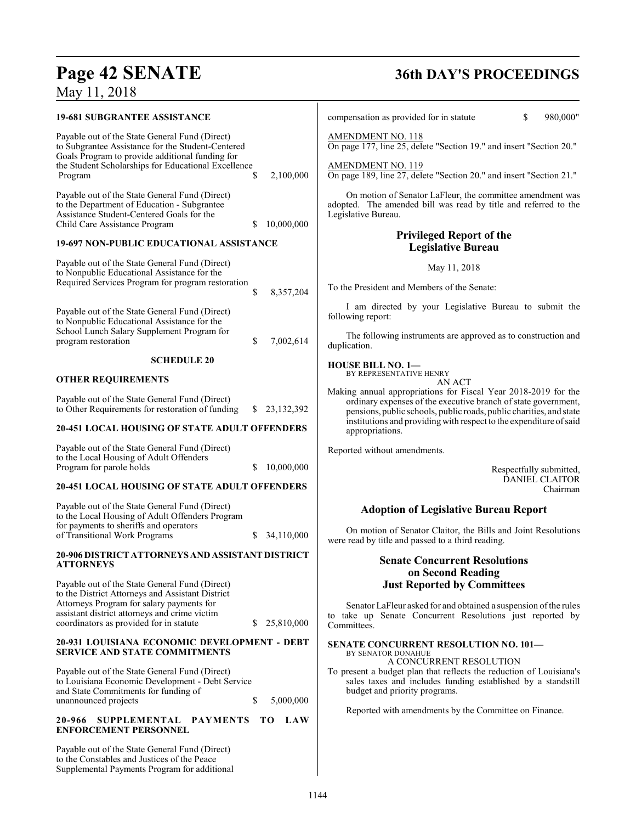# **Page 42 SENATE**<br>May 11, 2018

| <b>19-681 SUBGRANTEE ASSISTANCE</b>                                                                                                                                                                           |                    | compensation as provided for in statute                                                                                                                                                                 | \$<br>980,000"                    |
|---------------------------------------------------------------------------------------------------------------------------------------------------------------------------------------------------------------|--------------------|---------------------------------------------------------------------------------------------------------------------------------------------------------------------------------------------------------|-----------------------------------|
| Payable out of the State General Fund (Direct)<br>to Subgrantee Assistance for the Student-Centered<br>Goals Program to provide additional funding for<br>the Student Scholarships for Educational Excellence |                    | <b>AMENDMENT NO. 118</b><br>On page 177, line 25, delete "Section 19." and insert "Section 20."<br>AMENDMENT NO. 119                                                                                    |                                   |
| Program                                                                                                                                                                                                       | \$<br>2,100,000    | On page 189, line 27, delete "Section 20." and insert "Section 21."                                                                                                                                     |                                   |
| Payable out of the State General Fund (Direct)<br>to the Department of Education - Subgrantee<br>Assistance Student-Centered Goals for the<br>Child Care Assistance Program                                   | 10,000,000<br>S.   | On motion of Senator LaFleur, the committee amendment was<br>adopted. The amended bill was read by title and referred to the<br>Legislative Bureau.                                                     |                                   |
| 19-697 NON-PUBLIC EDUCATIONAL ASSISTANCE                                                                                                                                                                      |                    | <b>Privileged Report of the</b>                                                                                                                                                                         |                                   |
|                                                                                                                                                                                                               |                    | <b>Legislative Bureau</b>                                                                                                                                                                               |                                   |
| Payable out of the State General Fund (Direct)<br>to Nonpublic Educational Assistance for the<br>Required Services Program for program restoration                                                            |                    | May 11, 2018                                                                                                                                                                                            |                                   |
|                                                                                                                                                                                                               | 8,357,204<br>\$    | To the President and Members of the Senate:                                                                                                                                                             |                                   |
| Payable out of the State General Fund (Direct)<br>to Nonpublic Educational Assistance for the                                                                                                                 |                    | I am directed by your Legislative Bureau to submit the<br>following report:                                                                                                                             |                                   |
| School Lunch Salary Supplement Program for<br>program restoration                                                                                                                                             | \$<br>7,002,614    | The following instruments are approved as to construction and<br>duplication.                                                                                                                           |                                   |
| <b>SCHEDULE 20</b>                                                                                                                                                                                            |                    | <b>HOUSE BILL NO. 1-</b>                                                                                                                                                                                |                                   |
| <b>OTHER REQUIREMENTS</b>                                                                                                                                                                                     |                    | BY REPRESENTATIVE HENRY<br>AN ACT                                                                                                                                                                       |                                   |
| Payable out of the State General Fund (Direct)<br>to Other Requirements for restoration of funding                                                                                                            | 23, 132, 392<br>S. | Making annual appropriations for Fiscal Year 2018-2019 for the<br>ordinary expenses of the executive branch of state government,<br>pensions, public schools, public roads, public charities, and state |                                   |
| <b>20-451 LOCAL HOUSING OF STATE ADULT OFFENDERS</b>                                                                                                                                                          |                    | institutions and providing with respect to the expenditure of said<br>appropriations.                                                                                                                   |                                   |
| Payable out of the State General Fund (Direct)                                                                                                                                                                |                    | Reported without amendments.                                                                                                                                                                            |                                   |
| to the Local Housing of Adult Offenders<br>Program for parole holds                                                                                                                                           | 10,000,000         |                                                                                                                                                                                                         | Respectfully submitted,           |
| <b>20-451 LOCAL HOUSING OF STATE ADULT OFFENDERS</b>                                                                                                                                                          |                    |                                                                                                                                                                                                         | <b>DANIEL CLAITOR</b><br>Chairman |
| Payable out of the State General Fund (Direct)                                                                                                                                                                |                    | <b>Adoption of Legislative Bureau Report</b>                                                                                                                                                            |                                   |
| to the Local Housing of Adult Offenders Program<br>for payments to sheriffs and operators                                                                                                                     |                    | On motion of Senator Claitor, the Bills and Joint Resolutions                                                                                                                                           |                                   |
| of Transitional Work Programs                                                                                                                                                                                 | 34,110,000         | were read by title and passed to a third reading.                                                                                                                                                       |                                   |
| 20-906 DISTRICT ATTORNEYS AND ASSISTANT DISTRICT<br><b>ATTORNEYS</b>                                                                                                                                          |                    | <b>Senate Concurrent Resolutions</b>                                                                                                                                                                    |                                   |
| Payable out of the State General Fund (Direct)                                                                                                                                                                |                    | on Second Reading<br><b>Just Reported by Committees</b>                                                                                                                                                 |                                   |
| to the District Attorneys and Assistant District                                                                                                                                                              |                    |                                                                                                                                                                                                         |                                   |
| Attorneys Program for salary payments for<br>assistant district attorneys and crime victim<br>coordinators as provided for in statute                                                                         | 25,810,000<br>S.   | Senator LaFleur asked for and obtained a suspension of the rules<br>to take up Senate Concurrent Resolutions just reported by<br>Committees.                                                            |                                   |
| 20-931 LOUISIANA ECONOMIC DEVELOPMENT - DEBT<br><b>SERVICE AND STATE COMMITMENTS</b>                                                                                                                          |                    | <b>SENATE CONCURRENT RESOLUTION NO. 101-</b><br>BY SENATOR DONAHUE                                                                                                                                      |                                   |
| Payable out of the State General Fund (Direct)<br>to Louisiana Economic Development - Debt Service                                                                                                            |                    | A CONCURRENT RESOLUTION<br>To present a budget plan that reflects the reduction of Louisiana's<br>sales taxes and includes funding established by a standstill                                          |                                   |
| and State Commitments for funding of<br>unannounced projects                                                                                                                                                  | \$<br>5,000,000    | budget and priority programs.                                                                                                                                                                           |                                   |
| SUPPLEMENTAL PAYMENTS<br>20-966<br><b>ENFORCEMENT PERSONNEL</b>                                                                                                                                               | LAW<br>ТO          | Reported with amendments by the Committee on Finance.                                                                                                                                                   |                                   |
| Payable out of the State General Fund (Direct)<br>to the Constables and Justices of the Peace<br>Supplemental Payments Program for additional                                                                 |                    |                                                                                                                                                                                                         |                                   |
|                                                                                                                                                                                                               |                    | 1144                                                                                                                                                                                                    |                                   |
|                                                                                                                                                                                                               |                    |                                                                                                                                                                                                         |                                   |

# **36th DAY'S PROCEEDINGS**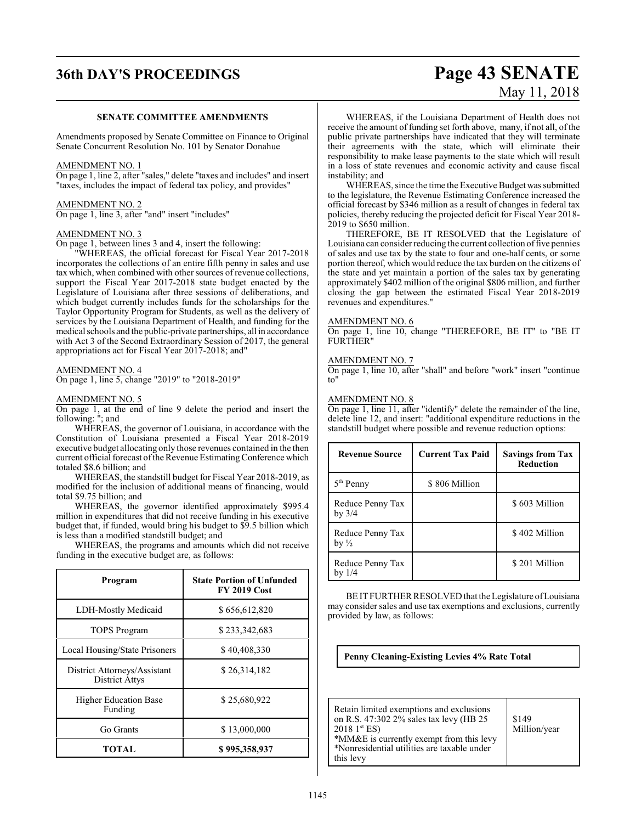# **36th DAY'S PROCEEDINGS Page 43 SENATE**

#### **SENATE COMMITTEE AMENDMENTS**

Amendments proposed by Senate Committee on Finance to Original Senate Concurrent Resolution No. 101 by Senator Donahue

#### AMENDMENT NO. 1

On page 1, line 2, after "sales," delete "taxes and includes" and insert "taxes, includes the impact of federal tax policy, and provides"

#### AMENDMENT NO. 2 On page 1, line 3, after "and" insert "includes"

#### AMENDMENT NO. 3

On page 1, between lines 3 and 4, insert the following:

"WHEREAS, the official forecast for Fiscal Year 2017-2018 incorporates the collections of an entire fifth penny in sales and use tax which, when combined with other sources of revenue collections, support the Fiscal Year 2017-2018 state budget enacted by the Legislature of Louisiana after three sessions of deliberations, and which budget currently includes funds for the scholarships for the Taylor Opportunity Program for Students, as well as the delivery of services by the Louisiana Department of Health, and funding for the medical schools and the public-private partnerships, all in accordance with Act 3 of the Second Extraordinary Session of 2017, the general appropriations act for Fiscal Year 2017-2018; and"

#### AMENDMENT NO. 4

On page 1, line 5, change "2019" to "2018-2019"

#### AMENDMENT NO. 5

On page 1, at the end of line 9 delete the period and insert the following: "; and

WHEREAS, the governor of Louisiana, in accordance with the Constitution of Louisiana presented a Fiscal Year 2018-2019 executive budget allocating only those revenues contained in the then current official forecast of the Revenue Estimating Conference which totaled \$8.6 billion; and

WHEREAS, the standstill budget for Fiscal Year 2018-2019, as modified for the inclusion of additional means of financing, would total \$9.75 billion; and

WHEREAS, the governor identified approximately \$995.4 million in expenditures that did not receive funding in his executive budget that, if funded, would bring his budget to \$9.5 billion which is less than a modified standstill budget; and

WHEREAS, the programs and amounts which did not receive funding in the executive budget are, as follows:

| Program                                               | <b>State Portion of Unfunded</b><br><b>FY 2019 Cost</b> |
|-------------------------------------------------------|---------------------------------------------------------|
| LDH-Mostly Medicaid                                   | \$656,612,820                                           |
| <b>TOPS Program</b>                                   | \$233,342,683                                           |
| Local Housing/State Prisoners                         | \$40,408,330                                            |
| District Attorneys/Assistant<br><b>District Attys</b> | \$26,314,182                                            |
| <b>Higher Education Base</b><br>Funding               | \$25,680,922                                            |
| Go Grants                                             | \$13,000,000                                            |
| TOTAL                                                 | \$995,358,937                                           |

# May 11, 2018

WHEREAS, if the Louisiana Department of Health does not receive the amount of funding set forth above, many, if not all, of the public private partnerships have indicated that they will terminate their agreements with the state, which will eliminate their responsibility to make lease payments to the state which will result in a loss of state revenues and economic activity and cause fiscal instability; and

WHEREAS, since the time the Executive Budget was submitted to the legislature, the Revenue Estimating Conference increased the official forecast by \$346 million as a result of changes in federal tax policies, thereby reducing the projected deficit for Fiscal Year 2018- 2019 to \$650 million.

THEREFORE, BE IT RESOLVED that the Legislature of Louisiana can consider reducing the current collection of five pennies of sales and use tax by the state to four and one-half cents, or some portion thereof, which would reduce the tax burden on the citizens of the state and yet maintain a portion of the sales tax by generating approximately \$402 million of the original \$806 million, and further closing the gap between the estimated Fiscal Year 2018-2019 revenues and expenditures."

#### AMENDMENT NO. 6

On page 1, line 10, change "THEREFORE, BE IT" to "BE IT FURTHER"

#### AMENDMENT NO. 7

On page 1, line 10, after "shall" and before "work" insert "continue to"

#### AMENDMENT NO. 8

On page 1, line 11, after "identify" delete the remainder of the line, delete line 12, and insert: "additional expenditure reductions in the standstill budget where possible and revenue reduction options:

| <b>Revenue Source</b>                | <b>Current Tax Paid</b> | <b>Savings from Tax</b><br><b>Reduction</b> |
|--------------------------------------|-------------------------|---------------------------------------------|
| 5 <sup>th</sup> Penny                | \$806 Million           |                                             |
| Reduce Penny Tax<br>by $3/4$         |                         | \$603 Million                               |
| Reduce Penny Tax<br>by $\frac{1}{2}$ |                         | \$402 Million                               |
| Reduce Penny Tax<br>by $1/4$         |                         | \$201 Million                               |

BE ITFURTHER RESOLVED that the Legislature ofLouisiana may consider sales and use tax exemptions and exclusions, currently provided by law, as follows:

#### **Penny Cleaning-Existing Levies 4% Rate Total**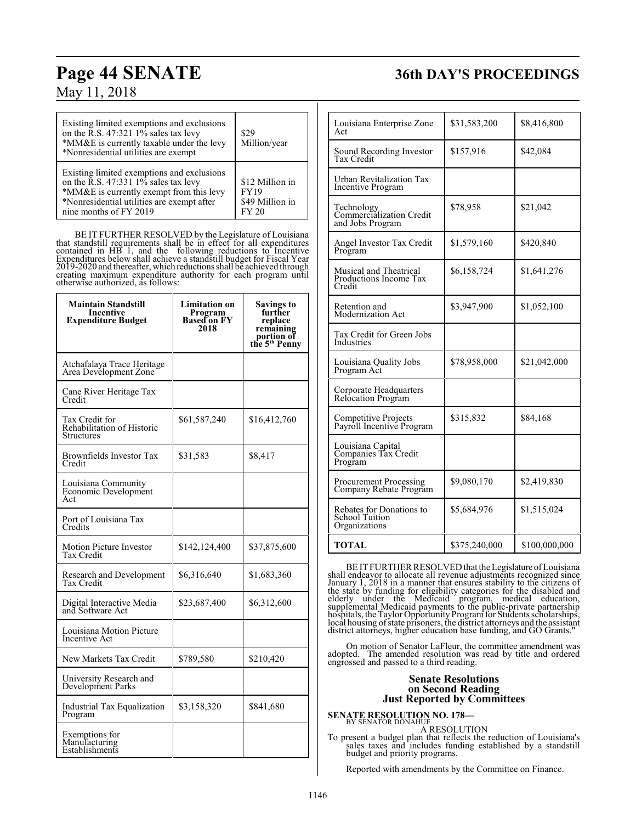## **Page 44 SENATE 36th DAY'S PROCEEDINGS**

| Existing limited exemptions and exclusions<br>on the R.S. 47:321 $1\%$ sales tax levy<br>*MM&E is currently taxable under the levy<br>*Nonresidential utilities are exempt                             | \$29<br>Million/year                                       |
|--------------------------------------------------------------------------------------------------------------------------------------------------------------------------------------------------------|------------------------------------------------------------|
| Existing limited exemptions and exclusions<br>on the R.S. 47:331 1% sales tax levy<br>*MM&E is currently exempt from this levy<br>*Nonresidential utilities are exempt after<br>nine months of FY 2019 | \$12 Million in<br><b>FY19</b><br>\$49 Million in<br>FY 20 |

BE IT FURTHER RESOLVED by the Legislature of Louisiana that standstill requirements shall be in effect for all expenditures<br>contained in HB 1, and the following reductions to Incentive<br>Expenditures below shall achieve a standstill budget for Fiscal Year<br>2019-2020 and thereafte

| <b>Maintain Standstill</b><br><b>Incentive</b><br><b>Expenditure Budget</b> | <b>Limitation on</b><br><b>Program</b><br><b>Based on FY</b><br>2018 | <b>Savings to</b><br>further<br>replace<br>remaining<br>portion of<br>the 5 <sup>th</sup> Penny |
|-----------------------------------------------------------------------------|----------------------------------------------------------------------|-------------------------------------------------------------------------------------------------|
| Atchafalaya Trace Heritage<br>Area Development Zone                         |                                                                      |                                                                                                 |
| Cane River Heritage Tax<br>Credit                                           |                                                                      |                                                                                                 |
| Tax Credit for<br>Rehabilitation of Historic<br><b>Structures</b>           | \$61,587,240                                                         | \$16,412,760                                                                                    |
| Brownfields Investor Tax<br>Credit                                          | \$31,583                                                             | \$8,417                                                                                         |
| Louisiana Community<br>Economic Development<br>Act                          |                                                                      |                                                                                                 |
| Port of Louisiana Tax<br>Credits                                            |                                                                      |                                                                                                 |
| Motion Picture Investor<br>Tax Credit                                       | \$142,124,400                                                        | \$37,875,600                                                                                    |
| Research and Development<br>Tax Credit                                      | \$6,316,640                                                          | \$1,683,360                                                                                     |
| Digital Interactive Media<br>and Software Act                               | \$23,687,400                                                         | \$6,312,600                                                                                     |
| Louisiana Motion Picture<br>Incentive Act                                   |                                                                      |                                                                                                 |
| New Markets Tax Credit                                                      | \$789,580                                                            | \$210,420                                                                                       |
| University Research and<br>Development Parks                                |                                                                      |                                                                                                 |
| <b>Industrial Tax Equalization</b><br>Program                               | \$3,158,320                                                          | \$841,680                                                                                       |
| Exemptions for<br>Manufacturing<br>Establishments                           |                                                                      |                                                                                                 |

| Louisiana Enterprise Zone<br>Act                                   | \$31,583,200  | \$8,416,800   |
|--------------------------------------------------------------------|---------------|---------------|
| Sound Recording Investor<br>Tax Credit                             | \$157,916     | \$42,084      |
| <b>Urban Revitalization Tax</b><br><b>Incentive Program</b>        |               |               |
| Technology<br>Commercialization Credit<br>and Jobs Program         | \$78,958      | \$21,042      |
| Angel Investor Tax Credit<br>Program                               | \$1,579,160   | \$420,840     |
| Musical and Theatrical<br>Productions Income Tax<br>Credit         | \$6,158,724   | \$1,641,276   |
| Retention and<br>Modernization Act                                 | \$3,947,900   | \$1,052,100   |
| Tax Credit for Green Jobs<br>Industries                            |               |               |
| Louisiana Quality Jobs<br>Program Act                              | \$78,958,000  | \$21,042,000  |
| Corporate Headquarters<br>Relocation Program                       |               |               |
| Competitive Projects<br>Payroll Incentive Program                  | \$315,832     | \$84,168      |
| Louisiana Capital<br>Companies Tax Credit<br>Program               |               |               |
| <b>Procurement Processing</b><br>Company Rebate Program            | \$9,080,170   | \$2,419,830   |
| Rebates for Donations to<br><b>School Tuition</b><br>Organizations | \$5,684,976   | \$1,515,024   |
| TOTAL                                                              | \$375,240,000 | \$100,000,000 |

BE ITFURTHER RESOLVED that the Legislature ofLouisiana shall endeavor to allocate all revenue adjustments recognized since<br>January 1, 2018 in a manner that ensures stability to the citizens of<br>the state by funding for eligibility categories for the disabled and<br>elderly under t

On motion of Senator LaFleur, the committee amendment was adopted. The amended resolution was read by title and ordered engrossed and passed to a third reading.

#### **Senate Resolutions on Second Reading Just Reported by Committees**

**SENATE RESOLUTION NO. 178—** BY SENATOR DONAHUE

A RESOLUTION

To present a budget plan that reflects the reduction of Louisiana's sales taxes and includes funding established by a standstill budget and priority programs.

Reported with amendments by the Committee on Finance.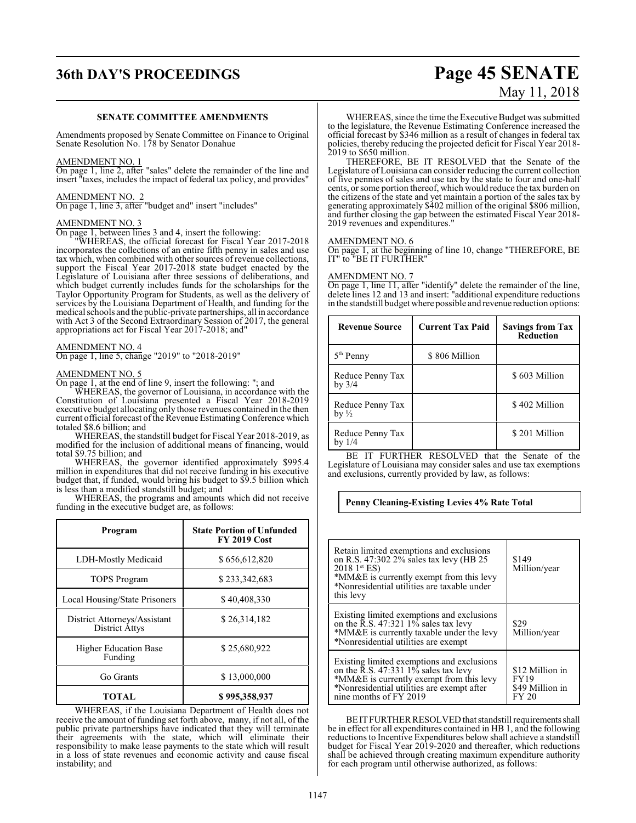## **36th DAY'S PROCEEDINGS Page 45 SENATE**

# May 11, 2018

#### **SENATE COMMITTEE AMENDMENTS**

Amendments proposed by Senate Committee on Finance to Original Senate Resolution No. 178 by Senator Donahue

#### AMENDMENT NO. 1

On page 1, line 2, after "sales" delete the remainder of the line and insert "taxes, includes the impact of federal tax policy, and provides"

#### AMENDMENT NO. 2

On page 1, line 3, after "budget and" insert "includes"

#### AMENDMENT NO. 3

On page 1, between lines 3 and 4, insert the following:

"WHEREAS, the official forecast for Fiscal Year 2017-2018 incorporates the collections of an entire fifth penny in sales and use tax which, when combined with other sources of revenue collections, support the Fiscal Year 2017-2018 state budget enacted by the Legislature of Louisiana after three sessions of deliberations, and which budget currently includes funds for the scholarships for the Taylor Opportunity Program for Students, as well as the delivery of services by the Louisiana Department of Health, and funding for the medical schools and the public-private partnerships, all in accordance with Act 3 of the Second Extraordinary Session of 2017, the general appropriations act for Fiscal Year 2017-2018; and"

#### AMENDMENT NO. 4

On page 1, line 5, change "2019" to "2018-2019"

#### AMENDMENT NO. 5

On page 1, at the end of line 9, insert the following: "; and

WHEREAS, the governor of Louisiana, in accordance with the Constitution of Louisiana presented a Fiscal Year 2018-2019 executive budget allocating only those revenues contained in the then current official forecast of the Revenue Estimating Conference which totaled \$8.6 billion; and

WHEREAS, the standstill budget for Fiscal Year 2018-2019, as modified for the inclusion of additional means of financing, would total \$9.75 billion; and

WHEREAS, the governor identified approximately \$995.4 million in expenditures that did not receive funding in his executive budget that, if funded, would bring his budget to \$9.5 billion which is less than a modified standstill budget; and

WHEREAS, the programs and amounts which did not receive funding in the executive budget are, as follows:

| Program                                               | <b>State Portion of Unfunded</b><br><b>FY 2019 Cost</b> |
|-------------------------------------------------------|---------------------------------------------------------|
| LDH-Mostly Medicaid                                   | \$656,612,820                                           |
| <b>TOPS Program</b>                                   | \$233,342,683                                           |
| <b>Local Housing/State Prisoners</b>                  | \$40,408,330                                            |
| District Attorneys/Assistant<br><b>District Attys</b> | \$26,314,182                                            |
| <b>Higher Education Base</b><br>Funding               | \$25,680,922                                            |
| Go Grants                                             | \$13,000,000                                            |
| TOTAL                                                 | \$995,358,937                                           |

WHEREAS, if the Louisiana Department of Health does not receive the amount of funding set forth above, many, if not all, of the public private partnerships have indicated that they will terminate their agreements with the state, which will eliminate their responsibility to make lease payments to the state which will result in a loss of state revenues and economic activity and cause fiscal instability; and

WHEREAS, since the time the Executive Budget was submitted to the legislature, the Revenue Estimating Conference increased the official forecast by \$346 million as a result of changes in federal tax policies, thereby reducing the projected deficit for Fiscal Year 2018- 2019 to \$650 million.

THEREFORE, BE IT RESOLVED that the Senate of the Legislature of Louisiana can consider reducing the current collection of five pennies of sales and use tax by the state to four and one-half cents, orsome portion thereof, which would reduce the tax burden on the citizens of the state and yet maintain a portion of the sales tax by generating approximately \$402 million of the original \$806 million, and further closing the gap between the estimated Fiscal Year 2018- 2019 revenues and expenditures."

#### AMENDMENT NO. 6

On page 1, at the beginning of line 10, change "THEREFORE, BE IT" to "BE IT FURTHER"

#### AMENDMENT NO. 7

On page 1, line 11, after "identify" delete the remainder of the line, delete lines 12 and 13 and insert: "additional expenditure reductions in the standstill budget where possible and revenue reduction options:

| <b>Revenue Source</b>                | <b>Current Tax Paid</b> | <b>Savings from Tax</b><br><b>Reduction</b> |
|--------------------------------------|-------------------------|---------------------------------------------|
| $5th$ Penny                          | \$806 Million           |                                             |
| Reduce Penny Tax<br>by $3/4$         |                         | \$603 Million                               |
| Reduce Penny Tax<br>by $\frac{1}{2}$ |                         | \$402 Million                               |
| Reduce Penny Tax<br>by $1/4$         |                         | \$201 Million                               |

BE IT FURTHER RESOLVED that the Senate of the Legislature of Louisiana may consider sales and use tax exemptions and exclusions, currently provided by law, as follows:

#### **Penny Cleaning-Existing Levies 4% Rate Total**

| Retain limited exemptions and exclusions<br>on R.S. 47:302 2% sales tax levy (HB 25<br>$20181$ <sup>st</sup> ES)<br>*MM&E is currently exempt from this levy<br>*Nonresidential utilities are taxable under<br>this levy | \$149<br>Million/year                                      |
|--------------------------------------------------------------------------------------------------------------------------------------------------------------------------------------------------------------------------|------------------------------------------------------------|
| Existing limited exemptions and exclusions<br>on the $\overline{R}$ .S. 47:321 1% sales tax levy<br>*MM&E is currently taxable under the levy<br>*Nonresidential utilities are exempt                                    | \$29<br>Million/year                                       |
| Existing limited exemptions and exclusions<br>on the $\overline{R}$ .S. 47:331 1% sales tax levy<br>*MM&E is currently exempt from this levy<br>*Nonresidential utilities are exempt after<br>nine months of FY 2019     | \$12 Million in<br><b>FY19</b><br>\$49 Million in<br>FY 20 |

BE IT FURTHER RESOLVED that standstill requirements shall be in effect for all expenditures contained in HB 1, and the following reductions to Incentive Expenditures below shall achieve a standstill budget for Fiscal Year 2019-2020 and thereafter, which reductions shall be achieved through creating maximum expenditure authority for each program until otherwise authorized, as follows: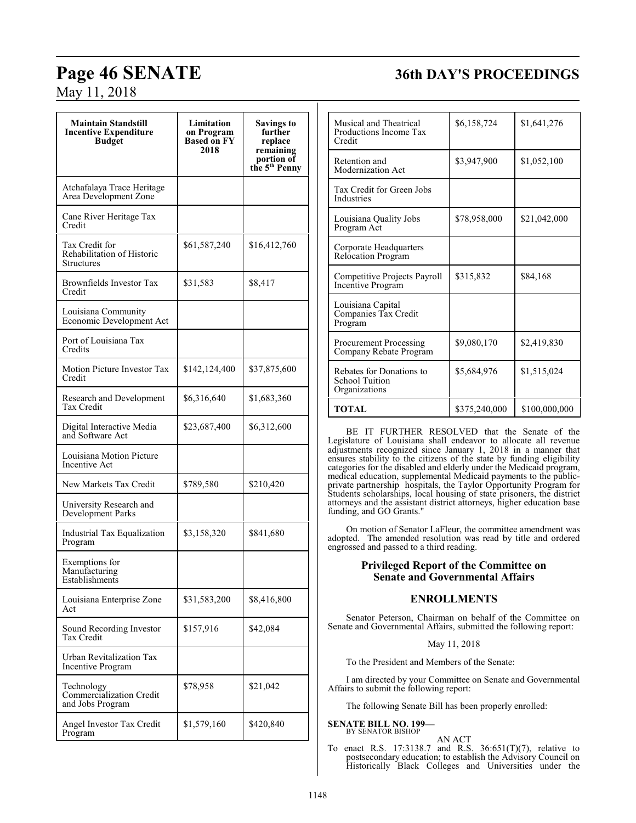## **Page 46 SENATE 36th DAY'S PROCEEDINGS**

May 11, 2018

| <b>Maintain Standstill</b><br><b>Incentive Expenditure</b><br><b>Budget</b> | Limitation<br>on Program<br><b>Based on FY</b><br>2018 | Savings to<br>further<br>replace<br>remaining<br>portion of<br>the 5 <sup>th</sup> Penny |
|-----------------------------------------------------------------------------|--------------------------------------------------------|------------------------------------------------------------------------------------------|
| Atchafalaya Trace Heritage<br>Area Development Zone                         |                                                        |                                                                                          |
| Cane River Heritage Tax<br>Credit                                           |                                                        |                                                                                          |
| Tax Credit for<br>Rehabilitation of Historic<br>Structures                  | \$61,587,240                                           | \$16,412,760                                                                             |
| Brownfields Investor Tax<br>Credit                                          | \$31,583                                               | \$8,417                                                                                  |
| Louisiana Community<br>Economic Development Act                             |                                                        |                                                                                          |
| Port of Louisiana Tax<br>Credits                                            |                                                        |                                                                                          |
| Motion Picture Investor Tax<br>Credit                                       | \$142,124,400                                          | \$37,875,600                                                                             |
| Research and Development<br>Tax Credit                                      | \$6,316,640                                            | \$1,683,360                                                                              |
| Digital Interactive Media<br>and Software Act                               | \$23,687,400                                           | \$6,312,600                                                                              |
| Louisiana Motion Picture<br>Incentive Act                                   |                                                        |                                                                                          |
| New Markets Tax Credit                                                      | \$789,580                                              | \$210,420                                                                                |
| University Research and<br><b>Development Parks</b>                         |                                                        |                                                                                          |
| Industrial Tax Equalization<br>Program                                      | \$3,158,320                                            | \$841,680                                                                                |
| Exemptions for<br>Manufacturing<br>Establishments                           |                                                        |                                                                                          |
| Louisiana Enterprise Zone<br>Act                                            | \$31,583,200                                           | \$8,416,800                                                                              |
| Sound Recording Investor<br>Tax Credit                                      | \$157,916                                              | \$42,084                                                                                 |
| Urban Revitalization Tax<br>Incentive Program                               |                                                        |                                                                                          |
| Technology<br>Commercialization Credit<br>and Jobs Program                  | \$78,958                                               | \$21,042                                                                                 |
| Angel Investor Tax Credit<br>Program                                        | \$1,579,160                                            | \$420,840                                                                                |

| Musical and Theatrical<br>Productions Income Tax<br>Credit         | \$6,158,724   | \$1,641,276   |
|--------------------------------------------------------------------|---------------|---------------|
| Retention and<br>Modernization Act                                 | \$3,947,900   | \$1,052,100   |
| Tax Credit for Green Jobs<br><b>Industries</b>                     |               |               |
| Louisiana Quality Jobs<br>Program Act                              | \$78,958,000  | \$21,042,000  |
| Corporate Headquarters<br><b>Relocation Program</b>                |               |               |
| Competitive Projects Payroll<br><b>Incentive Program</b>           | \$315,832     | \$84,168      |
| Louisiana Capital<br>Companies Tax Credit<br>Program               |               |               |
| <b>Procurement Processing</b><br>Company Rebate Program            | \$9,080,170   | \$2,419,830   |
| Rebates for Donations to<br><b>School Tuition</b><br>Organizations | \$5,684,976   | \$1,515,024   |
| <b>TOTAL</b>                                                       | \$375,240,000 | \$100,000,000 |

BE IT FURTHER RESOLVED that the Senate of the Legislature of Louisiana shall endeavor to allocate all revenue adjustments recognized since January 1, 2018 in a manner that ensures stability to the citizens of the state by funding eligibility categories for the disabled and elderly under the Medicaid program, medical education, supplemental Medicaid payments to the publicprivate partnership hospitals, the Taylor Opportunity Program for Students scholarships, local housing of state prisoners, the district attorneys and the assistant district attorneys, higher education base funding, and GO Grants."

On motion of Senator LaFleur, the committee amendment was adopted. The amended resolution was read by title and ordered engrossed and passed to a third reading.

### **Privileged Report of the Committee on Senate and Governmental Affairs**

## **ENROLLMENTS**

Senator Peterson, Chairman on behalf of the Committee on Senate and Governmental Affairs, submitted the following report:

May 11, 2018

To the President and Members of the Senate:

I am directed by your Committee on Senate and Governmental Affairs to submit the following report:

The following Senate Bill has been properly enrolled:

#### **SENATE BILL NO. 199—** BY SENATOR BISHOP

AN ACT

To enact R.S. 17:3138.7 and R.S. 36:651(T)(7), relative to postsecondary education; to establish the Advisory Council on Historically Black Colleges and Universities under the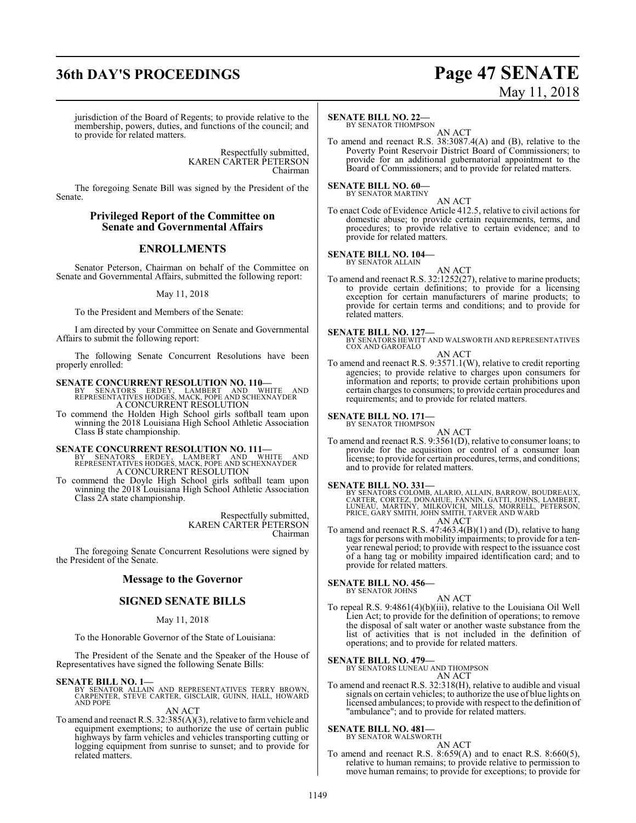## **36th DAY'S PROCEEDINGS Page 47 SENATE**

# May 11, 2018

jurisdiction of the Board of Regents; to provide relative to the membership, powers, duties, and functions of the council; and to provide for related matters.

> Respectfully submitted, KAREN CARTER PETERSON Chairman

The foregoing Senate Bill was signed by the President of the Senate.

#### **Privileged Report of the Committee on Senate and Governmental Affairs**

### **ENROLLMENTS**

Senator Peterson, Chairman on behalf of the Committee on Senate and Governmental Affairs, submitted the following report:

#### May 11, 2018

To the President and Members of the Senate:

I am directed by your Committee on Senate and Governmental Affairs to submit the following report:

The following Senate Concurrent Resolutions have been properly enrolled:

**SENATE CONCURRENT RESOLUTION NO. 110—**<br>BY SENATORS ERDEY, LAMBERT AND WHITE AND<br>REPRESENTATIVES HODGES, MACK, POPE AND SCHEXNAYDER A CONCURRENT RESOLUTION

To commend the Holden High School girls softball team upon winning the 2018 Louisiana High School Athletic Association Class B state championship.

#### **SENATE CONCURRENT RESOLUTION NO. 111—**

BY SENATORS ERDEY, LAMBERT AND WHITE AND REPRESENTATIVES HODGES, MACK, POPE AND SCHEXNAYDER A CONCURRENT RESOLUTION

To commend the Doyle High School girls softball team upon winning the 2018 Louisiana High School Athletic Association Class 2A state championship.

> Respectfully submitted, KAREN CARTER PETERSON Chairman

The foregoing Senate Concurrent Resolutions were signed by the President of the Senate.

#### **Message to the Governor**

#### **SIGNED SENATE BILLS**

#### May 11, 2018

To the Honorable Governor of the State of Louisiana:

The President of the Senate and the Speaker of the House of Representatives have signed the following Senate Bills:

**SENATE BILL NO. 1—**<br>BY SENATOR ALLAIN AND REPRESENTATIVES TERRY BROWN,<br>CARPENTER, STEVE CARTER, GISCLAIR, GUINN, HALL, HOWARD<br>AND POPE

#### AN ACT

To amend and reenact R.S. 32:385(A)(3), relative to farmvehicle and equipment exemptions; to authorize the use of certain public highways by farm vehicles and vehicles transporting cutting or logging equipment from sunrise to sunset; and to provide for related matters.

#### **SENATE BILL NO. 22—**

BY SENATOR THOMPSON AN ACT

To amend and reenact R.S. 38:3087.4(A) and (B), relative to the Poverty Point Reservoir District Board of Commissioners; to provide for an additional gubernatorial appointment to the Board of Commissioners; and to provide for related matters.

### **SENATE BILL NO. 60—**

BY SENATOR MARTINY

AN ACT To enact Code of Evidence Article 412.5, relative to civil actions for domestic abuse; to provide certain requirements, terms, and procedures; to provide relative to certain evidence; and to provide for related matters.

#### **SENATE BILL NO. 104—**

BY SENATOR ALLAIN

AN ACT To amend and reenact R.S. 32:1252(27), relative to marine products; to provide certain definitions; to provide for a licensing exception for certain manufacturers of marine products; to provide for certain terms and conditions; and to provide for related matters.

**SENATE BILL NO. 127—** BY SENATORS HEWITT AND WALSWORTH AND REPRESENTATIVES COX AND GAROFALO

#### AN ACT

To amend and reenact R.S. 9:3571.1(W), relative to credit reporting agencies; to provide relative to charges upon consumers for information and reports; to provide certain prohibitions upon certain charges to consumers; to provide certain procedures and requirements; and to provide for related matters.

**SENATE BILL NO. 171** 

BY SENATOR THOMPSON AN ACT

To amend and reenact R.S. 9:3561(D), relative to consumer loans; to provide for the acquisition or control of a consumer loan license; to provide for certain procedures, terms, and conditions; and to provide for related matters.

#### **SENATE BILL NO. 331—**

BY SENATORS COLOMB, ALARIO, ALLAIN, BARROW, BOUDREAUX,<br>CARTER, CORTEZ, DONAHUE, FANNIN, GATTI, JOHNS, LAMBERT,<br>LUNEAU, MARTINY, MILKOVICH, MILLS, MORRELL, PETERSON,<br>PRICE, GARY SMITH, JOHN SMITH, TARVER AND WARD AN ACT

To amend and reenact R.S. 47:463.4(B)(1) and (D), relative to hang tags for persons with mobility impairments; to provide for a tenyear renewal period; to provide with respect to the issuance cost of a hang tag or mobility impaired identification card; and to provide for related matters.

## **SENATE BILL NO. 456—** BY SENATOR JOHNS

AN ACT

To repeal R.S. 9:4861(4)(b)(iii), relative to the Louisiana Oil Well Lien Act; to provide for the definition of operations; to remove the disposal of salt water or another waste substance from the list of activities that is not included in the definition of operations; and to provide for related matters.

#### **SENATE BILL NO. 479—**

BY SENATORS LUNEAU AND THOMPSON AN ACT

To amend and reenact R.S. 32:318(H), relative to audible and visual signals on certain vehicles; to authorize the use of blue lights on licensed ambulances; to provide with respect to the definition of "ambulance"; and to provide for related matters.

#### **SENATE BILL NO. 481—** BY SENATOR WALSWORTH

AN ACT To amend and reenact R.S. 8:659(A) and to enact R.S. 8:660(5), relative to human remains; to provide relative to permission to move human remains; to provide for exceptions; to provide for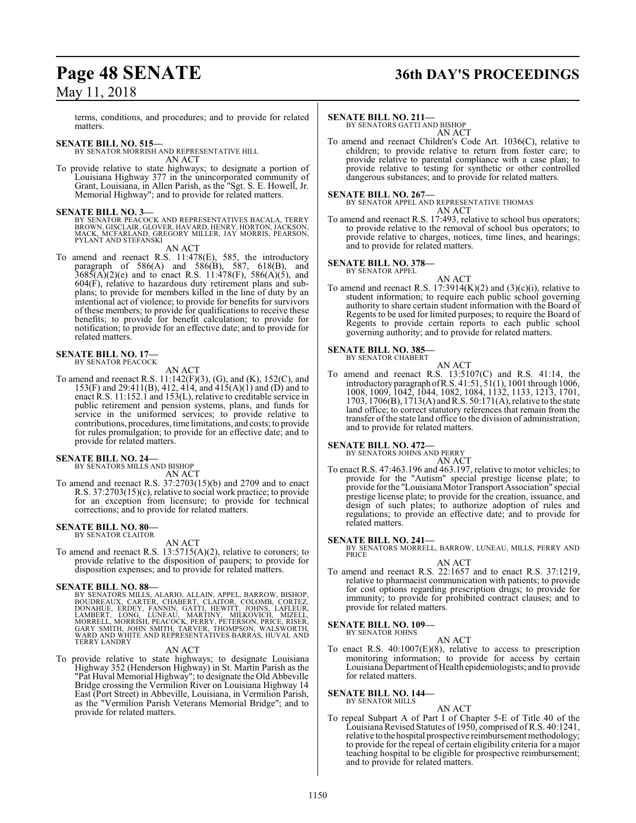terms, conditions, and procedures; and to provide for related matters.

#### **SENATE BILL NO. 515—**

BY SENATOR MORRISH AND REPRESENTATIVE HILL AN ACT

To provide relative to state highways; to designate a portion of Louisiana Highway 377 in the unincorporated community of Grant, Louisiana, in Allen Parish, as the "Sgt. S. E. Howell, Jr. Memorial Highway"; and to provide for related matters.

**SENATE BILL NO. 3—**<br>BY SENATOR PEACOCK AND REPRESENTATIVES BACALA, TERRY<br>BROWN, GISCLAIR, GLOVER, HAVARD, HENRY, HORTON, JACKSON,<br>MACK, MCFARLAND, GREGORY MILLER, JAY MORRIS, PEARSON, PYLANT AND STEFANSKI

#### AN ACT

To amend and reenact R.S. 11:478(E), 585, the introductory paragraph of  $586(A)$  and  $586(B)$ ,  $587$ ,  $618(B)$ , and  $3685(A)(2)(e)$  and to enact R.S. 11:478(F), 586(A)(5), and 604(F), relative to hazardous duty retirement plans and subplans; to provide for members killed in the line of duty by an intentional act of violence; to provide for benefits for survivors of these members; to provide for qualifications to receive these benefits; to provide for benefit calculation; to provide for notification; to provide for an effective date; and to provide for related matters.

#### **SENATE BILL NO. 17—** BY SENATOR PEACOCK

AN ACT

To amend and reenact R.S. 11:142(F)(3), (G), and (K), 152(C), and 153(F) and 29:411(B), 412, 414, and 415(A)(1) and (D) and to enact R.S. 11:152.1 and 153(L), relative to creditable service in public retirement and pension systems, plans, and funds for service in the uniformed services; to provide relative to contributions, procedures, time limitations, and costs; to provide for rules promulgation; to provide for an effective date; and to provide for related matters.

#### **SENATE BILL NO. 24—**

BY SENATORS MILLS AND BISHOP AN ACT

To amend and reenact R.S. 37:2703(15)(b) and 2709 and to enact R.S. 37:2703(15)(c), relative to social work practice; to provide for an exception from licensure; to provide for technical corrections; and to provide for related matters.

## **SENATE BILL NO. 80—** BY SENATOR CLAITOR

AN ACT

To amend and reenact R.S. 13:5715(A)(2), relative to coroners; to provide relative to the disposition of paupers; to provide for disposition expenses; and to provide for related matters.

#### **SENATE BILL NO. 88—**

BY SENATORS MILLS, ALARIO, ALLAIN, APPEL, BARROW, BISHOP,<br>BOUDREAUX, CARTER, CHABERT, CLAITOR, COLOMB, CORTEZ,<br>DONAHUE, ERDEY, FANNIN, GATTI, HEWITT, JOHNS, LAFLEUR,<br>LAMBERT, LONG, LUNEAU, MARTINY, MILKOVICH, MIZELL,<br>MORRE TERRY LANDRY

#### AN ACT

To provide relative to state highways; to designate Louisiana Highway 352 (Henderson Highway) in St. Martin Parish as the "Pat Huval Memorial Highway"; to designate the Old Abbeville Bridge crossing the Vermilion River on Louisiana Highway 14 East (Port Street) in Abbeville, Louisiana, in Vermilion Parish, as the "Vermilion Parish Veterans Memorial Bridge"; and to provide for related matters.

## **Page 48 SENATE 36th DAY'S PROCEEDINGS**

#### **SENATE BILL NO. 211—**

BY SENATORS GATTI AND BISHOP AN ACT

To amend and reenact Children's Code Art. 1036(C), relative to children; to provide relative to return from foster care; to provide relative to parental compliance with a case plan; to provide relative to testing for synthetic or other controlled dangerous substances; and to provide for related matters.

#### **SENATE BILL NO. 267—**

BY SENATOR APPEL AND REPRESENTATIVE THOMAS AN ACT

To amend and reenact R.S. 17:493, relative to school bus operators; to provide relative to the removal of school bus operators; to provide relative to charges, notices, time lines, and hearings; and to provide for related matters.

#### **SENATE BILL NO. 378—** BY SENATOR APPEL



To amend and reenact R.S.  $17:3914(K)(2)$  and  $(3)(c)(i)$ , relative to student information; to require each public school governing authority to share certain student information with the Board of Regents to be used for limited purposes; to require the Board of Regents to provide certain reports to each public school governing authority; and to provide for related matters.

#### **SENATE BILL NO. 385—** BY SENATOR CHABERT

AN ACT To amend and reenact R.S. 13:5107(C) and R.S. 41:14, the introductory paragraph ofR.S. 41:51, 51(1), 1001 through 1006, 1008, 1009, 1042, 1044, 1082, 1084, 1132, 1133, 1213, 1701, 1703, 1706(B), 1713(A) andR.S. 50:171(A), relative to the state land office; to correct statutory references that remain from the transfer of the state land office to the division of administration; and to provide for related matters.

**SENATE BILL NO. 472—**<br>BY SENATORS JOHNS AND PERRY

### AN ACT

To enact R.S. 47:463.196 and 463.197, relative to motor vehicles; to provide for the "Autism" special prestige license plate; to provide for the "LouisianaMotor Transport Association" special prestige license plate; to provide for the creation, issuance, and design of such plates; to authorize adoption of rules and regulations; to provide an effective date; and to provide for related matters.

#### **SENATE BILL NO. 241—**

BY SENATORS MORRELL, BARROW, LUNEAU, MILLS, PERRY AND PRICE

AN ACT To amend and reenact R.S. 22:1657 and to enact R.S. 37:1219, relative to pharmacist communication with patients; to provide for cost options regarding prescription drugs; to provide for immunity; to provide for prohibited contract clauses; and to provide for related matters.

#### **SENATE BILL NO. 109—**

BY SENATOR JOHNS

AN ACT To enact R.S. 40:1007(E)(8), relative to access to prescription monitoring information; to provide for access by certain Louisiana Department of Health epidemiologists; and to provide for related matters.

#### **SENATE BILL NO. 144—**

BY SENATOR MILLS

AN ACT To repeal Subpart A of Part I of Chapter 5-E of Title 40 of the Louisiana Revised Statutes of 1950, comprised ofR.S. 40:1241, relative to the hospital prospective reimbursement methodology; to provide for the repeal of certain eligibility criteria for a major teaching hospital to be eligible for prospective reimbursement; and to provide for related matters.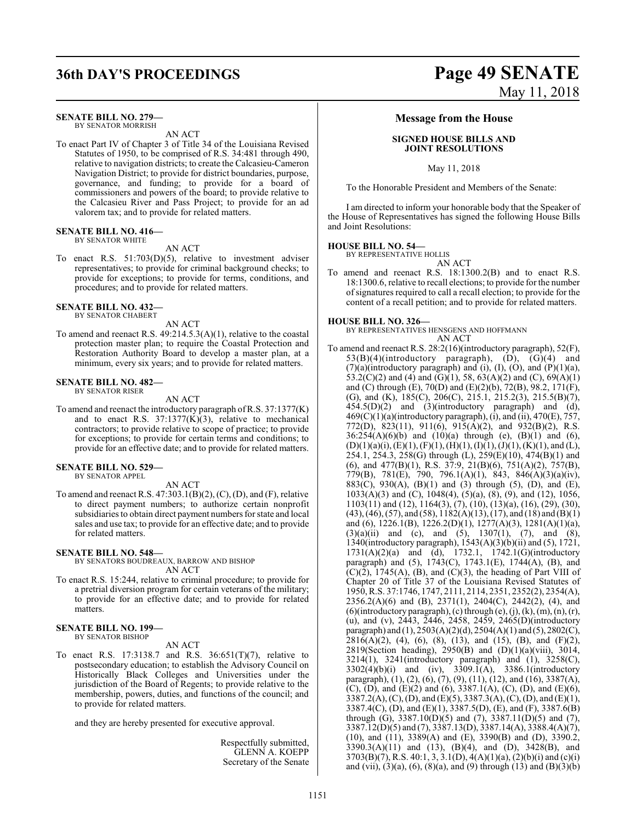#### **SENATE BILL NO. 279—**

BY SENATOR MORRISH AN ACT

To enact Part IV of Chapter 3 of Title 34 of the Louisiana Revised Statutes of 1950, to be comprised of R.S. 34:481 through 490, relative to navigation districts; to create the Calcasieu-Cameron Navigation District; to provide for district boundaries, purpose, governance, and funding; to provide for a board of commissioners and powers of the board; to provide relative to the Calcasieu River and Pass Project; to provide for an ad valorem tax; and to provide for related matters.

#### **SENATE BILL NO. 416—**

BY SENATOR WHITE

#### AN ACT

To enact R.S. 51:703(D)(5), relative to investment adviser representatives; to provide for criminal background checks; to provide for exceptions; to provide for terms, conditions, and procedures; and to provide for related matters.

#### **SENATE BILL NO. 432—**

BY SENATOR CHABERT

AN ACT To amend and reenact R.S. 49:214.5.3(A)(1), relative to the coastal protection master plan; to require the Coastal Protection and Restoration Authority Board to develop a master plan, at a minimum, every six years; and to provide for related matters.

#### **SENATE BILL NO. 482—** BY SENATOR RISER

AN ACT

To amend and reenact the introductory paragraph ofR.S. 37:1377(K) and to enact R.S.  $37:1377(K)(3)$ , relative to mechanical contractors; to provide relative to scope of practice; to provide for exceptions; to provide for certain terms and conditions; to provide for an effective date; and to provide for related matters.

**SENATE BILL NO. 529—** BY SENATOR APPEL

## AN ACT

To amend and reenact R.S. 47:303.1(B)(2), (C), (D), and (F), relative to direct payment numbers; to authorize certain nonprofit subsidiaries to obtain direct payment numbers for state and local sales and use tax; to provide for an effective date; and to provide for related matters.

#### **SENATE BILL NO. 548—**

BY SENATORS BOUDREAUX, BARROW AND BISHOP AN ACT

To enact R.S. 15:244, relative to criminal procedure; to provide for a pretrial diversion program for certain veterans of the military; to provide for an effective date; and to provide for related matters.

#### **SENATE BILL NO. 199—** BY SENATOR BISHOP

AN ACT

To enact R.S. 17:3138.7 and R.S. 36:651(T)(7), relative to postsecondary education; to establish the Advisory Council on Historically Black Colleges and Universities under the jurisdiction of the Board of Regents; to provide relative to the membership, powers, duties, and functions of the council; and to provide for related matters.

and they are hereby presented for executive approval.

Respectfully submitted, GLENN A. KOEPP Secretary of the Senate

## **36th DAY'S PROCEEDINGS Page 49 SENATE** May 11, 2018

#### **Message from the House**

#### **SIGNED HOUSE BILLS AND JOINT RESOLUTIONS**

May 11, 2018

To the Honorable President and Members of the Senate:

I am directed to inform your honorable body that the Speaker of the House of Representatives has signed the following House Bills and Joint Resolutions:

#### **HOUSE BILL NO. 54—**

BY REPRESENTATIVE HOLLIS

- AN ACT
- To amend and reenact R.S. 18:1300.2(B) and to enact R.S. 18:1300.6, relative to recall elections; to provide for the number ofsignatures required to call a recall election; to provide for the content of a recall petition; and to provide for related matters.

#### **HOUSE BILL NO. 326—**

BY REPRESENTATIVES HENSGENS AND HOFFMANN AN ACT

To amend and reenact R.S. 28:2(16)(introductory paragraph), 52(F),  $53(B)(4)$ (introductory paragraph), (D), (G)(4) and  $(7)(a)$ (introductory paragraph) and (i), (I), (O), and (P)(1)(a), 53.2(C)(2) and (4) and (G)(1), 58, 63(A)(2) and (C), 69(A)(1) and (C) through (E), 70(D) and (E)(2)(b), 72(B), 98.2, 171(F), (G), and (K), 185(C), 206(C), 215.1, 215.2(3), 215.5(B)(7), 454.5(D)(2) and (3)(introductory paragraph) and (d),  $469(C)(1)(a)$ (introductory paragraph), (i), and (ii),  $470(E)$ ,  $757$ , 772(D), 823(11), 911(6), 915(A)(2), and 932(B)(2), R.S.  $36:254(A)(6)(b)$  and  $(10)(a)$  through (e),  $(B)(1)$  and  $(6)$ ,  $(D)(1)(a)(i), (E)(1), (F)(1), (H)(1), (I)(1), (J)(1), (K)(1),$  and (L), 254.1, 254.3, 258(G) through (L), 259(E)(10), 474(B)(1) and (6), and 477(B)(1), R.S. 37:9, 21(B)(6), 751(A)(2), 757(B), 779(B), 781(E), 790, 796.1(A)(1), 843, 846(A)(3)(a)(iv), 883(C), 930(A), (B)(1) and (3) through (5), (D), and (E), 1033(A)(3) and (C), 1048(4), (5)(a), (8), (9), and (12), 1056, 1103(11) and (12), 1164(3), (7), (10), (13)(a), (16), (29), (30), (43), (46), (57), and (58),  $1182(A)(13)$ , (17), and (18) and (B)(1) and (6), 1226.1(B), 1226.2(D)(1), 1277(A)(3), 1281(A)(1)(a), (3)(a)(ii) and (c), and (5), 1307(1), (7), and (8), 1340(introductory paragraph), 1543(A)(3)(b)(ii) and (5), 1721, 1731(A)(2)(a) and (d), 1732.1, 1742.1(G)(introductory paragraph) and (5),  $1743(C)$ ,  $1743.1(E)$ ,  $1744(A)$ , (B), and  $(C)(2)$ , 1745 $(A)$ ,  $(B)$ , and  $(C)(3)$ , the heading of Part VIII of Chapter 20 of Title 37 of the Louisiana Revised Statutes of 1950, R.S. 37:1746, 1747, 2111, 2114, 2351, 2352(2), 2354(A), 2356.2(A)(6) and (B), 2371(1), 2404(C), 2442(2), (4), and  $(6)$ (introductory paragraph),  $(c)$  through  $(e)$ ,  $(j)$ ,  $(k)$ ,  $(m)$ ,  $(n)$ ,  $(r)$ , (u), and (v), 2443, 2446, 2458, 2459, 2465(D)(introductory paragraph) and (1), 2503(A)(2)(d), 2504(A)(1) and (5), 2802(C),  $2816(A)(2)$ , (4), (6), (8), (13), and (15), (B), and (F)(2), 2819(Section heading), 2950(B) and  $(D)(1)(a)(viii)$ , 3014, 3214(1), 3241(introductory paragraph) and (1), 3258(C), 3302(4)(b)(i) and (iv), 3309.1(A), 3386.1(introductory paragraph), (1), (2), (6), (7), (9), (11), (12), and (16), 3387(A), (C), (D), and (E)(2) and (6), 3387.1(A), (C), (D), and (E)(6), 3387.2(A), (C), (D), and (E)(5), 3387.3(A), (C), (D), and (E)(1), 3387.4(C), (D), and (E)(1), 3387.5(D), (E), and (F), 3387.6(B) through (G), 3387.10(D)(5) and (7), 3387.11(D)(5) and (7), 3387.12(D)(5) and (7), 3387.13(D), 3387.14(A), 3388.4(A)(7), (10), and (11), 3389(A) and (E), 3390(B) and (D), 3390.2, 3390.3(A)(11) and (13), (B)(4), and (D), 3428(B), and 3703(B)(7), R.S. 40:1, 3, 3.1(D), 4(A)(1)(a), (2)(b)(i) and (c)(i) and (vii),  $(3)(a)$ ,  $(6)$ ,  $(8)(a)$ , and  $(9)$  through  $(13)$  and  $(B)(3)(b)$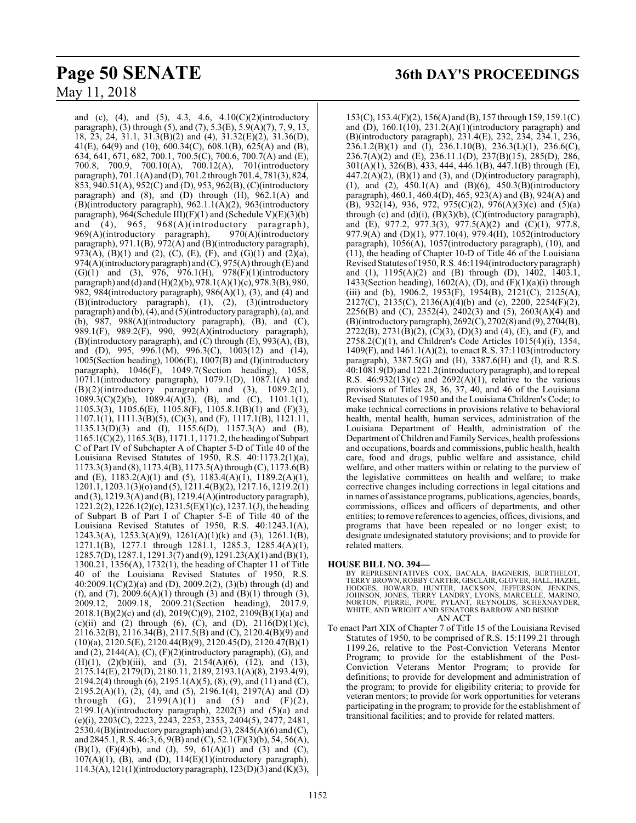and (c), (4), and (5), 4.3, 4.6,  $4.10(C)(2)(introductory)$ paragraph), (3) through (5), and (7), 5.3(E), 5.9(A)(7), 7, 9, 13, 18, 23, 24, 31.1, 31.3(B)(2) and (4),  $31.32(E)(2)$ ,  $31.36(D)$ , 41(E), 64(9) and (10), 600.34(C), 608.1(B), 625(A) and (B), 634, 641, 671, 682, 700.1, 700.5(C), 700.6, 700.7(A) and (E), 700.8, 700.9, 700.10(A), 700.12(A), 701(introductory paragraph),  $701.1(A)$  and  $(D)$ ,  $701.2$  through  $701.4$ ,  $781(3)$ ,  $824$ , 853, 940.51(A), 952(C) and (D), 953, 962(B), (C)(introductory paragraph) and (8), and (D) through (H), 962.1(A) and (B)(introductory paragraph), 962.1.1(A)(2), 963(introductory paragraph), 964(Schedule III)(F)(1) and (Schedule V)(E)(3)(b) and (4), 965, 968(A)(introductory paragraph), 969(A)(introductory paragraph), 970(A)(introductory paragraph), 971.1(B), 972(A) and (B)(introductory paragraph), 973(A), (B)(1) and (2), (C), (E), (F), and (G)(1) and (2)(a), 974(A)(introductoryparagraph) and (C), 975(A) through (E) and (G)(1) and (3), 976, 976.1(H), 978(F)(1)(introductory paragraph) and (d) and (H)(2)(b), 978.1(A)(1)(c), 978.3(B), 980, 982, 984(introductory paragraph), 986(A)(1), (3), and (4) and (B)(introductory paragraph), (1), (2), (3)(introductory paragraph) and (b), (4), and (5)(introductory paragraph), (a), and (b),  $987$ ,  $988(A)$ (introductory paragraph), (B), and (C), 989.1(F), 989.2(F), 990, 992(A)(introductory paragraph), (B)(introductory paragraph), and (C) through (E), 993(A), (B), and (D), 995, 996.1(M), 996.3(C), 1003(12) and (14), 1005(Section heading), 1006(E), 1007(B) and (I)(introductory paragraph), 1046(F), 1049.7(Section heading), 1058, 1071.1(introductory paragraph), 1079.1(D), 1087.1(A) and  $(B)(2)$ (introductory paragraph) and  $(3)$ , 1089.2(1), 1089.3(C)(2)(b), 1089.4(A)(3), (B), and (C), 1101.1(1), 1105.3(3), 1105.6(E), 1105.8(F), 1105.8.1(B)(1) and (F)(3), 1107.1(1), 1111.3(B)(5), (C)(3), and (F), 1117.1(B), 1121.11, 1135.13(D)(3) and (I), 1155.6(D), 1157.3(A) and (B), 1165.1(C)(2), 1165.3(B), 1171.1, 1171.2, the heading ofSubpart C of Part IV of Subchapter A of Chapter 5-D of Title 40 of the Louisiana Revised Statutes of 1950, R.S. 40:1173.2(1)(a), 1173.3(3) and (8), 1173.4(B), 1173.5(A)through (C), 1173.6(B) and (E), 1183.2(A)(1) and (5), 1183.4(A)(1), 1189.2(A)(1), 1201.1, 1203.1(3)(o) and (5), 1211.4(B)(2), 1217.16, 1219.2(1) and (3),  $1219.3(A)$  and (B),  $1219.4(A)$ (introductory paragraph), 1221.2(2), 1226.1(2)(c), 1231.5(E)(1)(c), 1237.1(J), the heading of Subpart B of Part I of Chapter 5-E of Title 40 of the Louisiana Revised Statutes of 1950, R.S. 40:1243.1(A), 1243.3(A), 1253.3(A)(9), 1261(A)(1)(k) and (3), 1261.1(B), 1271.1(B), 1277.1 through 1281.1, 1285.3, 1285.4(A)(1), 1285.7(D), 1287.1, 1291.3(7) and (9), 1291.23(A)(1) and (B)(1), 1300.21, 1356(A), 1732(1), the heading of Chapter 11 of Title 40 of the Louisiana Revised Statutes of 1950, R.S. 40:2009.1(C)(2)(a) and (D), 2009.2(2), (3)(b) through (d) and (f), and (7), 2009.6(A)(1) through (3) and (B)(1) through (3), 2009.12, 2009.18, 2009.21(Section heading), 2017.9, 2018.1(B)(2)(c) and (d), 2019(C)(9), 2102, 2109(B)(1)(a) and (c)(ii) and (2) through (6), (C), and (D),  $2116(D)(1)(c)$ ,  $2116.32(B), 2116.34(B), 2117.5(B)$  and (C),  $2120.4(B)(9)$  and (10)(a), 2120.5(E), 2120.44(B)(9), 2120.45(D), 2120.47(B)(1) and  $(2)$ ,  $2144(A)$ ,  $(C)$ ,  $(F)(2)$ (introductory paragraph),  $(G)$ , and (H)(1), (2)(b)(iii), and (3), 2154(A)(6), (12), and (13), 2175.14(E), 2179(D), 2180.11, 2189, 2193.1(A)(8), 2193.4(9), 2194.2(4) through (6), 2195.1(A)(5), (8), (9), and (11) and (C), 2195.2(A)(1), (2), (4), and (5), 2196.1(4), 2197(A) and (D) through (G), 2199(A)(1) and (5) and (F)(2), 2199.1(A)(introductory paragraph), 2202(3) and (5)(a) and (e)(i), 2203(C), 2223, 2243, 2253, 2353, 2404(5), 2477, 2481, 2530.4(B)(introductory paragraph) and (3),  $2845(A)(6)$  and (C), and 2845.1, R.S. 46:3, 6, 9(B) and (C), 52.1(F)(3)(b), 54, 56(A), (B)(1), (F)(4)(b), and (J), 59,  $61(A)(1)$  and (3) and (C),  $107(A)(1)$ , (B), and (D),  $114(E)(1)$ (introductory paragraph), 114.3(A), 121(1)(introductoryparagraph), 123(D)(3) and (K)(3),

## **Page 50 SENATE 36th DAY'S PROCEEDINGS**

153(C), 153.4(F)(2), 156(A) and (B), 157 through 159, 159.1(C) and (D), 160.1(10), 231.2(A)(1)(introductory paragraph) and (B)(introductory paragraph), 231.4(E), 232, 234, 234.1, 236,  $236.1.2(B)(1)$  and  $(I), 236.1.10(B), 236.3(L)(1), 236.6(C),$ 236.7(A)(2) and (E), 236.11.1(D), 237(B)(15), 285(D), 286, 301(A)(1), 326(B), 433, 444, 446.1(B), 447.1(B) through (E),  $447.2(A)(2)$ ,  $(B)(1)$  and  $(3)$ , and  $(D)(introductory paragraph)$ , (1), and (2), 450.1(A) and (B)(6), 450.3(B)(introductory paragraph),  $\overline{460.1}$ ,  $\overline{460.4}$ (D),  $\overline{465}$ ,  $\overline{923}$ (A) and (B),  $\overline{924}$ (A) and (B), 932(14), 936, 972, 975(C)(2), 976(A)(3)(c) and (5)(a) through (c) and (d)(i), (B)(3)(b), (C)(introductory paragraph), and  $(E)$ , 977.2, 977.3(3), 977.5(A)(2) and  $(C)(1)$ , 977.8, 977.9(A) and (D)(1), 977.10(4), 979.4(H), 1052(introductory paragraph), 1056(A), 1057(introductory paragraph), (10), and (11), the heading of Chapter 10-D of Title 46 of the Louisiana Revised Statutes of 1950, R.S. 46:1194(introductory paragraph) and (1), 1195(A)(2) and (B) through (D), 1402, 1403.1, 1433(Section heading), 1602(A), (D), and  $(F)(1)(a)(i)$  through (iii) and (b), 1906.2, 1953(F), 1954(B), 2121(C), 2125(A), 2127(C), 2135(C), 2136(A)(4)(b) and (c), 2200, 2254(F)(2), 2256(B) and (C), 2352(4), 2402(3) and (5), 2603(A)(4) and (B)(introductory paragraph), 2692(C), 2702(8) and (9), 2704(B), 2722(B), 2731(B)(2), (C)(3), (D)(3) and (4), (E), and (F), and 2758.2(C)(1), and Children's Code Articles 1015(4)(i), 1354, 1409(F), and 1461.1(A)(2), to enact R.S. 37:1103(introductory paragraph), 3387.5(G) and (H), 3387.6(H) and (I), and R.S. 40:1081.9(D) and 1221.2(introductory paragraph), and to repeal R.S.  $46:932(13)(c)$  and  $2692(A)(1)$ , relative to the various provisions of Titles 28, 36, 37, 40, and 46 of the Louisiana Revised Statutes of 1950 and the Louisiana Children's Code; to make technical corrections in provisions relative to behavioral health, mental health, human services, administration of the Louisiana Department of Health, administration of the Department of Children and Family Services, health professions and occupations, boards and commissions, public health, health care, food and drugs, public welfare and assistance, child welfare, and other matters within or relating to the purview of the legislative committees on health and welfare; to make corrective changes including corrections in legal citations and in names of assistance programs, publications, agencies, boards, commissions, offices and officers of departments, and other entities; to remove references to agencies, offices, divisions, and programs that have been repealed or no longer exist; to designate undesignated statutory provisions; and to provide for related matters.

### **HOUSE BILL NO. 394—**

BY REPRESENTATIVES COX, BACALA, BAGNERIS, BERTHELOT, TERRY BROWN, ROBBY CARTER, GISCLAIR, GLOVER, HALL, HAZEL, HODGES, HOWARD, HUNTER, JACKSON, JEFFERSON, JENKINS,<br>JOHNSON, JONES, TERRY LANDRY, LYONS, MARCELLE, MARINO,<br>NORTON, PIERRE, POPE, PYLANT, REYNOLDS, SCHEXNAYDER,<br>WHITE, AND WRIGHT AND SENATORS BARROW AND BISHOP

AN ACT

To enact Part XIX of Chapter 7 of Title 15 of the Louisiana Revised Statutes of 1950, to be comprised of R.S. 15:1199.21 through 1199.26, relative to the Post-Conviction Veterans Mentor Program; to provide for the establishment of the Post-Conviction Veterans Mentor Program; to provide for definitions; to provide for development and administration of the program; to provide for eligibility criteria; to provide for veteran mentors; to provide for work opportunities for veterans participating in the program; to provide for the establishment of transitional facilities; and to provide for related matters.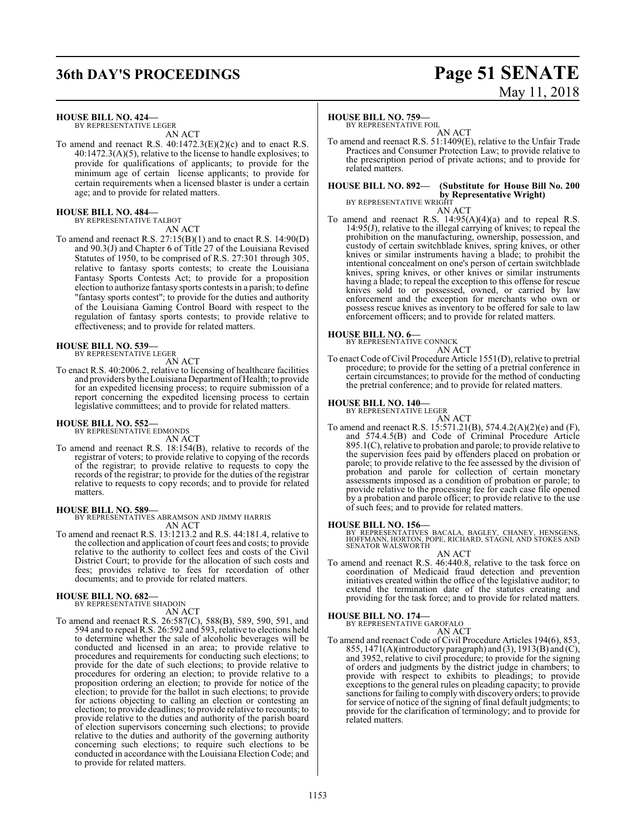## **36th DAY'S PROCEEDINGS Page 51 SENATE**

#### **HOUSE BILL NO. 424—**

BY REPRESENTATIVE LEGER AN ACT

To amend and reenact R.S. 40:1472.3(E)(2)(c) and to enact R.S. 40:1472.3(A)(5), relative to the license to handle explosives; to provide for qualifications of applicants; to provide for the minimum age of certain license applicants; to provide for certain requirements when a licensed blaster is under a certain age; and to provide for related matters.

#### **HOUSE BILL NO. 484—** BY REPRESENTATIVE TALBOT

AN ACT

To amend and reenact R.S. 27:15(B)(1) and to enact R.S. 14:90(D) and 90.3(J) and Chapter 6 of Title 27 of the Louisiana Revised Statutes of 1950, to be comprised of R.S. 27:301 through 305, relative to fantasy sports contests; to create the Louisiana Fantasy Sports Contests Act; to provide for a proposition election to authorize fantasy sports contests in a parish; to define "fantasy sports contest"; to provide for the duties and authority of the Louisiana Gaming Control Board with respect to the regulation of fantasy sports contests; to provide relative to effectiveness; and to provide for related matters.

## **HOUSE BILL NO. 539—** BY REPRESENTATIVE LEGER

AN ACT

To enact R.S. 40:2006.2, relative to licensing of healthcare facilities and providers by the Louisiana Department of Health; to provide for an expedited licensing process; to require submission of a report concerning the expedited licensing process to certain legislative committees; and to provide for related matters.

## **HOUSE BILL NO. 552—** BY REPRESENTATIVE EDMONDS

AN ACT

To amend and reenact R.S. 18:154(B), relative to records of the registrar of voters; to provide relative to copying of the records of the registrar; to provide relative to requests to copy the records of the registrar; to provide for the duties of the registrar relative to requests to copy records; and to provide for related matters.

#### **HOUSE BILL NO. 589—**

BY REPRESENTATIVES ABRAMSON AND JIMMY HARRIS AN ACT

To amend and reenact R.S. 13:1213.2 and R.S. 44:181.4, relative to the collection and application of court fees and costs; to provide relative to the authority to collect fees and costs of the Civil District Court; to provide for the allocation of such costs and fees; provides relative to fees for recordation of other documents; and to provide for related matters.

## **HOUSE BILL NO. 682—** BY REPRESENTATIVE SHADOIN

AN ACT

To amend and reenact R.S. 26:587(C), 588(B), 589, 590, 591, and 594 and to repeal R.S. 26:592 and 593, relative to elections held to determine whether the sale of alcoholic beverages will be conducted and licensed in an area; to provide relative to procedures and requirements for conducting such elections; to provide for the date of such elections; to provide relative to procedures for ordering an election; to provide relative to a proposition ordering an election; to provide for notice of the election; to provide for the ballot in such elections; to provide for actions objecting to calling an election or contesting an election; to provide deadlines; to provide relative to recounts; to provide relative to the duties and authority of the parish board of election supervisors concerning such elections; to provide relative to the duties and authority of the governing authority concerning such elections; to require such elections to be conducted in accordance with the Louisiana Election Code; and to provide for related matters.

# May 11, 2018

#### **HOUSE BILL NO. 759—**

BY REPRESENTATIVE FOIL AN ACT

To amend and reenact R.S. 51:1409(E), relative to the Unfair Trade Practices and Consumer Protection Law; to provide relative to the prescription period of private actions; and to provide for related matters.

#### **HOUSE BILL NO. 892— (Substitute for House Bill No. 200 by Representative Wright)** BY REPRESENTATIVE WRIGHT

AN ACT

To amend and reenact R.S. 14:95(A)(4)(a) and to repeal R.S. 14:95(J), relative to the illegal carrying of knives; to repeal the prohibition on the manufacturing, ownership, possession, and custody of certain switchblade knives, spring knives, or other knives or similar instruments having a blade; to prohibit the intentional concealment on one's person of certain switchblade knives, spring knives, or other knives or similar instruments having a blade; to repeal the exception to this offense for rescue knives sold to or possessed, owned, or carried by law enforcement and the exception for merchants who own or possess rescue knives as inventory to be offered for sale to law enforcement officers; and to provide for related matters.

## **HOUSE BILL NO. 6—** BY REPRESENTATIVE CONNICK



To enact Code ofCivil Procedure Article 1551(D), relative to pretrial procedure; to provide for the setting of a pretrial conference in certain circumstances; to provide for the method of conducting the pretrial conference; and to provide for related matters.

#### **HOUSE BILL NO. 140—** BY REPRESENTATIVE LEGER

AN ACT To amend and reenact R.S. 15:571.21(B), 574.4.2(A)(2)(e) and (F), and 574.4.5(B) and Code of Criminal Procedure Article 895.1(C), relative to probation and parole; to provide relative to the supervision fees paid by offenders placed on probation or parole; to provide relative to the fee assessed by the division of probation and parole for collection of certain monetary assessments imposed as a condition of probation or parole; to provide relative to the processing fee for each case file opened by a probation and parole officer; to provide relative to the use of such fees; and to provide for related matters.

#### **HOUSE BILL NO. 156—**

BY REPRESENTATIVES BACALA, BAGLEY, CHANEY, HENSGENS,<br>HOFFMANN, HORTON, POPE, RICHARD, STAGNI, AND STOKES AND<br>SENATOR WALSWORTH

- AN ACT
- To amend and reenact R.S. 46:440.8, relative to the task force on coordination of Medicaid fraud detection and prevention initiatives created within the office of the legislative auditor; to extend the termination date of the statutes creating and providing for the task force; and to provide for related matters.

## **HOUSE BILL NO. 174—** BY REPRESENTATIVE GAROFALO

AN ACT

To amend and reenact Code of Civil Procedure Articles 194(6), 853, 855, 1471(A)(introductory paragraph) and (3), 1913(B) and (C), and 3952, relative to civil procedure; to provide for the signing of orders and judgments by the district judge in chambers; to provide with respect to exhibits to pleadings; to provide exceptions to the general rules on pleading capacity; to provide sanctions for failing to comply with discovery orders; to provide for service of notice of the signing of final default judgments; to provide for the clarification of terminology; and to provide for related matters.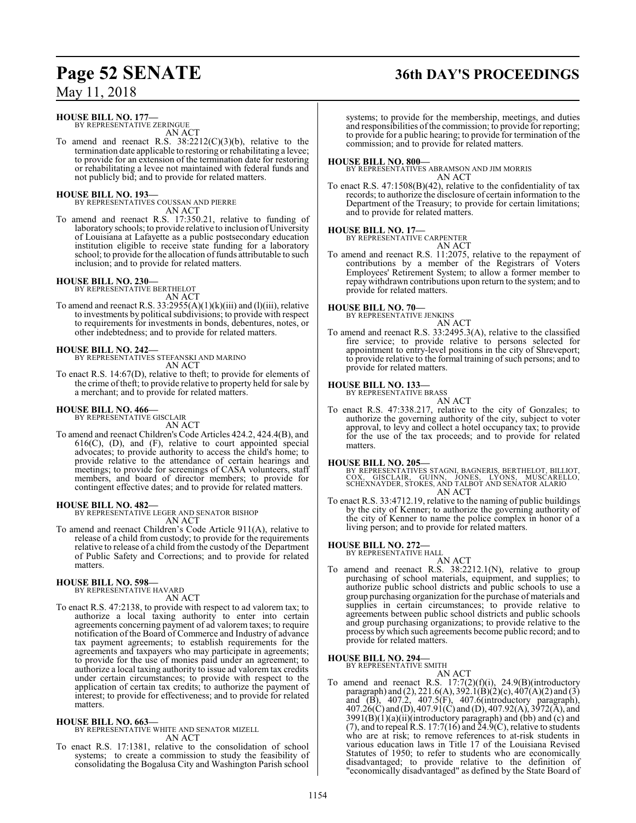#### **HOUSE BILL NO. 177—**

BY REPRESENTATIVE ZERINGUE AN ACT

To amend and reenact R.S.  $38:2212(C)(3)(b)$ , relative to the termination date applicable to restoring or rehabilitating a levee; to provide for an extension of the termination date for restoring or rehabilitating a levee not maintained with federal funds and not publicly bid; and to provide for related matters.

#### **HOUSE BILL NO. 193—**

BY REPRESENTATIVES COUSSAN AND PIERRE AN ACT

To amend and reenact R.S. 17:350.21, relative to funding of laboratory schools; to provide relative to inclusion of University of Louisiana at Lafayette as a public postsecondary education institution eligible to receive state funding for a laboratory school; to provide for the allocation of funds attributable to such inclusion; and to provide for related matters.

#### **HOUSE BILL NO. 230—**

BY REPRESENTATIVE BERTHELOT AN ACT

To amend and reenact R.S.  $33:2955(A)(1)(k)(iii)$  and (1)(iii), relative to investments by political subdivisions; to provide with respect to requirements for investments in bonds, debentures, notes, or other indebtedness; and to provide for related matters.

**HOUSE BILL NO. 242—** BY REPRESENTATIVES STEFANSKI AND MARINO AN ACT

To enact R.S. 14:67(D), relative to theft; to provide for elements of the crime of theft; to provide relative to property held for sale by a merchant; and to provide for related matters.

## **HOUSE BILL NO. 466—** BY REPRESENTATIVE GISCLAIR

AN ACT

To amend and reenact Children's Code Articles 424.2, 424.4(B), and  $616(C)$ ,  $(D)$ , and  $(F)$ , relative to court appointed special advocates; to provide authority to access the child's home; to provide relative to the attendance of certain hearings and meetings; to provide for screenings of CASA volunteers, staff members, and board of director members; to provide for contingent effective dates; and to provide for related matters.

#### **HOUSE BILL NO. 482—**

BY REPRESENTATIVE LEGER AND SENATOR BISHOP AN ACT

To amend and reenact Children's Code Article 911(A), relative to release of a child from custody; to provide for the requirements relative to release of a child from the custody of the Department of Public Safety and Corrections; and to provide for related matters.

## **HOUSE BILL NO. 598—** BY REPRESENTATIVE HAVARD

- AN ACT
- To enact R.S. 47:2138, to provide with respect to ad valorem tax; to authorize a local taxing authority to enter into certain agreements concerning payment of ad valorem taxes; to require notification of the Board of Commerce and Industry of advance tax payment agreements; to establish requirements for the agreements and taxpayers who may participate in agreements; to provide for the use of monies paid under an agreement; to authorize a local taxing authority to issue ad valorem tax credits under certain circumstances; to provide with respect to the application of certain tax credits; to authorize the payment of interest; to provide for effectiveness; and to provide for related matters.

**HOUSE BILL NO. 663—** BY REPRESENTATIVE WHITE AND SENATOR MIZELL AN ACT

To enact R.S. 17:1381, relative to the consolidation of school systems; to create a commission to study the feasibility of consolidating the Bogalusa City and Washington Parish school

systems; to provide for the membership, meetings, and duties and responsibilities of the commission; to provide for reporting; to provide for a public hearing; to provide for termination of the commission; and to provide for related matters.

#### **HOUSE BILL NO. 800—**

BY REPRESENTATIVES ABRAMSON AND JIM MORRIS AN ACT

To enact R.S. 47:1508(B)(42), relative to the confidentiality of tax records; to authorize the disclosure of certain information to the Department of the Treasury; to provide for certain limitations; and to provide for related matters.

#### **HOUSE BILL NO. 17—**

BY REPRESENTATIVE CARPENTER AN ACT

To amend and reenact R.S. 11:2075, relative to the repayment of contributions by a member of the Registrars of Voters Employees' Retirement System; to allow a former member to repay withdrawn contributions upon return to the system; and to provide for related matters.

#### **HOUSE BILL NO. 70—**

BY REPRESENTATIVE JENKINS AN ACT

To amend and reenact R.S. 33:2495.3(A), relative to the classified fire service; to provide relative to persons selected for appointment to entry-level positions in the city of Shreveport; to provide relative to the formal training of such persons; and to provide for related matters.

#### **HOUSE BILL NO. 133—**

BY REPRESENTATIVE BRASS AN ACT

To enact R.S. 47:338.217, relative to the city of Gonzales; to authorize the governing authority of the city, subject to voter approval, to levy and collect a hotel occupancy tax; to provide for the use of the tax proceeds; and to provide for related matters.

#### **HOUSE BILL NO. 205—**

BY REPRESENTATIVES STAGNI, BAGNERIS, BERTHELOT, BILLIOT,<br>COX, GISCLAIR, GUINN, JONES, LYONS, MUSCARELLO,<br>SCHEXNAYDER, STOKES, AND TALBOT AND SENATOR ALARIO AN ACT

To enact R.S. 33:4712.19, relative to the naming of public buildings by the city of Kenner; to authorize the governing authority of the city of Kenner to name the police complex in honor of a living person; and to provide for related matters.

#### **HOUSE BILL NO. 272—** BY REPRESENTATIVE HALL

AN ACT

To amend and reenact R.S. 38:2212.1(N), relative to group purchasing of school materials, equipment, and supplies; to authorize public school districts and public schools to use a group purchasing organization for the purchase of materials and supplies in certain circumstances; to provide relative to agreements between public school districts and public schools and group purchasing organizations; to provide relative to the process by which such agreements become public record; and to provide for related matters.

**HOUSE BILL NO. 294—** BY REPRESENTATIVE SMITH

AN ACT

To amend and reenact R.S.  $17:7(2)(f)(i)$ ,  $24.9(B)(introductory)$ paragraph) and (2), 221.6(A), 392.1(B)(2)(c), 407(A)(2) and (3) and (B), 407.2, 407.5(F), 407.6(introductory paragraph), 407.26(C) and (D), 407.91(C) and (D), 407.92(A), 3972(A), and  $3991(B)(1)(a)(ii)(introductory paragraph)$  and  $(bb)$  and  $(c)$  and (7), and to repeal R.S. 17:7(16) and  $24.9$ (C), relative to students who are at risk; to remove references to at-risk students in various education laws in Title 17 of the Louisiana Revised Statutes of 1950; to refer to students who are economically disadvantaged; to provide relative to the definition of "economically disadvantaged" as defined by the State Board of

## **Page 52 SENATE 36th DAY'S PROCEEDINGS**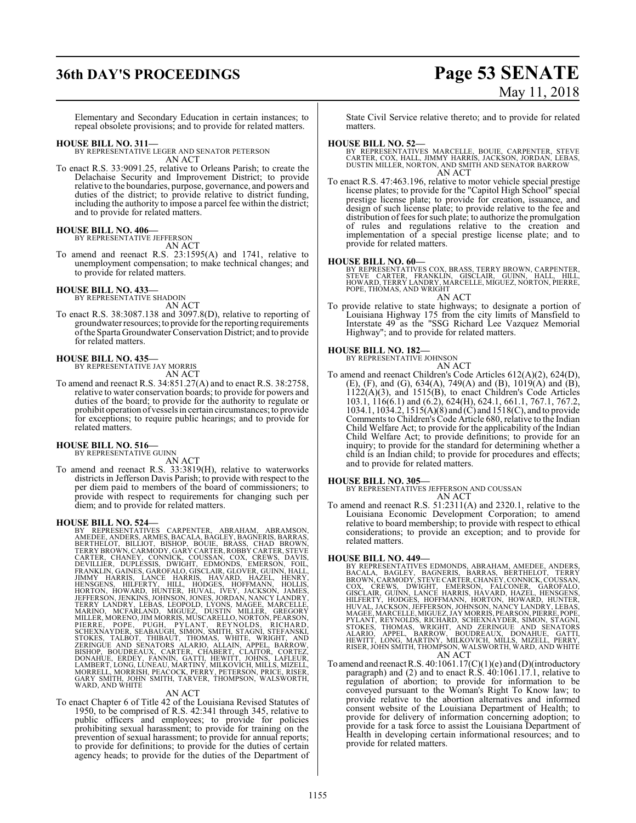## **36th DAY'S PROCEEDINGS Page 53 SENATE**

# May 11, 2018

Elementary and Secondary Education in certain instances; to repeal obsolete provisions; and to provide for related matters.

#### **HOUSE BILL NO. 311—**

BY REPRESENTATIVE LEGER AND SENATOR PETERSON AN ACT

To enact R.S. 33:9091.25, relative to Orleans Parish; to create the Delachaise Security and Improvement District; to provide relative to the boundaries, purpose, governance, and powers and duties of the district; to provide relative to district funding, including the authority to impose a parcel fee within the district; and to provide for related matters.

#### **HOUSE BILL NO. 406—**

BY REPRESENTATIVE JEFFERSON AN ACT

To amend and reenact R.S. 23:1595(A) and 1741, relative to unemployment compensation; to make technical changes; and to provide for related matters.

**HOUSE BILL NO. 433—** BY REPRESENTATIVE SHADOIN

AN ACT

To enact R.S. 38:3087.138 and 3097.8(D), relative to reporting of groundwater resources;to provide for the reporting requirements ofthe Sparta Groundwater Conservation District; and to provide for related matters.

#### **HOUSE BILL NO. 435—**

BY REPRESENTATIVE JAY MORRIS AN ACT

To amend and reenact R.S. 34:851.27(A) and to enact R.S. 38:2758, relative to water conservation boards; to provide for powers and duties of the board; to provide for the authority to regulate or prohibit operation ofvessels in certain circumstances; to provide for exceptions; to require public hearings; and to provide for

## related matters. **HOUSE BILL NO. 516—** BY REPRESENTATIVE GUINN

AN ACT To amend and reenact R.S. 33:3819(H), relative to waterworks districts in Jefferson Davis Parish; to provide with respect to the per diem paid to members of the board of commissioners; to provide with respect to requirements for changing such per diem; and to provide for related matters.

#### **HOUSE BILL NO. 524—**

BY REPRESENTATIVES CARPENTER, ABRAHAM, ABRAMSON,<br>AMEDEE, ANDERS, ARMES, BACALA, BAGLEY, BAGVERIS, BARRAS,<br>BERTHELOT, BILLIOT, BISHOP, BOUIE, BRASS, CHAD BROWN,<br>CARTYBROWN, CARMODY, GARY CARTER, ROBBY CARTER, STEVE<br>CARTER,

#### AN ACT

To enact Chapter 6 of Title 42 of the Louisiana Revised Statutes of 1950, to be comprised of R.S. 42:341 through 345, relative to public officers and employees; to provide for policies prohibiting sexual harassment; to provide for training on the prevention of sexual harassment; to provide for annual reports; to provide for definitions; to provide for the duties of certain agency heads; to provide for the duties of the Department of

State Civil Service relative thereto; and to provide for related matters.

#### **HOUSE BILL NO. 52—**

BY REPRESENTATIVES MARCELLE, BOUIE, CARPENTER, STEVE<br>CARTER, COX, HALL, JIMMY HARRIS, JACKSON, JORDAN, LEBAS,<br>DUSTIN MILLER, NORTON, AND SMITH AND SENATOR BARROW AN ACT

To enact R.S. 47:463.196, relative to motor vehicle special prestige license plates; to provide for the "Capitol High School" special prestige license plate; to provide for creation, issuance, and design of such license plate; to provide relative to the fee and distribution of fees for such plate; to authorize the promulgation of rules and regulations relative to the creation and implementation of a special prestige license plate; and to provide for related matters.

#### **HOUSE BILL NO. 60—**

BY REPRESENTATIVES COX, BRASS, TERRY BROWN, CARPENTER,<br>STEVE CARTER, FRANKLIN, GISCLAIR, GUINN, HALL, HILL,<br>HOWARD, TERRY LANDRY, MARCELLE, MIGUEZ, NORTON, PIERRE,<br>POPE, THOMAS, AND WRIGHT

AN ACT

To provide relative to state highways; to designate a portion of Louisiana Highway 175 from the city limits of Mansfield to Interstate 49 as the "SSG Richard Lee Vazquez Memorial Highway"; and to provide for related matters.

#### **HOUSE BILL NO. 182—**

BY REPRESENTATIVE JOHNSON AN ACT

To amend and reenact Children's Code Articles 612(A)(2), 624(D), (E), (F), and (G), 634(A), 749(A) and (B), 1019(A) and (B),  $1122(A)(3)$ , and  $1515(B)$ , to enact Children's Code Articles 103.1, 116(6.1) and (6.2), 624(H), 624.1, 661.1, 767.1, 767.2, 1034.1, 1034.2, 1515(A)(8) and (C) and 1518(C), and to provide Comments to Children's Code Article 680, relative to the Indian Child Welfare Act; to provide for the applicability of the Indian Child Welfare Act; to provide definitions; to provide for an inquiry; to provide for the standard for determining whether a child is an Indian child; to provide for procedures and effects; and to provide for related matters.

**HOUSE BILL NO. 305—**

BY REPRESENTATIVES JEFFERSON AND COUSSAN AN ACT

To amend and reenact R.S. 51:2311(A) and 2320.1, relative to the Louisiana Economic Development Corporation; to amend relative to board membership; to provide with respect to ethical considerations; to provide an exception; and to provide for related matters.

#### **HOUSE BILL NO. 449—**

- BY REPRESENTATIVES EDMONDS, ABRAHAM, AMEDEE, ANDERS, BACALA, BAGILEY, BAGWERIS, BARAAS, BERTHELOT, TERRY BROWN, CARMODY, STEVE CARTER, CHANEY, CONNICK, COUSSAN, GISCLAIR, GUINN, LANCE HARRIS, HAVARD, HAZCONER, GAROFALO, GE
- To amend and reenact R.S. 40:1061.17(C)(1)(e) and (D)(introductory paragraph) and (2) and to enact R.S. 40:1061.17.1, relative to regulation of abortion; to provide for information to be conveyed pursuant to the Woman's Right To Know law; to provide relative to the abortion alternatives and informed consent website of the Louisiana Department of Health; to provide for delivery of information concerning adoption; to provide for a task force to assist the Louisiana Department of Health in developing certain informational resources; and to provide for related matters.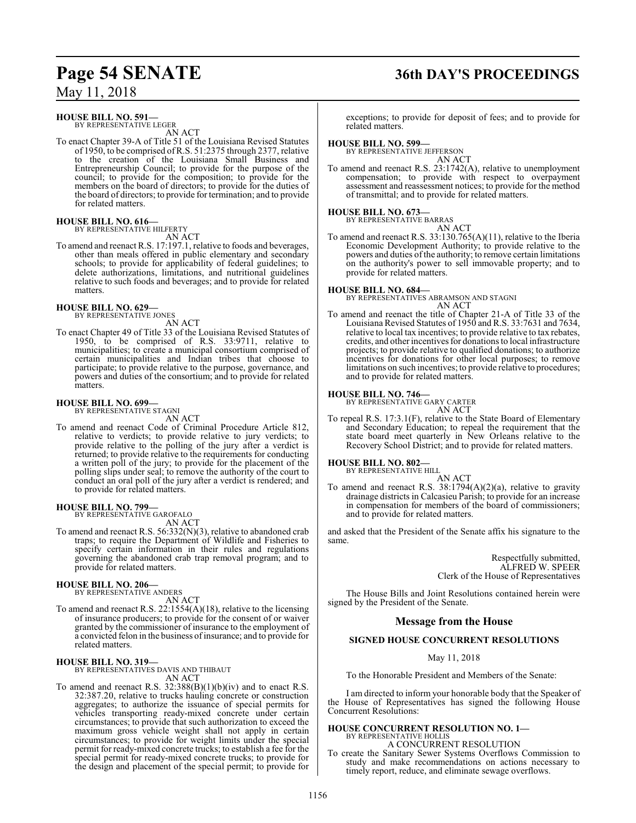#### **HOUSE BILL NO. 591—**

BY REPRESENTATIVE LEGER AN ACT

To enact Chapter 39-A of Title 51 of the Louisiana Revised Statutes of 1950, to be comprised ofR.S. 51:2375 through 2377, relative to the creation of the Louisiana Small Business and Entrepreneurship Council; to provide for the purpose of the council; to provide for the composition; to provide for the members on the board of directors; to provide for the duties of the board of directors; to provide for termination; and to provide for related matters.

#### **HOUSE BILL NO. 616—** BY REPRESENTATIVE HILFERTY

AN ACT

To amend and reenact R.S. 17:197.1, relative to foods and beverages, other than meals offered in public elementary and secondary schools; to provide for applicability of federal guidelines; to delete authorizations, limitations, and nutritional guidelines relative to such foods and beverages; and to provide for related matters.

#### **HOUSE BILL NO. 629—** BY REPRESENTATIVE JONES

AN ACT

To enact Chapter 49 of Title 33 of the Louisiana Revised Statutes of 1950, to be comprised of R.S. 33:9711, relative to municipalities; to create a municipal consortium comprised of certain municipalities and Indian tribes that choose to participate; to provide relative to the purpose, governance, and powers and duties of the consortium; and to provide for related matters.

#### **HOUSE BILL NO. 699—** BY REPRESENTATIVE STAGNI

AN ACT

To amend and reenact Code of Criminal Procedure Article 812, relative to verdicts; to provide relative to jury verdicts; to provide relative to the polling of the jury after a verdict is returned; to provide relative to the requirements for conducting a written poll of the jury; to provide for the placement of the polling slips under seal; to remove the authority of the court to conduct an oral poll of the jury after a verdict is rendered; and to provide for related matters.

**HOUSE BILL NO. 799—** BY REPRESENTATIVE GAROFALO

AN ACT

To amend and reenact R.S. 56:332(N)(3), relative to abandoned crab traps; to require the Department of Wildlife and Fisheries to specify certain information in their rules and regulations governing the abandoned crab trap removal program; and to provide for related matters.

#### **HOUSE BILL NO. 206—** BY REPRESENTATIVE ANDERS

AN ACT

To amend and reenact R.S. 22:1554(A)(18), relative to the licensing of insurance producers; to provide for the consent of or waiver granted by the commissioner of insurance to the employment of a convicted felon in the business ofinsurance; and to provide for related matters.

## **HOUSE BILL NO. 319—** BY REPRESENTATIVES DAVIS AND THIBAUT

AN ACT

To amend and reenact R.S.  $32:388(B)(1)(b)(iv)$  and to enact R.S. 32:387.20, relative to trucks hauling concrete or construction aggregates; to authorize the issuance of special permits for vehicles transporting ready-mixed concrete under certain circumstances; to provide that such authorization to exceed the maximum gross vehicle weight shall not apply in certain circumstances; to provide for weight limits under the special permit for ready-mixed concrete trucks; to establish a fee for the special permit for ready-mixed concrete trucks; to provide for the design and placement of the special permit; to provide for

# **Page 54 SENATE 36th DAY'S PROCEEDINGS**

exceptions; to provide for deposit of fees; and to provide for related matters.

#### **HOUSE BILL NO. 599—**

BY REPRESENTATIVE JEFFERSON AN ACT

To amend and reenact R.S. 23:1742(A), relative to unemployment compensation; to provide with respect to overpayment assessment and reassessment notices; to provide for the method of transmittal; and to provide for related matters.

## **HOUSE BILL NO. 673—** BY REPRESENTATIVE BARRAS

AN ACT To amend and reenact R.S. 33:130.765(A)(11), relative to the Iberia Economic Development Authority; to provide relative to the powers and duties ofthe authority; to remove certain limitations on the authority's power to sell immovable property; and to provide for related matters.

**HOUSE BILL NO. 684—** BY REPRESENTATIVES ABRAMSON AND STAGNI AN ACT

To amend and reenact the title of Chapter 21-A of Title 33 of the Louisiana Revised Statutes of 1950 and R.S. 33:7631 and 7634, relative to local tax incentives; to provide relative to tax rebates, credits, and other incentives for donations to local infrastructure projects; to provide relative to qualified donations; to authorize incentives for donations for other local purposes; to remove limitations on such incentives; to provide relative to procedures; and to provide for related matters.

#### **HOUSE BILL NO. 746—**

BY REPRESENTATIVE GARY CARTER

AN ACT To repeal R.S. 17:3.1(F), relative to the State Board of Elementary and Secondary Education; to repeal the requirement that the state board meet quarterly in New Orleans relative to the Recovery School District; and to provide for related matters.

#### **HOUSE BILL NO. 802—**

BY REPRESENTATIVE HILL

AN ACT To amend and reenact R.S. 38:1794(A)(2)(a), relative to gravity drainage districts in Calcasieu Parish; to provide for an increase in compensation for members of the board of commissioners; and to provide for related matters.

and asked that the President of the Senate affix his signature to the same.

> Respectfully submitted, ALFRED W. SPEER Clerk of the House of Representatives

The House Bills and Joint Resolutions contained herein were signed by the President of the Senate.

### **Message from the House**

### **SIGNED HOUSE CONCURRENT RESOLUTIONS**

May 11, 2018

To the Honorable President and Members of the Senate:

I am directed to inform your honorable body that the Speaker of the House of Representatives has signed the following House Concurrent Resolutions:

## **HOUSE CONCURRENT RESOLUTION NO. 1—**

BY REPRESENTATIVE HOLLIS A CONCURRENT RESOLUTION

To create the Sanitary Sewer Systems Overflows Commission to study and make recommendations on actions necessary to timely report, reduce, and eliminate sewage overflows.